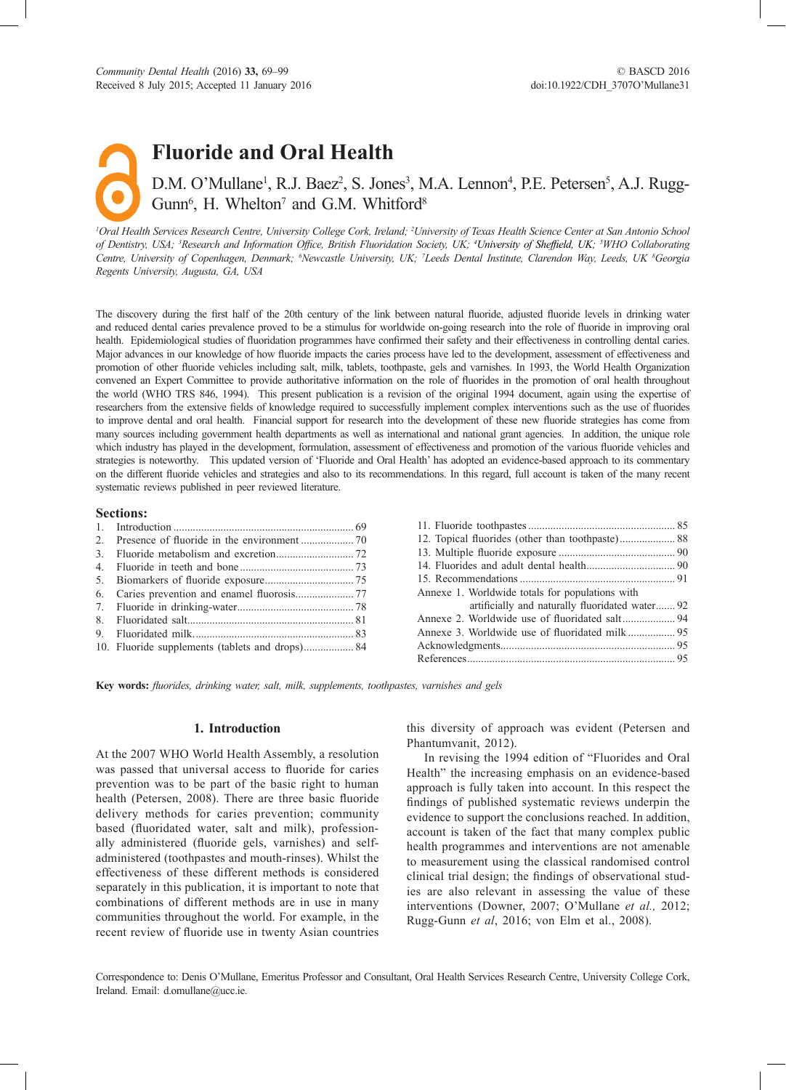**Fluoride and Oral Health**

# D.M. O'Mullane<sup>1</sup>, R.J. Baez<sup>2</sup>, S. Jones<sup>3</sup>, M.A. Lennon<sup>4</sup>, P.E. Petersen<sup>5</sup>, A.J. Rugg-Gunn<sup>6</sup>, H. Whelton<sup>7</sup> and G.M. Whitford<sup>8</sup>

*1 Oral Health Services Research Centre, University College Cork, Ireland; <sup>2</sup> University of Texas Health Science Center at San Antonio School*  of Dentistry, USA; <sup>3</sup>Research and Information Office, British Fluoridation Society, UK; <sup>4</sup>University of Sheffield, UK; <sup>5</sup>WHO Collaborating Centre, University of Copenhagen, Denmark; <sup>6</sup>Newcastle University, UK; <sup>7</sup>Leeds Dental Institute, Clarendon Way, Leeds, UK <sup>8</sup>Georgia *Regents University, Augusta, GA, USA*

The discovery during the first half of the 20th century of the link between natural fluoride, adjusted fluoride levels in drinking water and reduced dental caries prevalence proved to be a stimulus for worldwide on-going research into the role of fluoride in improving oral health. Epidemiological studies of fluoridation programmes have confirmed their safety and their effectiveness in controlling dental caries. Major advances in our knowledge of how fluoride impacts the caries process have led to the development, assessment of effectiveness and promotion of other fluoride vehicles including salt, milk, tablets, toothpaste, gels and varnishes. In 1993, the World Health Organization convened an Expert Committee to provide authoritative information on the role of fluorides in the promotion of oral health throughout the world (WHO TRS 846, 1994). This present publication is a revision of the original 1994 document, again using the expertise of researchers from the extensive fields of knowledge required to successfully implement complex interventions such as the use of fluorides to improve dental and oral health. Financial support for research into the development of these new fluoride strategies has come from many sources including government health departments as well as international and national grant agencies. In addition, the unique role which industry has played in the development, formulation, assessment of effectiveness and promotion of the various fluoride vehicles and strategies is noteworthy. This updated version of 'Fluoride and Oral Health' has adopted an evidence-based approach to its commentary on the different fluoride vehicles and strategies and also to its recommendations. In this regard, full account is taken of the many recent systematic reviews published in peer reviewed literature.

## **Sections:**

| 10. Fluoride supplements (tablets and drops) 84 |  |
|-------------------------------------------------|--|
|                                                 |  |

| 12. Topical fluorides (other than toothpaste) 88 |  |
|--------------------------------------------------|--|
|                                                  |  |
|                                                  |  |
|                                                  |  |
| Annexe 1. Worldwide totals for populations with  |  |
| artificially and naturally fluoridated water 92  |  |
|                                                  |  |
|                                                  |  |
|                                                  |  |
|                                                  |  |
|                                                  |  |

Key words: *fluorides, drinking water, salt, milk, supplements, toothpastes, varnishes and gels* 

### **1. Introduction**

At the 2007 WHO World Health Assembly, a resolution was passed that universal access to fluoride for caries prevention was to be part of the basic right to human health (Petersen, 2008). There are three basic fluoride delivery methods for caries prevention; community based (fluoridated water, salt and milk), professionally administered (fluoride gels, varnishes) and selfadministered (toothpastes and mouth-rinses). Whilst the effectiveness of these different methods is considered separately in this publication, it is important to note that combinations of different methods are in use in many communities throughout the world. For example, in the recent review of fluoride use in twenty Asian countries this diversity of approach was evident (Petersen and Phantumvanit, 2012).

In revising the 1994 edition of "Fluorides and Oral Health" the increasing emphasis on an evidence-based approach is fully taken into account. In this respect the findings of published systematic reviews underpin the evidence to support the conclusions reached. In addition, account is taken of the fact that many complex public health programmes and interventions are not amenable to measurement using the classical randomised control clinical trial design; the findings of observational studies are also relevant in assessing the value of these interventions (Downer, 2007; O'Mullane *et al.,* 2012; Rugg-Gunn *et al*, 2016; von Elm et al., 2008).

Correspondence to: Denis O'Mullane, Emeritus Professor and Consultant, Oral Health Services Research Centre, University College Cork, Ireland. Email: d.omullane@ucc.ie.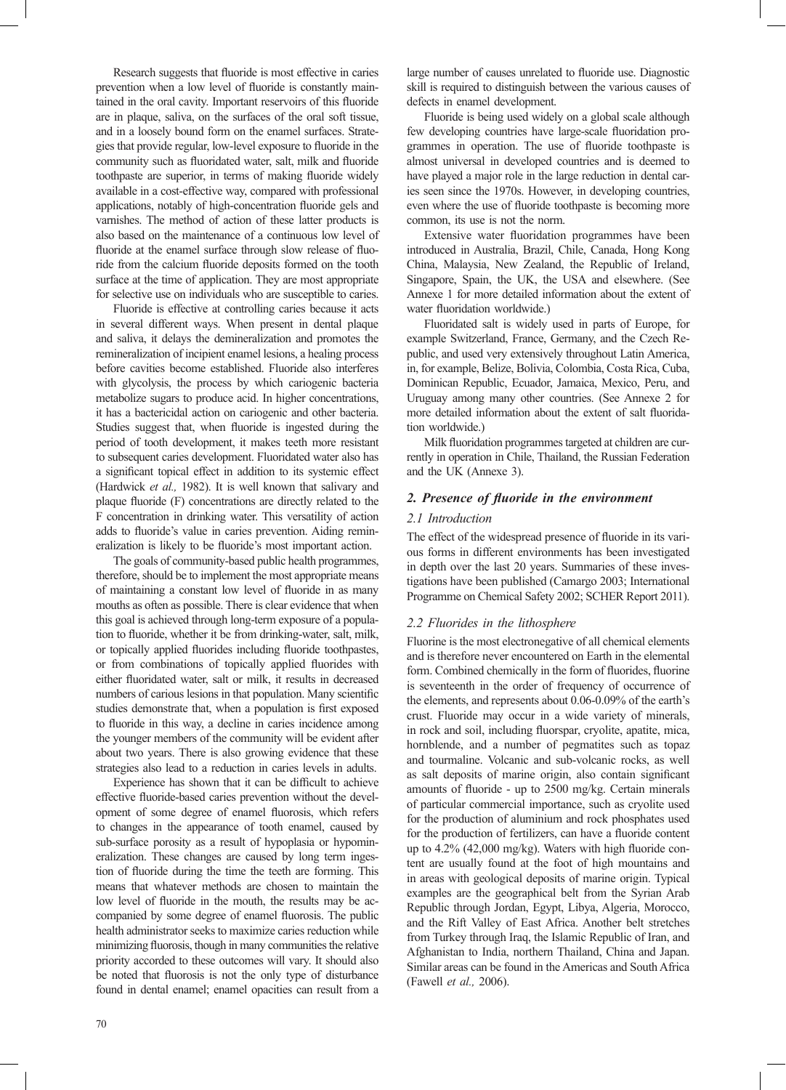Research suggests that fluoride is most effective in caries prevention when a low level of fluoride is constantly maintained in the oral cavity. Important reservoirs of this fluoride are in plaque, saliva, on the surfaces of the oral soft tissue, and in a loosely bound form on the enamel surfaces. Strategies that provide regular, low-level exposure to fluoride in the community such as fluoridated water, salt, milk and fluoride toothpaste are superior, in terms of making fluoride widely available in a cost-effective way, compared with professional applications, notably of high-concentration fluoride gels and varnishes. The method of action of these latter products is also based on the maintenance of a continuous low level of fluoride at the enamel surface through slow release of fluoride from the calcium fluoride deposits formed on the tooth surface at the time of application. They are most appropriate for selective use on individuals who are susceptible to caries.

Fluoride is effective at controlling caries because it acts in several different ways. When present in dental plaque and saliva, it delays the demineralization and promotes the remineralization of incipient enamel lesions, a healing process before cavities become established. Fluoride also interferes with glycolysis, the process by which cariogenic bacteria metabolize sugars to produce acid. In higher concentrations, it has a bactericidal action on cariogenic and other bacteria. Studies suggest that, when fluoride is ingested during the period of tooth development, it makes teeth more resistant to subsequent caries development. Fluoridated water also has a significant topical effect in addition to its systemic effect (Hardwick *et al.,* 1982). It is well known that salivary and plaque fluoride (F) concentrations are directly related to the F concentration in drinking water. This versatility of action adds to fluoride's value in caries prevention. Aiding remineralization is likely to be fluoride's most important action.

The goals of community-based public health programmes, therefore, should be to implement the most appropriate means of maintaining a constant low level of fluoride in as many mouths as often as possible. There is clear evidence that when this goal is achieved through long-term exposure of a population to fluoride, whether it be from drinking-water, salt, milk, or topically applied fluorides including fluoride toothpastes, or from combinations of topically applied fluorides with either fluoridated water, salt or milk, it results in decreased numbers of carious lesions in that population. Many scientific studies demonstrate that, when a population is first exposed to fluoride in this way, a decline in caries incidence among the younger members of the community will be evident after about two years. There is also growing evidence that these strategies also lead to a reduction in caries levels in adults.

Experience has shown that it can be difficult to achieve effective fluoride-based caries prevention without the development of some degree of enamel fluorosis, which refers to changes in the appearance of tooth enamel, caused by sub-surface porosity as a result of hypoplasia or hypomineralization. These changes are caused by long term ingestion of fluoride during the time the teeth are forming. This means that whatever methods are chosen to maintain the low level of fluoride in the mouth, the results may be accompanied by some degree of enamel fluorosis. The public health administrator seeks to maximize caries reduction while minimizing fluorosis, though in many communities the relative priority accorded to these outcomes will vary. It should also be noted that fluorosis is not the only type of disturbance found in dental enamel; enamel opacities can result from a

large number of causes unrelated to fluoride use. Diagnostic skill is required to distinguish between the various causes of defects in enamel development.

Fluoride is being used widely on a global scale although few developing countries have large-scale fluoridation programmes in operation. The use of fluoride toothpaste is almost universal in developed countries and is deemed to have played a major role in the large reduction in dental caries seen since the 1970s. However, in developing countries, even where the use of fluoride toothpaste is becoming more common, its use is not the norm.

Extensive water fluoridation programmes have been introduced in Australia, Brazil, Chile, Canada, Hong Kong China, Malaysia, New Zealand, the Republic of Ireland, Singapore, Spain, the UK, the USA and elsewhere. (See Annexe 1 for more detailed information about the extent of water fluoridation worldwide.)

Fluoridated salt is widely used in parts of Europe, for example Switzerland, France, Germany, and the Czech Republic, and used very extensively throughout Latin America, in, for example, Belize, Bolivia, Colombia, Costa Rica, Cuba, Dominican Republic, Ecuador, Jamaica, Mexico, Peru, and Uruguay among many other countries. (See Annexe 2 for more detailed information about the extent of salt fluoridation worldwide.)

Milk fluoridation programmes targeted at children are currently in operation in Chile, Thailand, the Russian Federation and the UK (Annexe 3).

## 2. Presence of fluoride in the environment

#### *2.1 Introduction*

The effect of the widespread presence of fluoride in its various forms in different environments has been investigated in depth over the last 20 years. Summaries of these investigations have been published (Camargo 2003; International Programme on Chemical Safety 2002; SCHER Report 2011).

## *2.2 Fluorides in the lithosphere*

Fluorine is the most electronegative of all chemical elements and is therefore never encountered on Earth in the elemental form. Combined chemically in the form of fluorides, fluorine is seventeenth in the order of frequency of occurrence of the elements, and represents about 0.06-0.09% of the earth's crust. Fluoride may occur in a wide variety of minerals, in rock and soil, including fluorspar, cryolite, apatite, mica, hornblende, and a number of pegmatites such as topaz and tourmaline. Volcanic and sub-volcanic rocks, as well as salt deposits of marine origin, also contain significant amounts of fluoride - up to 2500 mg/kg. Certain minerals of particular commercial importance, such as cryolite used for the production of aluminium and rock phosphates used for the production of fertilizers, can have a fluoride content up to 4.2% (42,000 mg/kg). Waters with high fluoride content are usually found at the foot of high mountains and in areas with geological deposits of marine origin. Typical examples are the geographical belt from the Syrian Arab Republic through Jordan, Egypt, Libya, Algeria, Morocco, and the Rift Valley of East Africa. Another belt stretches from Turkey through Iraq, the Islamic Republic of Iran, and Afghanistan to India, northern Thailand, China and Japan. Similar areas can be found in the Americas and South Africa (Fawell *et al.,* 2006).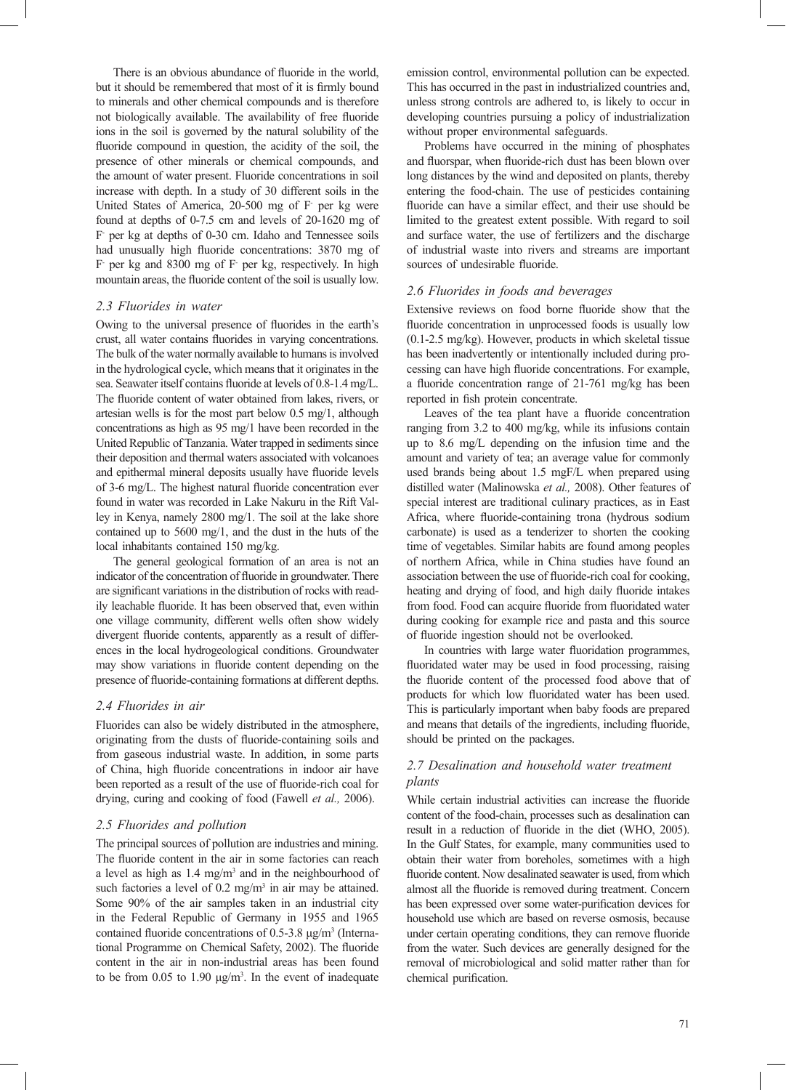There is an obvious abundance of fluoride in the world, but it should be remembered that most of it is firmly bound to minerals and other chemical compounds and is therefore not biologically available. The availability of free fluoride ions in the soil is governed by the natural solubility of the fluoride compound in question, the acidity of the soil, the presence of other minerals or chemical compounds, and the amount of water present. Fluoride concentrations in soil increase with depth. In a study of 30 different soils in the United States of America, 20-500 mg of F- per kg were found at depths of 0-7.5 cm and levels of 20-1620 mg of F- per kg at depths of 0-30 cm. Idaho and Tennessee soils had unusually high fluoride concentrations: 3870 mg of F- per kg and 8300 mg of F- per kg, respectively. In high mountain areas, the fluoride content of the soil is usually low.

### *2.3 Fluorides in water*

Owing to the universal presence of fluorides in the earth's crust, all water contains fluorides in varying concentrations. The bulk of the water normally available to humans is involved in the hydrological cycle, which means that it originates in the sea. Seawater itself contains fluoride at levels of 0.8-1.4 mg/L. The fluoride content of water obtained from lakes, rivers, or artesian wells is for the most part below 0.5 mg/1, although concentrations as high as 95 mg/1 have been recorded in the United Republic of Tanzania. Water trapped in sediments since their deposition and thermal waters associated with volcanoes and epithermal mineral deposits usually have fluoride levels of 3-6 mg/L. The highest natural fluoride concentration ever found in water was recorded in Lake Nakuru in the Rift Valley in Kenya, namely 2800 mg/1. The soil at the lake shore contained up to 5600 mg/1, and the dust in the huts of the local inhabitants contained 150 mg/kg.

The general geological formation of an area is not an indicator of the concentration of fluoride in groundwater. There are significant variations in the distribution of rocks with readily leachable fluoride. It has been observed that, even within one village community, different wells often show widely divergent fluoride contents, apparently as a result of differences in the local hydrogeological conditions. Groundwater may show variations in fluoride content depending on the presence of fluoride-containing formations at different depths.

### *2.4 Fluorides in air*

Fluorides can also be widely distributed in the atmosphere, originating from the dusts of fluoride-containing soils and from gaseous industrial waste. In addition, in some parts of China, high fluoride concentrations in indoor air have been reported as a result of the use of fluoride-rich coal for drying, curing and cooking of food (Fawell *et al.,* 2006).

## *2.5 Fluorides and pollution*

The principal sources of pollution are industries and mining. The fluoride content in the air in some factories can reach a level as high as  $1.4 \text{ mg/m}^3$  and in the neighbourhood of such factories a level of  $0.2 \text{ mg/m}^3$  in air may be attained. Some 90% of the air samples taken in an industrial city in the Federal Republic of Germany in 1955 and 1965 contained fluoride concentrations of 0.5-3.8  $\mu$ g/m<sup>3</sup> (International Programme on Chemical Safety, 2002). The fluoride content in the air in non-industrial areas has been found to be from 0.05 to 1.90  $\mu$ g/m<sup>3</sup>. In the event of inadequate emission control, environmental pollution can be expected. This has occurred in the past in industrialized countries and, unless strong controls are adhered to, is likely to occur in developing countries pursuing a policy of industrialization without proper environmental safeguards.

Problems have occurred in the mining of phosphates and fluorspar, when fluoride-rich dust has been blown over long distances by the wind and deposited on plants, thereby entering the food-chain. The use of pesticides containing fluoride can have a similar effect, and their use should be limited to the greatest extent possible. With regard to soil and surface water, the use of fertilizers and the discharge of industrial waste into rivers and streams are important sources of undesirable fluoride.

### *2.6 Fluorides in foods and beverages*

Extensive reviews on food borne fluoride show that the fluoride concentration in unprocessed foods is usually low (0.1-2.5 mg/kg). However, products in which skeletal tissue has been inadvertently or intentionally included during processing can have high fluoride concentrations. For example, a fluoride concentration range of 21-761 mg/kg has been reported in fish protein concentrate.

Leaves of the tea plant have a fluoride concentration ranging from 3.2 to 400 mg/kg, while its infusions contain up to 8.6 mg/L depending on the infusion time and the amount and variety of tea; an average value for commonly used brands being about 1.5 mgF/L when prepared using distilled water (Malinowska *et al.,* 2008). Other features of special interest are traditional culinary practices, as in East Africa, where fluoride-containing trona (hydrous sodium carbonate) is used as a tenderizer to shorten the cooking time of vegetables. Similar habits are found among peoples of northern Africa, while in China studies have found an association between the use of fluoride-rich coal for cooking, heating and drying of food, and high daily fluoride intakes from food. Food can acquire fluoride from fluoridated water during cooking for example rice and pasta and this source of fluoride ingestion should not be overlooked.

In countries with large water fluoridation programmes, fluoridated water may be used in food processing, raising the fluoride content of the processed food above that of products for which low fluoridated water has been used. This is particularly important when baby foods are prepared and means that details of the ingredients, including fluoride, should be printed on the packages.

## *2.7 Desalination and household water treatment plants*

While certain industrial activities can increase the fluoride content of the food-chain, processes such as desalination can result in a reduction of fluoride in the diet (WHO, 2005). In the Gulf States, for example, many communities used to obtain their water from boreholes, sometimes with a high fluoride content. Now desalinated seawater is used, from which almost all the fluoride is removed during treatment. Concern has been expressed over some water-purification devices for household use which are based on reverse osmosis, because under certain operating conditions, they can remove fluoride from the water. Such devices are generally designed for the removal of microbiological and solid matter rather than for chemical purification.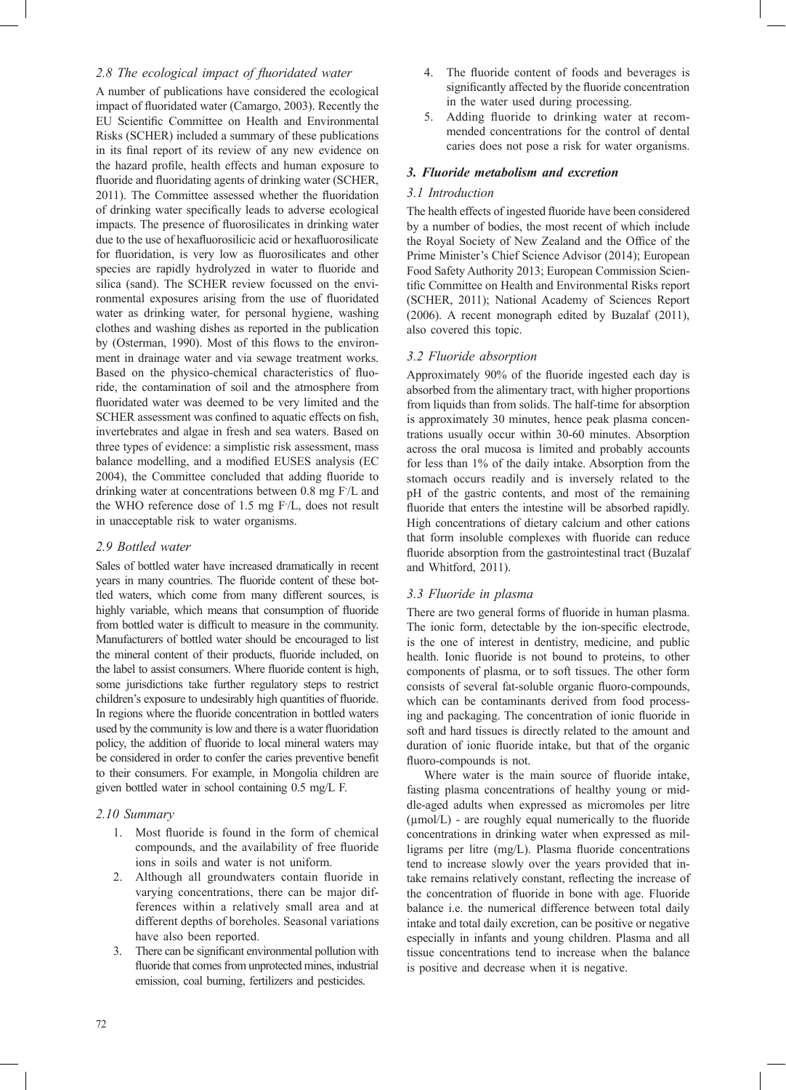## 2.8 The ecological impact of fluoridated water

A number of publications have considered the ecological impact of fluoridated water (Camargo, 2003). Recently the EU Scientific Committee on Health and Environmental Risks (SCHER) included a summary of these publications in its final report of its review of any new evidence on the hazard profile, health effects and human exposure to fluoride and fluoridating agents of drinking water (SCHER, 2011). The Committee assessed whether the fluoridation of drinking water specifically leads to adverse ecological impacts. The presence of fluorosilicates in drinking water due to the use of hexafluorosilicic acid or hexafluorosilicate for fluoridation, is very low as fluorosilicates and other species are rapidly hydrolyzed in water to fluoride and silica (sand). The SCHER review focussed on the environmental exposures arising from the use of fluoridated water as drinking water, for personal hygiene, washing clothes and washing dishes as reported in the publication by (Osterman, 1990). Most of this flows to the environment in drainage water and via sewage treatment works. Based on the physico-chemical characteristics of fluoride, the contamination of soil and the atmosphere from fluoridated water was deemed to be very limited and the SCHER assessment was confined to aquatic effects on fish, invertebrates and algae in fresh and sea waters. Based on three types of evidence: a simplistic risk assessment, mass balance modelling, and a modified EUSES analysis (EC 2004), the Committee concluded that adding fluoride to drinking water at concentrations between 0.8 mg F- /L and the WHO reference dose of 1.5 mg F- /L, does not result in unacceptable risk to water organisms.

## *2.9 Bottled water*

Sales of bottled water have increased dramatically in recent years in many countries. The fluoride content of these bottled waters, which come from many different sources, is highly variable, which means that consumption of fluoride from bottled water is difficult to measure in the community. Manufacturers of bottled water should be encouraged to list the mineral content of their products, fluoride included, on the label to assist consumers. Where fluoride content is high, some jurisdictions take further regulatory steps to restrict children's exposure to undesirably high quantities of fluoride. In regions where the fluoride concentration in bottled waters used by the community is low and there is a water fluoridation policy, the addition of fluoride to local mineral waters may be considered in order to confer the caries preventive benefit to their consumers. For example, in Mongolia children are given bottled water in school containing 0.5 mg/L F.

## *2.10 Summary*

- 1. Most fluoride is found in the form of chemical compounds, and the availability of free fluoride ions in soils and water is not uniform.
- 2. Although all groundwaters contain fluoride in varying concentrations, there can be major differences within a relatively small area and at different depths of boreholes. Seasonal variations have also been reported.
- 3. There can be significant environmental pollution with fluoride that comes from unprotected mines, industrial emission, coal burning, fertilizers and pesticides.
- 4. The fluoride content of foods and beverages is significantly affected by the fluoride concentration in the water used during processing.
- 5. Adding fluoride to drinking water at recommended concentrations for the control of dental caries does not pose a risk for water organisms.

## *3. Fluoride metabolism and excretion*

## *3.1 Introduction*

The health effects of ingested fluoride have been considered by a number of bodies, the most recent of which include the Royal Society of New Zealand and the Office of the Prime Minister's Chief Science Advisor (2014); European Food Safety Authority 2013; European Commission Scientific Committee on Health and Environmental Risks report (SCHER, 2011); National Academy of Sciences Report (2006). A recent monograph edited by Buzalaf (2011), also covered this topic.

## *3.2 Fluoride absorption*

Approximately 90% of the fluoride ingested each day is absorbed from the alimentary tract, with higher proportions from liquids than from solids. The half-time for absorption is approximately 30 minutes, hence peak plasma concentrations usually occur within 30-60 minutes. Absorption across the oral mucosa is limited and probably accounts for less than 1% of the daily intake. Absorption from the stomach occurs readily and is inversely related to the pH of the gastric contents, and most of the remaining fluoride that enters the intestine will be absorbed rapidly. High concentrations of dietary calcium and other cations that form insoluble complexes with fluoride can reduce fluoride absorption from the gastrointestinal tract (Buzalaf and Whitford, 2011).

## *3.3 Fluoride in plasma*

There are two general forms of fluoride in human plasma. The ionic form, detectable by the ion-specific electrode, is the one of interest in dentistry, medicine, and public health. Ionic fluoride is not bound to proteins, to other components of plasma, or to soft tissues. The other form consists of several fat-soluble organic fluoro-compounds, which can be contaminants derived from food processing and packaging. The concentration of ionic fluoride in soft and hard tissues is directly related to the amount and duration of ionic fluoride intake, but that of the organic fluoro-compounds is not.

Where water is the main source of fluoride intake, fasting plasma concentrations of healthy young or middle-aged adults when expressed as micromoles per litre  $(\mu \text{mol/L})$  - are roughly equal numerically to the fluoride concentrations in drinking water when expressed as milligrams per litre  $(mg/L)$ . Plasma fluoride concentrations tend to increase slowly over the years provided that intake remains relatively constant, reflecting the increase of the concentration of fluoride in bone with age. Fluoride balance i.e. the numerical difference between total daily intake and total daily excretion, can be positive or negative especially in infants and young children. Plasma and all tissue concentrations tend to increase when the balance is positive and decrease when it is negative.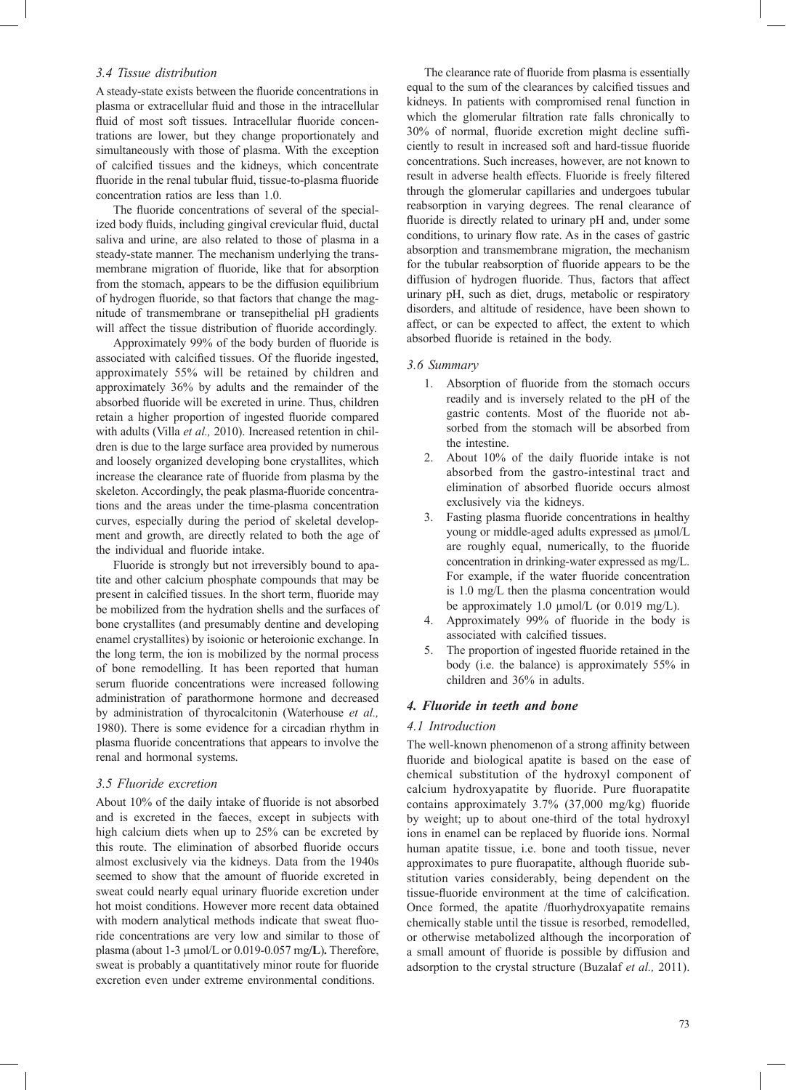### *3.4 Tissue distribution*

A steady-state exists between the fluoride concentrations in plasma or extracellular fluid and those in the intracellular fluid of most soft tissues. Intracellular fluoride concentrations are lower, but they change proportionately and simultaneously with those of plasma. With the exception of calcified tissues and the kidneys, which concentrate fluoride in the renal tubular fluid, tissue-to-plasma fluoride concentration ratios are less than 1.0.

The fluoride concentrations of several of the specialized body fluids, including gingival crevicular fluid, ductal saliva and urine, are also related to those of plasma in a steady-state manner. The mechanism underlying the transmembrane migration of fluoride, like that for absorption from the stomach, appears to be the diffusion equilibrium of hydrogen fluoride, so that factors that change the magnitude of transmembrane or transepithelial pH gradients will affect the tissue distribution of fluoride accordingly.

Approximately 99% of the body burden of fluoride is associated with calcified tissues. Of the fluoride ingested, approximately 55% will be retained by children and approximately 36% by adults and the remainder of the absorbed fluoride will be excreted in urine. Thus, children retain a higher proportion of ingested fluoride compared with adults (Villa *et al.,* 2010). Increased retention in children is due to the large surface area provided by numerous and loosely organized developing bone crystallites, which increase the clearance rate of fluoride from plasma by the skeleton. Accordingly, the peak plasma-fluoride concentrations and the areas under the time-plasma concentration curves, especially during the period of skeletal development and growth, are directly related to both the age of the individual and fluoride intake.

Fluoride is strongly but not irreversibly bound to apatite and other calcium phosphate compounds that may be present in calcified tissues. In the short term, fluoride may be mobilized from the hydration shells and the surfaces of bone crystallites (and presumably dentine and developing enamel crystallites) by isoionic or heteroionic exchange. In the long term, the ion is mobilized by the normal process of bone remodelling. It has been reported that human serum fluoride concentrations were increased following administration of parathormone hormone and decreased by administration of thyrocalcitonin (Waterhouse *et al.,* 1980). There is some evidence for a circadian rhythm in plasma fluoride concentrations that appears to involve the renal and hormonal systems.

### *3.5 Fluoride excretion*

About  $10\%$  of the daily intake of fluoride is not absorbed and is excreted in the faeces, except in subjects with high calcium diets when up to 25% can be excreted by this route. The elimination of absorbed fluoride occurs almost exclusively via the kidneys. Data from the 1940s seemed to show that the amount of fluoride excreted in sweat could nearly equal urinary fluoride excretion under hot moist conditions. However more recent data obtained with modern analytical methods indicate that sweat fluoride concentrations are very low and similar to those of plasma (about 1-3 µmol/L or 0.019-0.057 mg**/L**)**.** Therefore, sweat is probably a quantitatively minor route for fluoride excretion even under extreme environmental conditions.

The clearance rate of fluoride from plasma is essentially equal to the sum of the clearances by calcified tissues and kidneys. In patients with compromised renal function in which the glomerular filtration rate falls chronically to 30% of normal, fluoride excretion might decline sufficiently to result in increased soft and hard-tissue fluoride concentrations. Such increases, however, are not known to result in adverse health effects. Fluoride is freely filtered through the glomerular capillaries and undergoes tubular reabsorption in varying degrees. The renal clearance of fluoride is directly related to urinary pH and, under some conditions, to urinary flow rate. As in the cases of gastric absorption and transmembrane migration, the mechanism for the tubular reabsorption of fluoride appears to be the diffusion of hydrogen fluoride. Thus, factors that affect urinary pH, such as diet, drugs, metabolic or respiratory disorders, and altitude of residence, have been shown to affect, or can be expected to affect, the extent to which absorbed fluoride is retained in the body.

#### *3.6 Summary*

- 1. Absorption of fluoride from the stomach occurs readily and is inversely related to the pH of the gastric contents. Most of the fluoride not absorbed from the stomach will be absorbed from the intestine.
- 2. About  $10\%$  of the daily fluoride intake is not absorbed from the gastro-intestinal tract and elimination of absorbed fluoride occurs almost exclusively via the kidneys.
- 3. Fasting plasma fluoride concentrations in healthy young or middle-aged adults expressed as µmol/L are roughly equal, numerically, to the fluoride concentration in drinking-water expressed as mg/L. For example, if the water fluoride concentration is 1.0 mg/L then the plasma concentration would be approximately 1.0 µmol/L (or 0.019 mg/L).
- 4. Approximately 99% of fluoride in the body is associated with calcified tissues.
- 5. The proportion of ingested fluoride retained in the body (i.e. the balance) is approximately 55% in children and 36% in adults.

## *4. Fluoride in teeth and bone*

### *4.1 Introduction*

The well-known phenomenon of a strong affinity between fluoride and biological apatite is based on the ease of chemical substitution of the hydroxyl component of calcium hydroxyapatite by fluoride. Pure fluorapatite contains approximately  $3.7\%$  (37,000 mg/kg) fluoride by weight; up to about one-third of the total hydroxyl ions in enamel can be replaced by fluoride ions. Normal human apatite tissue, i.e. bone and tooth tissue, never approximates to pure fluorapatite, although fluoride substitution varies considerably, being dependent on the tissue-fluoride environment at the time of calcification. Once formed, the apatite /fluorhydroxyapatite remains chemically stable until the tissue is resorbed, remodelled, or otherwise metabolized although the incorporation of a small amount of fluoride is possible by diffusion and adsorption to the crystal structure (Buzalaf *et al.,* 2011).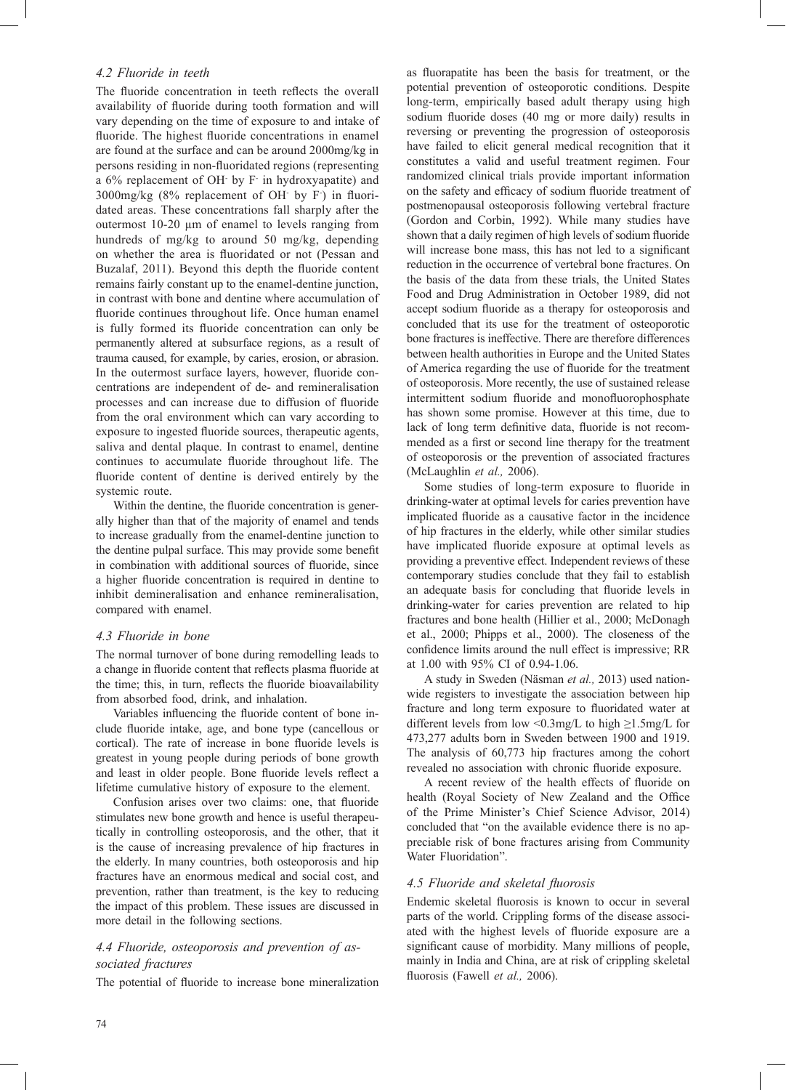## *4.2 Fluoride in teeth*

The fluoride concentration in teeth reflects the overall availability of fluoride during tooth formation and will vary depending on the time of exposure to and intake of fluoride. The highest fluoride concentrations in enamel are found at the surface and can be around 2000mg/kg in persons residing in non-fluoridated regions (representing a 6% replacement of OH- by F- in hydroxyapatite) and  $3000$ mg/kg (8% replacement of OH $\,$  by F) in fluoridated areas. These concentrations fall sharply after the outermost 10-20 µm of enamel to levels ranging from hundreds of mg/kg to around 50 mg/kg, depending on whether the area is fluoridated or not (Pessan and Buzalaf, 2011). Beyond this depth the fluoride content remains fairly constant up to the enamel-dentine junction, in contrast with bone and dentine where accumulation of fluoride continues throughout life. Once human enamel is fully formed its fluoride concentration can only be permanently altered at subsurface regions, as a result of trauma caused, for example, by caries, erosion, or abrasion. In the outermost surface layers, however, fluoride concentrations are independent of de- and remineralisation processes and can increase due to diffusion of fluoride from the oral environment which can vary according to exposure to ingested fluoride sources, therapeutic agents, saliva and dental plaque. In contrast to enamel, dentine continues to accumulate fluoride throughout life. The fluoride content of dentine is derived entirely by the systemic route.

Within the dentine, the fluoride concentration is generally higher than that of the majority of enamel and tends to increase gradually from the enamel-dentine junction to the dentine pulpal surface. This may provide some benefit in combination with additional sources of fluoride, since a higher fluoride concentration is required in dentine to inhibit demineralisation and enhance remineralisation, compared with enamel.

## *4.3 Fluoride in bone*

The normal turnover of bone during remodelling leads to a change in fluoride content that reflects plasma fluoride at the time; this, in turn, reflects the fluoride bioavailability from absorbed food, drink, and inhalation.

Variables influencing the fluoride content of bone include fluoride intake, age, and bone type (cancellous or cortical). The rate of increase in bone fluoride levels is greatest in young people during periods of bone growth and least in older people. Bone fluoride levels reflect a lifetime cumulative history of exposure to the element.

Confusion arises over two claims: one, that fluoride stimulates new bone growth and hence is useful therapeutically in controlling osteoporosis, and the other, that it is the cause of increasing prevalence of hip fractures in the elderly. In many countries, both osteoporosis and hip fractures have an enormous medical and social cost, and prevention, rather than treatment, is the key to reducing the impact of this problem. These issues are discussed in more detail in the following sections.

## *4.4 Fluoride, osteoporosis and prevention of associated fractures*

The potential of fluoride to increase bone mineralization

as fluorapatite has been the basis for treatment, or the potential prevention of osteoporotic conditions. Despite long-term, empirically based adult therapy using high sodium fluoride doses (40 mg or more daily) results in reversing or preventing the progression of osteoporosis have failed to elicit general medical recognition that it constitutes a valid and useful treatment regimen. Four randomized clinical trials provide important information on the safety and efficacy of sodium fluoride treatment of postmenopausal osteoporosis following vertebral fracture (Gordon and Corbin, 1992). While many studies have shown that a daily regimen of high levels of sodium fluoride will increase bone mass, this has not led to a significant reduction in the occurrence of vertebral bone fractures. On the basis of the data from these trials, the United States Food and Drug Administration in October 1989, did not accept sodium fluoride as a therapy for osteoporosis and concluded that its use for the treatment of osteoporotic bone fractures is ineffective. There are therefore differences between health authorities in Europe and the United States of America regarding the use of fluoride for the treatment of osteoporosis. More recently, the use of sustained release intermittent sodium fluoride and monofluorophosphate has shown some promise. However at this time, due to lack of long term definitive data, fluoride is not recommended as a first or second line therapy for the treatment of osteoporosis or the prevention of associated fractures (McLaughlin *et al.,* 2006).

Some studies of long-term exposure to fluoride in drinking-water at optimal levels for caries prevention have implicated fluoride as a causative factor in the incidence of hip fractures in the elderly, while other similar studies have implicated fluoride exposure at optimal levels as providing a preventive effect. Independent reviews of these contemporary studies conclude that they fail to establish an adequate basis for concluding that fluoride levels in drinking-water for caries prevention are related to hip fractures and bone health (Hillier et al., 2000; McDonagh et al., 2000; Phipps et al., 2000). The closeness of the confidence limits around the null effect is impressive; RR at 1.00 with 95% CI of 0.94-1.06.

A study in Sweden (Näsman *et al.,* 2013) used nationwide registers to investigate the association between hip fracture and long term exposure to fluoridated water at different levels from low <0.3mg/L to high  $\geq$ 1.5mg/L for 473,277 adults born in Sweden between 1900 and 1919. The analysis of 60,773 hip fractures among the cohort revealed no association with chronic fluoride exposure.

A recent review of the health effects of fluoride on health (Royal Society of New Zealand and the Office of the Prime Minister's Chief Science Advisor, 2014) concluded that "on the available evidence there is no appreciable risk of bone fractures arising from Community Water Fluoridation".

## *4.5 Fluoride and skeletal fl uorosis*

Endemic skeletal fluorosis is known to occur in several parts of the world. Crippling forms of the disease associated with the highest levels of fluoride exposure are a significant cause of morbidity. Many millions of people, mainly in India and China, are at risk of crippling skeletal fluorosis (Fawell et al., 2006).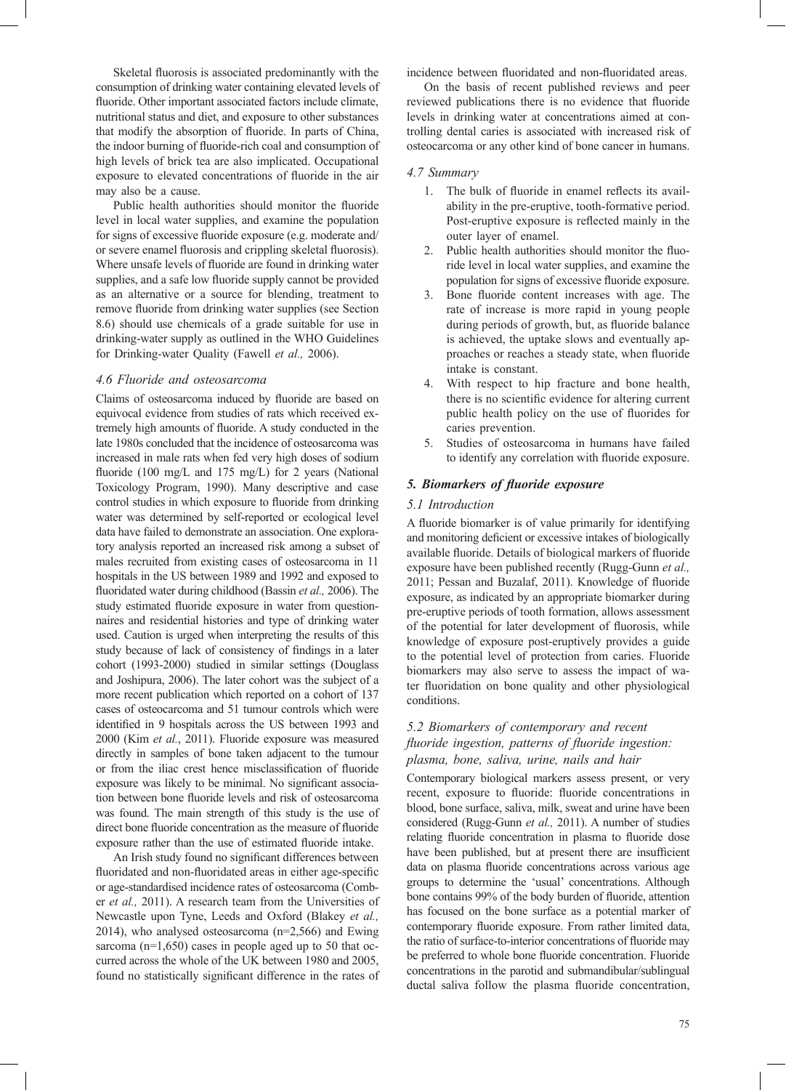Skeletal fluorosis is associated predominantly with the consumption of drinking water containing elevated levels of fluoride. Other important associated factors include climate, nutritional status and diet, and exposure to other substances that modify the absorption of fluoride. In parts of China, the indoor burning of fluoride-rich coal and consumption of high levels of brick tea are also implicated. Occupational exposure to elevated concentrations of fluoride in the air may also be a cause.

Public health authorities should monitor the fluoride level in local water supplies, and examine the population for signs of excessive fluoride exposure (e.g. moderate and/ or severe enamel fluorosis and crippling skeletal fluorosis). Where unsafe levels of fluoride are found in drinking water supplies, and a safe low fluoride supply cannot be provided as an alternative or a source for blending, treatment to remove fluoride from drinking water supplies (see Section 8.6) should use chemicals of a grade suitable for use in drinking-water supply as outlined in the WHO Guidelines for Drinking-water Quality (Fawell *et al.,* 2006).

### *4.6 Fluoride and osteosarcoma*

Claims of osteosarcoma induced by fluoride are based on equivocal evidence from studies of rats which received extremely high amounts of fluoride. A study conducted in the late 1980s concluded that the incidence of osteosarcoma was increased in male rats when fed very high doses of sodium fluoride (100 mg/L and 175 mg/L) for 2 years (National Toxicology Program, 1990). Many descriptive and case control studies in which exposure to fluoride from drinking water was determined by self-reported or ecological level data have failed to demonstrate an association. One exploratory analysis reported an increased risk among a subset of males recruited from existing cases of osteosarcoma in 11 hospitals in the US between 1989 and 1992 and exposed to fluoridated water during childhood (Bassin et al., 2006). The study estimated fluoride exposure in water from questionnaires and residential histories and type of drinking water used. Caution is urged when interpreting the results of this study because of lack of consistency of findings in a later cohort (1993-2000) studied in similar settings (Douglass and Joshipura, 2006). The later cohort was the subject of a more recent publication which reported on a cohort of 137 cases of osteocarcoma and 51 tumour controls which were identified in 9 hospitals across the US between 1993 and 2000 (Kim *et al.*, 2011). Fluoride exposure was measured directly in samples of bone taken adjacent to the tumour or from the iliac crest hence misclassification of fluoride exposure was likely to be minimal. No significant association between bone fluoride levels and risk of osteosarcoma was found. The main strength of this study is the use of direct bone fluoride concentration as the measure of fluoride exposure rather than the use of estimated fluoride intake.

An Irish study found no significant differences between fluoridated and non-fluoridated areas in either age-specific or age-standardised incidence rates of osteosarcoma (Comber *et al.,* 2011). A research team from the Universities of Newcastle upon Tyne, Leeds and Oxford (Blakey *et al.,* 2014), who analysed osteosarcoma (n=2,566) and Ewing sarcoma (n=1,650) cases in people aged up to 50 that occurred across the whole of the UK between 1980 and 2005, found no statistically significant difference in the rates of

incidence between fluoridated and non-fluoridated areas.

On the basis of recent published reviews and peer reviewed publications there is no evidence that fluoride levels in drinking water at concentrations aimed at controlling dental caries is associated with increased risk of osteocarcoma or any other kind of bone cancer in humans.

#### *4.7 Summary*

- 1. The bulk of fluoride in enamel reflects its availability in the pre-eruptive, tooth-formative period. Post-eruptive exposure is reflected mainly in the outer layer of enamel.
- 2. Public health authorities should monitor the fluoride level in local water supplies, and examine the population for signs of excessive fluoride exposure.
- Bone fluoride content increases with age. The rate of increase is more rapid in young people during periods of growth, but, as fluoride balance is achieved, the uptake slows and eventually approaches or reaches a steady state, when fluoride intake is constant.
- 4. With respect to hip fracture and bone health, there is no scientific evidence for altering current public health policy on the use of fluorides for caries prevention.
- 5. Studies of osteosarcoma in humans have failed to identify any correlation with fluoride exposure.

### *5. Biomarkers of fl uoride exposure*

#### *5.1 Introduction*

A fluoride biomarker is of value primarily for identifying and monitoring deficient or excessive intakes of biologically available fluoride. Details of biological markers of fluoride exposure have been published recently (Rugg-Gunn *et al.,* 2011; Pessan and Buzalaf, 2011). Knowledge of fluoride exposure, as indicated by an appropriate biomarker during pre-eruptive periods of tooth formation, allows assessment of the potential for later development of fluorosis, while knowledge of exposure post-eruptively provides a guide to the potential level of protection from caries. Fluoride biomarkers may also serve to assess the impact of water fluoridation on bone quality and other physiological conditions.

## *5.2 Biomarkers of contemporary and recent fluoride ingestion, patterns of fluoride ingestion: plasma, bone, saliva, urine, nails and hair*

Contemporary biological markers assess present, or very recent, exposure to fluoride: fluoride concentrations in blood, bone surface, saliva, milk, sweat and urine have been considered (Rugg-Gunn *et al.,* 2011). A number of studies relating fluoride concentration in plasma to fluoride dose have been published, but at present there are insufficient data on plasma fluoride concentrations across various age groups to determine the 'usual' concentrations. Although bone contains 99% of the body burden of fluoride, attention has focused on the bone surface as a potential marker of contemporary fluoride exposure. From rather limited data, the ratio of surface-to-interior concentrations of fluoride may be preferred to whole bone fluoride concentration. Fluoride concentrations in the parotid and submandibular/sublingual ductal saliva follow the plasma fluoride concentration,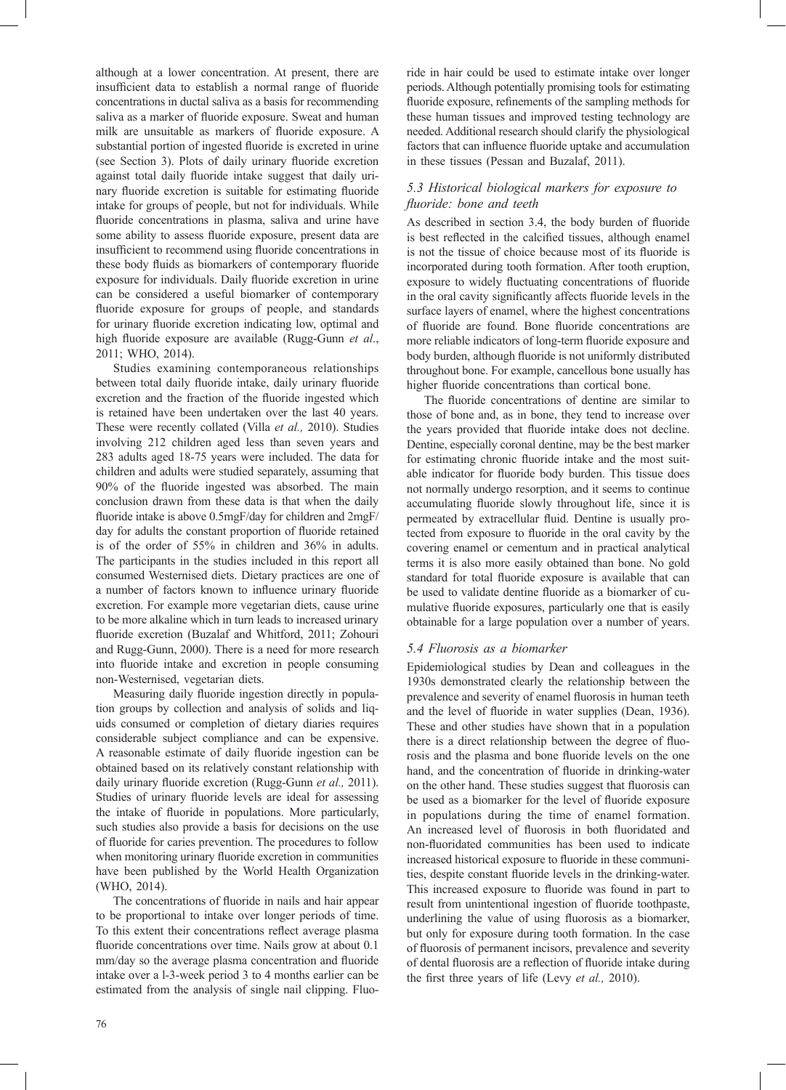although at a lower concentration. At present, there are insufficient data to establish a normal range of fluoride concentrations in ductal saliva as a basis for recommending saliva as a marker of fluoride exposure. Sweat and human milk are unsuitable as markers of fluoride exposure. A substantial portion of ingested fluoride is excreted in urine (see Section 3). Plots of daily urinary fluoride excretion against total daily fluoride intake suggest that daily urinary fluoride excretion is suitable for estimating fluoride intake for groups of people, but not for individuals. While fluoride concentrations in plasma, saliva and urine have some ability to assess fluoride exposure, present data are insufficient to recommend using fluoride concentrations in these body fluids as biomarkers of contemporary fluoride exposure for individuals. Daily fluoride excretion in urine can be considered a useful biomarker of contemporary fluoride exposure for groups of people, and standards for urinary fluoride excretion indicating low, optimal and high fluoride exposure are available (Rugg-Gunn et al., 2011; WHO, 2014).

Studies examining contemporaneous relationships between total daily fluoride intake, daily urinary fluoride excretion and the fraction of the fluoride ingested which is retained have been undertaken over the last 40 years. These were recently collated (Villa *et al.,* 2010). Studies involving 212 children aged less than seven years and 283 adults aged 18-75 years were included. The data for children and adults were studied separately, assuming that 90% of the fluoride ingested was absorbed. The main conclusion drawn from these data is that when the daily fluoride intake is above 0.5mgF/day for children and 2mgF/ day for adults the constant proportion of fluoride retained is of the order of 55% in children and 36% in adults. The participants in the studies included in this report all consumed Westernised diets. Dietary practices are one of a number of factors known to influence urinary fluoride excretion. For example more vegetarian diets, cause urine to be more alkaline which in turn leads to increased urinary fluoride excretion (Buzalaf and Whitford, 2011; Zohouri and Rugg-Gunn, 2000). There is a need for more research into fluoride intake and excretion in people consuming non-Westernised, vegetarian diets.

Measuring daily fluoride ingestion directly in population groups by collection and analysis of solids and liquids consumed or completion of dietary diaries requires considerable subject compliance and can be expensive. A reasonable estimate of daily fluoride ingestion can be obtained based on its relatively constant relationship with daily urinary fluoride excretion (Rugg-Gunn *et al.*, 2011). Studies of urinary fluoride levels are ideal for assessing the intake of fluoride in populations. More particularly, such studies also provide a basis for decisions on the use of fluoride for caries prevention. The procedures to follow when monitoring urinary fluoride excretion in communities have been published by the World Health Organization (WHO, 2014).

The concentrations of fluoride in nails and hair appear to be proportional to intake over longer periods of time. To this extent their concentrations reflect average plasma fluoride concentrations over time. Nails grow at about 0.1 mm/day so the average plasma concentration and fluoride intake over a l-3-week period 3 to 4 months earlier can be estimated from the analysis of single nail clipping. Fluoride in hair could be used to estimate intake over longer periods. Although potentially promising tools for estimating fluoride exposure, refinements of the sampling methods for these human tissues and improved testing technology are needed. Additional research should clarify the physiological factors that can influence fluoride uptake and accumulation in these tissues (Pessan and Buzalaf, 2011).

## *5.3 Historical biological markers for exposure to fluoride: bone and teeth*

As described in section 3.4, the body burden of fluoride is best reflected in the calcified tissues, although enamel is not the tissue of choice because most of its fluoride is incorporated during tooth formation. After tooth eruption, exposure to widely fluctuating concentrations of fluoride in the oral cavity significantly affects fluoride levels in the surface layers of enamel, where the highest concentrations of fluoride are found. Bone fluoride concentrations are more reliable indicators of long-term fluoride exposure and body burden, although fluoride is not uniformly distributed throughout bone. For example, cancellous bone usually has higher fluoride concentrations than cortical bone.

The fluoride concentrations of dentine are similar to those of bone and, as in bone, they tend to increase over the years provided that fluoride intake does not decline. Dentine, especially coronal dentine, may be the best marker for estimating chronic fluoride intake and the most suitable indicator for fluoride body burden. This tissue does not normally undergo resorption, and it seems to continue accumulating fluoride slowly throughout life, since it is permeated by extracellular fluid. Dentine is usually protected from exposure to fluoride in the oral cavity by the covering enamel or cementum and in practical analytical terms it is also more easily obtained than bone. No gold standard for total fluoride exposure is available that can be used to validate dentine fluoride as a biomarker of cumulative fluoride exposures, particularly one that is easily obtainable for a large population over a number of years.

## *5.4 Fluorosis as a biomarker*

Epidemiological studies by Dean and colleagues in the 1930s demonstrated clearly the relationship between the prevalence and severity of enamel fluorosis in human teeth and the level of fluoride in water supplies (Dean, 1936). These and other studies have shown that in a population there is a direct relationship between the degree of fluorosis and the plasma and bone fluoride levels on the one hand, and the concentration of fluoride in drinking-water on the other hand. These studies suggest that fluorosis can be used as a biomarker for the level of fluoride exposure in populations during the time of enamel formation. An increased level of fluorosis in both fluoridated and non-fluoridated communities has been used to indicate increased historical exposure to fluoride in these communities, despite constant fluoride levels in the drinking-water. This increased exposure to fluoride was found in part to result from unintentional ingestion of fluoride toothpaste, underlining the value of using fluorosis as a biomarker, but only for exposure during tooth formation. In the case of fluorosis of permanent incisors, prevalence and severity of dental fluorosis are a reflection of fluoride intake during the first three years of life (Levy *et al.*, 2010).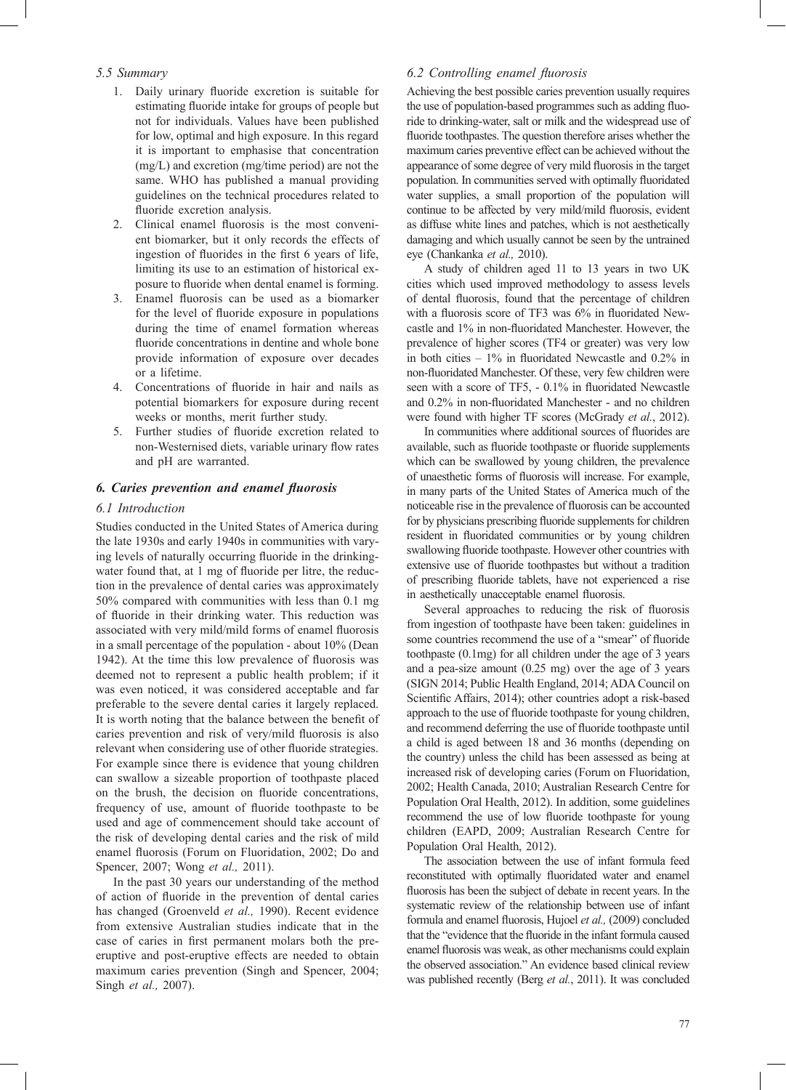## *5.5 Summary*

- 1. Daily urinary fluoride excretion is suitable for estimating fluoride intake for groups of people but not for individuals. Values have been published for low, optimal and high exposure. In this regard it is important to emphasise that concentration (mg/L) and excretion (mg/time period) are not the same. WHO has published a manual providing guidelines on the technical procedures related to fluoride excretion analysis.
- 2. Clinical enamel fluorosis is the most convenient biomarker, but it only records the effects of ingestion of fluorides in the first 6 years of life, limiting its use to an estimation of historical exposure to fluoride when dental enamel is forming.
- 3. Enamel fluorosis can be used as a biomarker for the level of fluoride exposure in populations during the time of enamel formation whereas fluoride concentrations in dentine and whole bone provide information of exposure over decades or a lifetime.
- 4. Concentrations of fluoride in hair and nails as potential biomarkers for exposure during recent weeks or months, merit further study.
- 5. Further studies of fluoride excretion related to non-Westernised diets, variable urinary flow rates and pH are warranted.

## *6. Caries prevention and enamel fl uorosis*

## *6.1 Introduction*

Studies conducted in the United States of America during the late 1930s and early 1940s in communities with varying levels of naturally occurring fluoride in the drinkingwater found that, at 1 mg of fluoride per litre, the reduction in the prevalence of dental caries was approximately 50% compared with communities with less than 0.1 mg of fluoride in their drinking water. This reduction was associated with very mild/mild forms of enamel fluorosis in a small percentage of the population - about 10% (Dean 1942). At the time this low prevalence of fluorosis was deemed not to represent a public health problem; if it was even noticed, it was considered acceptable and far preferable to the severe dental caries it largely replaced. It is worth noting that the balance between the benefit of caries prevention and risk of very/mild fluorosis is also relevant when considering use of other fluoride strategies. For example since there is evidence that young children can swallow a sizeable proportion of toothpaste placed on the brush, the decision on fluoride concentrations, frequency of use, amount of fluoride toothpaste to be used and age of commencement should take account of the risk of developing dental caries and the risk of mild enamel fluorosis (Forum on Fluoridation, 2002; Do and Spencer, 2007; Wong *et al.,* 2011).

In the past 30 years our understanding of the method of action of fluoride in the prevention of dental caries has changed (Groenveld *et al.,* 1990). Recent evidence from extensive Australian studies indicate that in the case of caries in first permanent molars both the preeruptive and post-eruptive effects are needed to obtain maximum caries prevention (Singh and Spencer, 2004; Singh *et al.,* 2007).

## *6.2 Controlling enamel fl uorosis*

Achieving the best possible caries prevention usually requires the use of population-based programmes such as adding fluoride to drinking-water, salt or milk and the widespread use of fluoride toothpastes. The question therefore arises whether the maximum caries preventive effect can be achieved without the appearance of some degree of very mild fluorosis in the target population. In communities served with optimally fluoridated water supplies, a small proportion of the population will continue to be affected by very mild/mild fluorosis, evident as diffuse white lines and patches, which is not aesthetically damaging and which usually cannot be seen by the untrained eye (Chankanka *et al.,* 2010).

A study of children aged 11 to 13 years in two UK cities which used improved methodology to assess levels of dental fluorosis, found that the percentage of children with a fluorosis score of TF3 was  $6\%$  in fluoridated Newcastle and 1% in non-fluoridated Manchester. However, the prevalence of higher scores (TF4 or greater) was very low in both cities  $-1\%$  in fluoridated Newcastle and 0.2% in non-fluoridated Manchester. Of these, very few children were seen with a score of TF5, - 0.1% in fluoridated Newcastle and 0.2% in non-fluoridated Manchester - and no children were found with higher TF scores (McGrady *et al.*, 2012).

In communities where additional sources of fluorides are available, such as fluoride toothpaste or fluoride supplements which can be swallowed by young children, the prevalence of unaesthetic forms of fluorosis will increase. For example, in many parts of the United States of America much of the noticeable rise in the prevalence of fluorosis can be accounted for by physicians prescribing fluoride supplements for children resident in fluoridated communities or by young children swallowing fluoride toothpaste. However other countries with extensive use of fluoride toothpastes but without a tradition of prescribing fluoride tablets, have not experienced a rise in aesthetically unacceptable enamel fluorosis.

Several approaches to reducing the risk of fluorosis from ingestion of toothpaste have been taken: guidelines in some countries recommend the use of a "smear" of fluoride toothpaste (0.1mg) for all children under the age of 3 years and a pea-size amount (0.25 mg) over the age of 3 years (SIGN 2014; Public Health England, 2014; ADA Council on Scientific Affairs, 2014); other countries adopt a risk-based approach to the use of fluoride toothpaste for young children, and recommend deferring the use of fluoride toothpaste until a child is aged between 18 and 36 months (depending on the country) unless the child has been assessed as being at increased risk of developing caries (Forum on Fluoridation, 2002; Health Canada, 2010; Australian Research Centre for Population Oral Health, 2012). In addition, some guidelines recommend the use of low fluoride toothpaste for young children (EAPD, 2009; Australian Research Centre for Population Oral Health, 2012).

The association between the use of infant formula feed reconstituted with optimally fluoridated water and enamel fluorosis has been the subject of debate in recent years. In the systematic review of the relationship between use of infant formula and enamel fluorosis, Hujoel et al., (2009) concluded that the "evidence that the fluoride in the infant formula caused enamel fluorosis was weak, as other mechanisms could explain the observed association." An evidence based clinical review was published recently (Berg *et al.*, 2011). It was concluded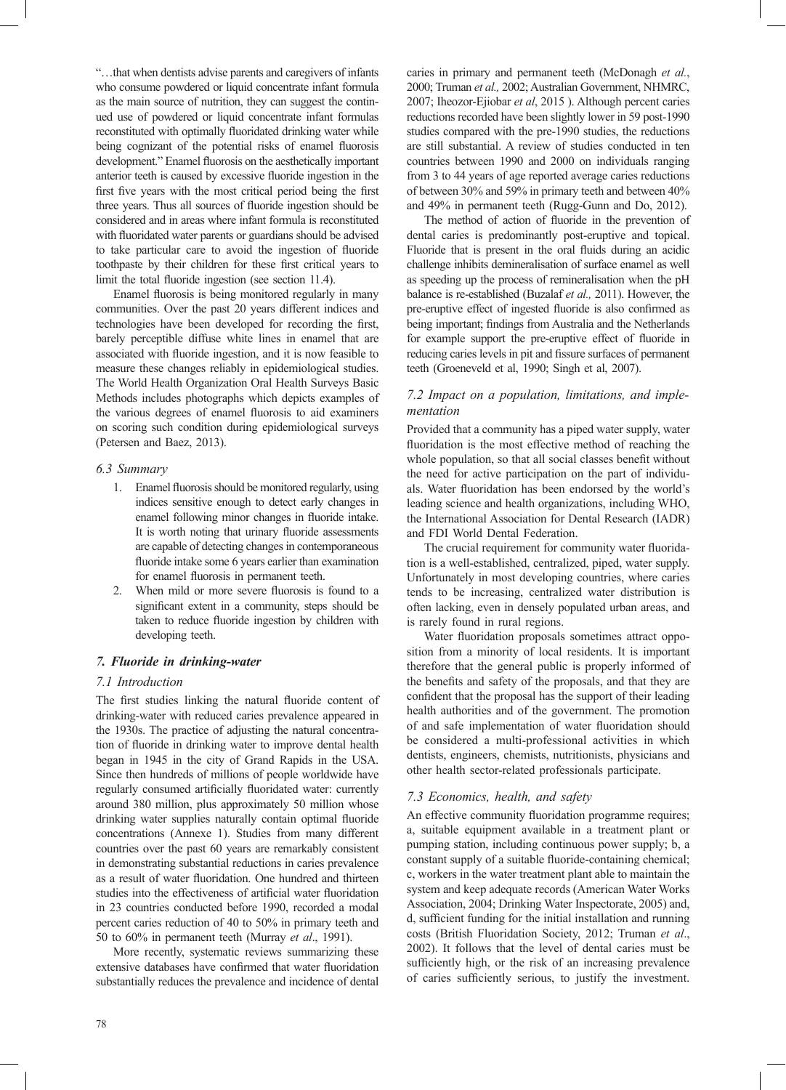"…that when dentists advise parents and caregivers of infants who consume powdered or liquid concentrate infant formula as the main source of nutrition, they can suggest the continued use of powdered or liquid concentrate infant formulas reconstituted with optimally fluoridated drinking water while being cognizant of the potential risks of enamel fluorosis development." Enamel fluorosis on the aesthetically important anterior teeth is caused by excessive fluoride ingestion in the first five years with the most critical period being the first three years. Thus all sources of fluoride ingestion should be considered and in areas where infant formula is reconstituted with fluoridated water parents or guardians should be advised to take particular care to avoid the ingestion of fluoride toothpaste by their children for these first critical years to limit the total fluoride ingestion (see section 11.4).

Enamel fluorosis is being monitored regularly in many communities. Over the past 20 years different indices and technologies have been developed for recording the first, barely perceptible diffuse white lines in enamel that are associated with fluoride ingestion, and it is now feasible to measure these changes reliably in epidemiological studies. The World Health Organization Oral Health Surveys Basic Methods includes photographs which depicts examples of the various degrees of enamel fluorosis to aid examiners on scoring such condition during epidemiological surveys (Petersen and Baez, 2013).

### *6.3 Summary*

- 1. Enamel fluorosis should be monitored regularly, using indices sensitive enough to detect early changes in enamel following minor changes in fluoride intake. It is worth noting that urinary fluoride assessments are capable of detecting changes in contemporaneous fluoride intake some 6 years earlier than examination for enamel fluorosis in permanent teeth.
- 2. When mild or more severe fluorosis is found to a significant extent in a community, steps should be taken to reduce fluoride ingestion by children with developing teeth.

## *7. Fluoride in drinking-water*

## *7.1 Introduction*

The first studies linking the natural fluoride content of drinking-water with reduced caries prevalence appeared in the 1930s. The practice of adjusting the natural concentration of fluoride in drinking water to improve dental health began in 1945 in the city of Grand Rapids in the USA. Since then hundreds of millions of people worldwide have regularly consumed artificially fluoridated water: currently around 380 million, plus approximately 50 million whose drinking water supplies naturally contain optimal fluoride concentrations (Annexe 1). Studies from many different countries over the past 60 years are remarkably consistent in demonstrating substantial reductions in caries prevalence as a result of water fluoridation. One hundred and thirteen studies into the effectiveness of artificial water fluoridation in 23 countries conducted before 1990, recorded a modal percent caries reduction of 40 to 50% in primary teeth and 50 to 60% in permanent teeth (Murray *et al*., 1991).

More recently, systematic reviews summarizing these extensive databases have confirmed that water fluoridation substantially reduces the prevalence and incidence of dental caries in primary and permanent teeth (McDonagh *et al.*, 2000; Truman *et al.,* 2002; Australian Government, NHMRC, 2007; Iheozor-Ejiobar *et al*, 2015 ). Although percent caries reductions recorded have been slightly lower in 59 post-1990 studies compared with the pre-1990 studies, the reductions are still substantial. A review of studies conducted in ten countries between 1990 and 2000 on individuals ranging from 3 to 44 years of age reported average caries reductions of between 30% and 59% in primary teeth and between 40% and 49% in permanent teeth (Rugg-Gunn and Do, 2012).

The method of action of fluoride in the prevention of dental caries is predominantly post-eruptive and topical. Fluoride that is present in the oral fluids during an acidic challenge inhibits demineralisation of surface enamel as well as speeding up the process of remineralisation when the pH balance is re-established (Buzalaf *et al.,* 2011). However, the pre-eruptive effect of ingested fluoride is also confirmed as being important; findings from Australia and the Netherlands for example support the pre-eruptive effect of fluoride in reducing caries levels in pit and fissure surfaces of permanent teeth (Groeneveld et al, 1990; Singh et al, 2007).

## *7.2 Impact on a population, limitations, and implementation*

Provided that a community has a piped water supply, water fluoridation is the most effective method of reaching the whole population, so that all social classes benefit without the need for active participation on the part of individuals. Water fluoridation has been endorsed by the world's leading science and health organizations, including WHO, the International Association for Dental Research (IADR) and FDI World Dental Federation.

The crucial requirement for community water fluoridation is a well-established, centralized, piped, water supply. Unfortunately in most developing countries, where caries tends to be increasing, centralized water distribution is often lacking, even in densely populated urban areas, and is rarely found in rural regions.

Water fluoridation proposals sometimes attract opposition from a minority of local residents. It is important therefore that the general public is properly informed of the benefits and safety of the proposals, and that they are confident that the proposal has the support of their leading health authorities and of the government. The promotion of and safe implementation of water fluoridation should be considered a multi-professional activities in which dentists, engineers, chemists, nutritionists, physicians and other health sector-related professionals participate.

## *7.3 Economics, health, and safety*

An effective community fluoridation programme requires; a, suitable equipment available in a treatment plant or pumping station, including continuous power supply; b, a constant supply of a suitable fluoride-containing chemical; c, workers in the water treatment plant able to maintain the system and keep adequate records (American Water Works Association, 2004; Drinking Water Inspectorate, 2005) and, d, sufficient funding for the initial installation and running costs (British Fluoridation Society, 2012; Truman *et al*., 2002). It follows that the level of dental caries must be sufficiently high, or the risk of an increasing prevalence of caries sufficiently serious, to justify the investment.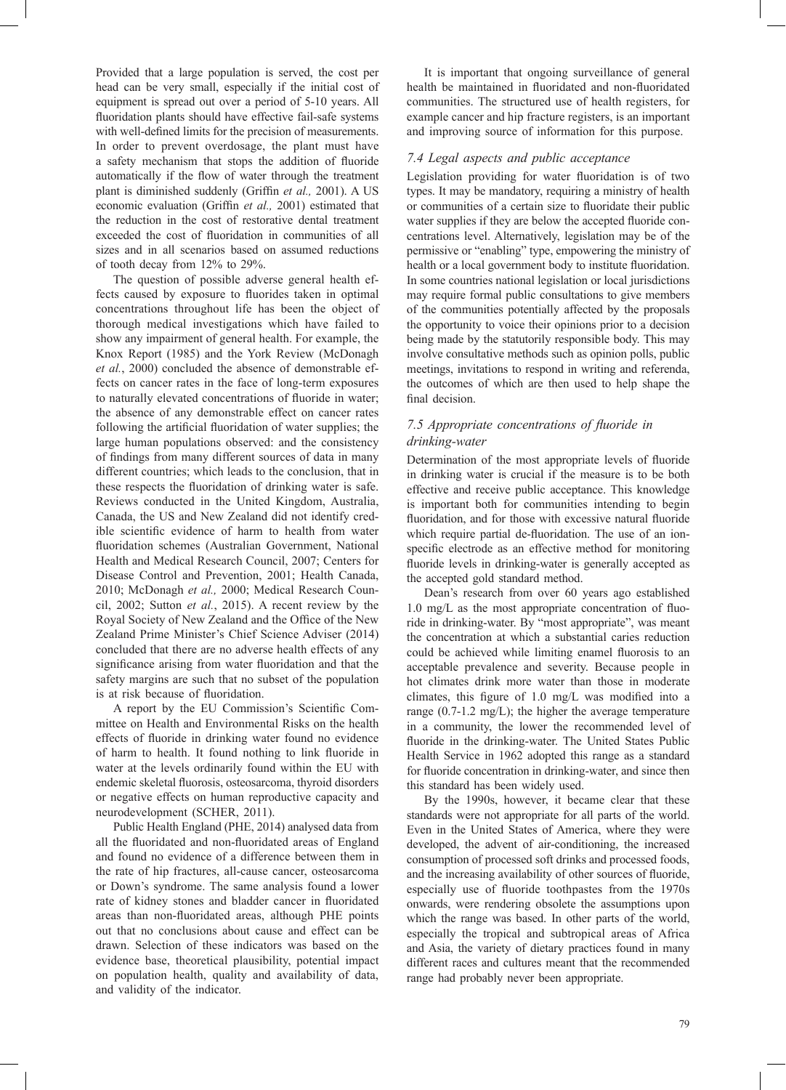Provided that a large population is served, the cost per head can be very small, especially if the initial cost of equipment is spread out over a period of 5-10 years. All fluoridation plants should have effective fail-safe systems with well-defined limits for the precision of measurements. In order to prevent overdosage, the plant must have a safety mechanism that stops the addition of fluoride automatically if the flow of water through the treatment plant is diminished suddenly (Griffin et al., 2001). A US economic evaluation (Griffin et al., 2001) estimated that the reduction in the cost of restorative dental treatment exceeded the cost of fluoridation in communities of all sizes and in all scenarios based on assumed reductions of tooth decay from 12% to 29%.

The question of possible adverse general health effects caused by exposure to fluorides taken in optimal concentrations throughout life has been the object of thorough medical investigations which have failed to show any impairment of general health. For example, the Knox Report (1985) and the York Review (McDonagh *et al.*, 2000) concluded the absence of demonstrable effects on cancer rates in the face of long-term exposures to naturally elevated concentrations of fluoride in water; the absence of any demonstrable effect on cancer rates following the artificial fluoridation of water supplies; the large human populations observed: and the consistency of findings from many different sources of data in many different countries; which leads to the conclusion, that in these respects the fluoridation of drinking water is safe. Reviews conducted in the United Kingdom, Australia, Canada, the US and New Zealand did not identify credible scientific evidence of harm to health from water fluoridation schemes (Australian Government, National Health and Medical Research Council, 2007; Centers for Disease Control and Prevention, 2001; Health Canada, 2010; McDonagh *et al.,* 2000; Medical Research Council, 2002; Sutton *et al.*, 2015). A recent review by the Royal Society of New Zealand and the Office of the New Zealand Prime Minister's Chief Science Adviser (2014) concluded that there are no adverse health effects of any significance arising from water fluoridation and that the safety margins are such that no subset of the population is at risk because of fluoridation.

A report by the EU Commission's Scientific Committee on Health and Environmental Risks on the health effects of fluoride in drinking water found no evidence of harm to health. It found nothing to link fluoride in water at the levels ordinarily found within the EU with endemic skeletal fluorosis, osteosarcoma, thyroid disorders or negative effects on human reproductive capacity and neurodevelopment (SCHER, 2011).

Public Health England (PHE, 2014) analysed data from all the fluoridated and non-fluoridated areas of England and found no evidence of a difference between them in the rate of hip fractures, all-cause cancer, osteosarcoma or Down's syndrome. The same analysis found a lower rate of kidney stones and bladder cancer in fluoridated areas than non-fluoridated areas, although PHE points out that no conclusions about cause and effect can be drawn. Selection of these indicators was based on the evidence base, theoretical plausibility, potential impact on population health, quality and availability of data, and validity of the indicator.

It is important that ongoing surveillance of general health be maintained in fluoridated and non-fluoridated communities. The structured use of health registers, for example cancer and hip fracture registers, is an important and improving source of information for this purpose.

## *7.4 Legal aspects and public acceptance*

Legislation providing for water fluoridation is of two types. It may be mandatory, requiring a ministry of health or communities of a certain size to fluoridate their public water supplies if they are below the accepted fluoride concentrations level. Alternatively, legislation may be of the permissive or "enabling" type, empowering the ministry of health or a local government body to institute fluoridation. In some countries national legislation or local jurisdictions may require formal public consultations to give members of the communities potentially affected by the proposals the opportunity to voice their opinions prior to a decision being made by the statutorily responsible body. This may involve consultative methods such as opinion polls, public meetings, invitations to respond in writing and referenda, the outcomes of which are then used to help shape the final decision.

## 7.5 Appropriate concentrations of fluoride in *drinking-water*

Determination of the most appropriate levels of fluoride in drinking water is crucial if the measure is to be both effective and receive public acceptance. This knowledge is important both for communities intending to begin fluoridation, and for those with excessive natural fluoride which require partial de-fluoridation. The use of an ionspecific electrode as an effective method for monitoring fluoride levels in drinking-water is generally accepted as the accepted gold standard method.

Dean's research from over 60 years ago established  $1.0 \text{ mg/L}$  as the most appropriate concentration of fluoride in drinking-water. By "most appropriate", was meant the concentration at which a substantial caries reduction could be achieved while limiting enamel fluorosis to an acceptable prevalence and severity. Because people in hot climates drink more water than those in moderate climates, this figure of 1.0 mg/L was modified into a range (0.7-1.2 mg/L); the higher the average temperature in a community, the lower the recommended level of fluoride in the drinking-water. The United States Public Health Service in 1962 adopted this range as a standard for fluoride concentration in drinking-water, and since then this standard has been widely used.

By the 1990s, however, it became clear that these standards were not appropriate for all parts of the world. Even in the United States of America, where they were developed, the advent of air-conditioning, the increased consumption of processed soft drinks and processed foods, and the increasing availability of other sources of fluoride, especially use of fluoride toothpastes from the 1970s onwards, were rendering obsolete the assumptions upon which the range was based. In other parts of the world, especially the tropical and subtropical areas of Africa and Asia, the variety of dietary practices found in many different races and cultures meant that the recommended range had probably never been appropriate.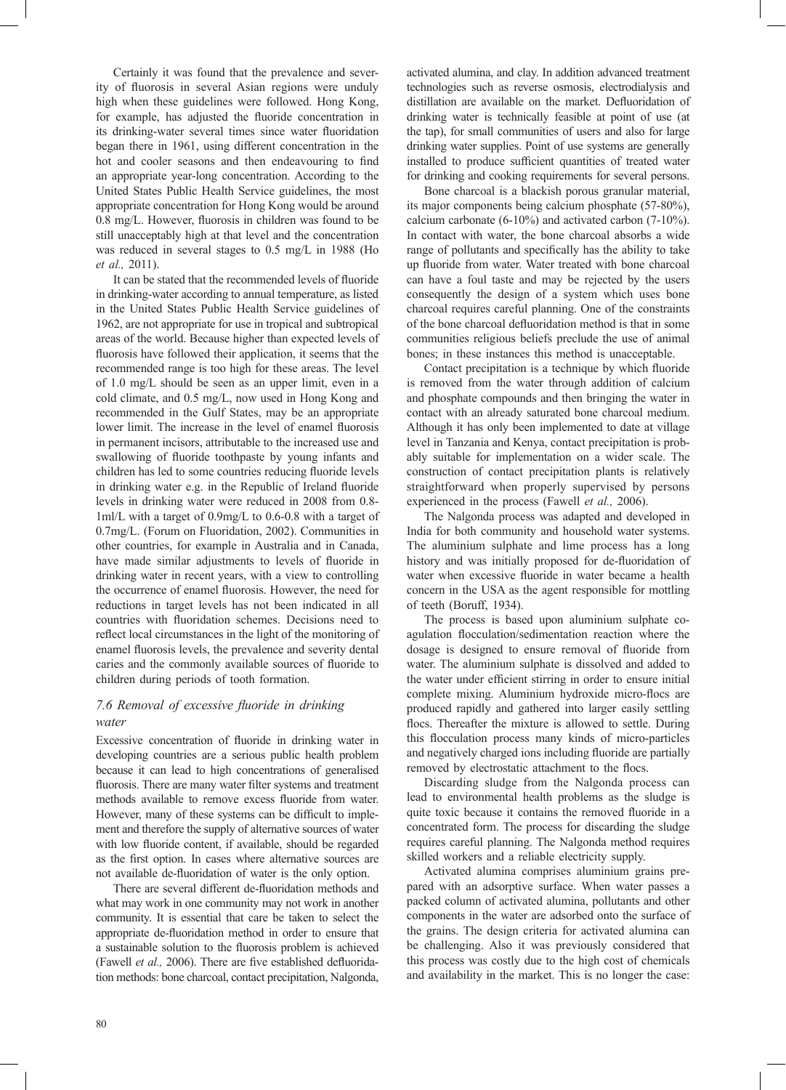Certainly it was found that the prevalence and severity of fluorosis in several Asian regions were unduly high when these guidelines were followed. Hong Kong, for example, has adjusted the fluoride concentration in its drinking-water several times since water fluoridation began there in 1961, using different concentration in the hot and cooler seasons and then endeavouring to find an appropriate year-long concentration. According to the United States Public Health Service guidelines, the most appropriate concentration for Hong Kong would be around 0.8 mg/L. However, fluorosis in children was found to be still unacceptably high at that level and the concentration was reduced in several stages to 0.5 mg/L in 1988 (Ho *et al.,* 2011).

It can be stated that the recommended levels of fluoride in drinking-water according to annual temperature, as listed in the United States Public Health Service guidelines of 1962, are not appropriate for use in tropical and subtropical areas of the world. Because higher than expected levels of fluorosis have followed their application, it seems that the recommended range is too high for these areas. The level of 1.0 mg/L should be seen as an upper limit, even in a cold climate, and 0.5 mg/L, now used in Hong Kong and recommended in the Gulf States, may be an appropriate lower limit. The increase in the level of enamel fluorosis in permanent incisors, attributable to the increased use and swallowing of fluoride toothpaste by young infants and children has led to some countries reducing fluoride levels in drinking water e.g. in the Republic of Ireland fluoride levels in drinking water were reduced in 2008 from 0.8- 1ml/L with a target of 0.9mg/L to 0.6-0.8 with a target of 0.7mg/L. (Forum on Fluoridation, 2002). Communities in other countries, for example in Australia and in Canada, have made similar adjustments to levels of fluoride in drinking water in recent years, with a view to controlling the occurrence of enamel fluorosis. However, the need for reductions in target levels has not been indicated in all countries with fluoridation schemes. Decisions need to reflect local circumstances in the light of the monitoring of enamel fluorosis levels, the prevalence and severity dental caries and the commonly available sources of fluoride to children during periods of tooth formation.

## *7.6 Removal of excessive fl uoride in drinking water*

Excessive concentration of fluoride in drinking water in developing countries are a serious public health problem because it can lead to high concentrations of generalised fluorosis. There are many water filter systems and treatment methods available to remove excess fluoride from water. However, many of these systems can be difficult to implement and therefore the supply of alternative sources of water with low fluoride content, if available, should be regarded as the first option. In cases where alternative sources are not available de-fluoridation of water is the only option.

There are several different de-fluoridation methods and what may work in one community may not work in another community. It is essential that care be taken to select the appropriate de-fluoridation method in order to ensure that a sustainable solution to the fluorosis problem is achieved (Fawell *et al.*, 2006). There are five established defluoridation methods: bone charcoal, contact precipitation, Nalgonda,

activated alumina, and clay. In addition advanced treatment technologies such as reverse osmosis, electrodialysis and distillation are available on the market. Defluoridation of drinking water is technically feasible at point of use (at the tap), for small communities of users and also for large drinking water supplies. Point of use systems are generally installed to produce sufficient quantities of treated water for drinking and cooking requirements for several persons.

Bone charcoal is a blackish porous granular material, its major components being calcium phosphate (57-80%), calcium carbonate (6-10%) and activated carbon (7-10%). In contact with water, the bone charcoal absorbs a wide range of pollutants and specifically has the ability to take up fluoride from water. Water treated with bone charcoal can have a foul taste and may be rejected by the users consequently the design of a system which uses bone charcoal requires careful planning. One of the constraints of the bone charcoal defluoridation method is that in some communities religious beliefs preclude the use of animal bones; in these instances this method is unacceptable.

Contact precipitation is a technique by which fluoride is removed from the water through addition of calcium and phosphate compounds and then bringing the water in contact with an already saturated bone charcoal medium. Although it has only been implemented to date at village level in Tanzania and Kenya, contact precipitation is probably suitable for implementation on a wider scale. The construction of contact precipitation plants is relatively straightforward when properly supervised by persons experienced in the process (Fawell *et al.,* 2006).

The Nalgonda process was adapted and developed in India for both community and household water systems. The aluminium sulphate and lime process has a long history and was initially proposed for de-fluoridation of water when excessive fluoride in water became a health concern in the USA as the agent responsible for mottling of teeth (Boruff, 1934).

The process is based upon aluminium sulphate coagulation flocculation/sedimentation reaction where the dosage is designed to ensure removal of fluoride from water. The aluminium sulphate is dissolved and added to the water under efficient stirring in order to ensure initial complete mixing. Aluminium hydroxide micro-flocs are produced rapidly and gathered into larger easily settling flocs. Thereafter the mixture is allowed to settle. During this flocculation process many kinds of micro-particles and negatively charged ions including fluoride are partially removed by electrostatic attachment to the flocs.

Discarding sludge from the Nalgonda process can lead to environmental health problems as the sludge is quite toxic because it contains the removed fluoride in a concentrated form. The process for discarding the sludge requires careful planning. The Nalgonda method requires skilled workers and a reliable electricity supply.

Activated alumina comprises aluminium grains prepared with an adsorptive surface. When water passes a packed column of activated alumina, pollutants and other components in the water are adsorbed onto the surface of the grains. The design criteria for activated alumina can be challenging. Also it was previously considered that this process was costly due to the high cost of chemicals and availability in the market. This is no longer the case: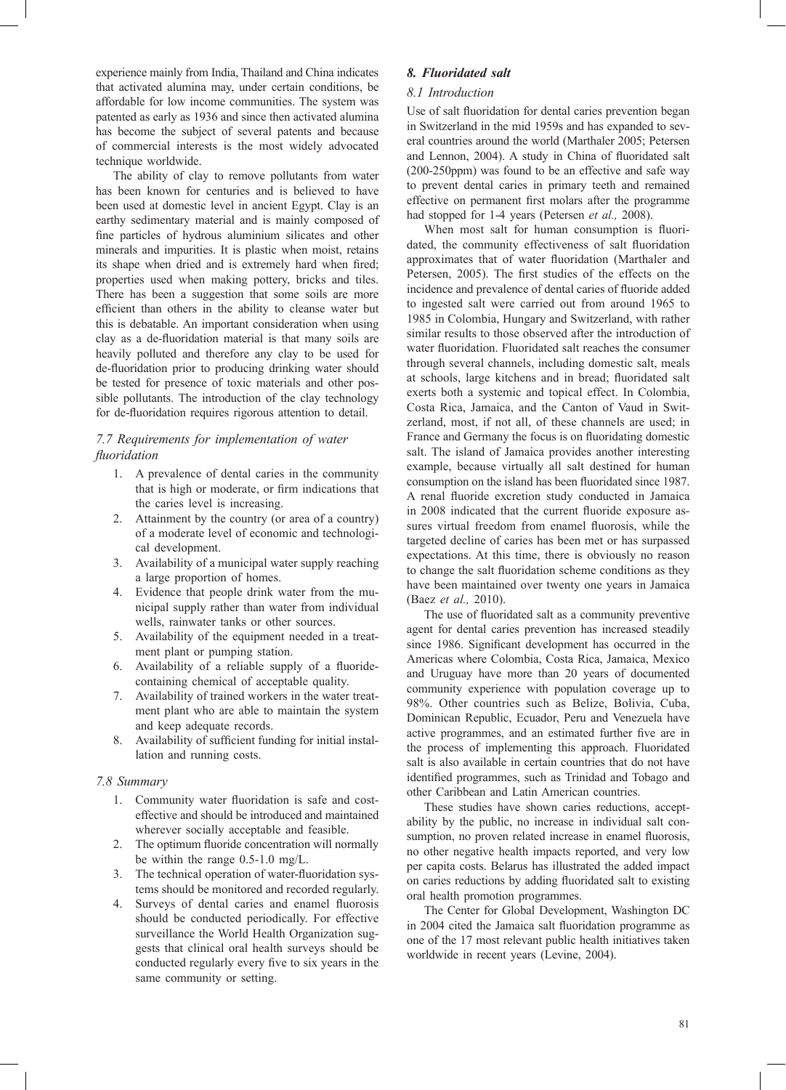experience mainly from India, Thailand and China indicates that activated alumina may, under certain conditions, be affordable for low income communities. The system was patented as early as 1936 and since then activated alumina has become the subject of several patents and because of commercial interests is the most widely advocated technique worldwide.

The ability of clay to remove pollutants from water has been known for centuries and is believed to have been used at domestic level in ancient Egypt. Clay is an earthy sedimentary material and is mainly composed of fine particles of hydrous aluminium silicates and other minerals and impurities. It is plastic when moist, retains its shape when dried and is extremely hard when fired; properties used when making pottery, bricks and tiles. There has been a suggestion that some soils are more efficient than others in the ability to cleanse water but this is debatable. An important consideration when using clay as a de-fluoridation material is that many soils are heavily polluted and therefore any clay to be used for de-fluoridation prior to producing drinking water should be tested for presence of toxic materials and other possible pollutants. The introduction of the clay technology for de-fluoridation requires rigorous attention to detail.

## *7.7 Requirements for implementation of water fluoridation*

- 1. A prevalence of dental caries in the community that is high or moderate, or firm indications that the caries level is increasing.
- 2. Attainment by the country (or area of a country) of a moderate level of economic and technological development.
- 3. Availability of a municipal water supply reaching a large proportion of homes.
- 4. Evidence that people drink water from the municipal supply rather than water from individual wells, rainwater tanks or other sources.
- 5. Availability of the equipment needed in a treatment plant or pumping station.
- 6. Availability of a reliable supply of a fluoridecontaining chemical of acceptable quality.
- 7. Availability of trained workers in the water treatment plant who are able to maintain the system and keep adequate records.
- 8. Availability of sufficient funding for initial installation and running costs.

## *7.8 Summary*

- 1. Community water fluoridation is safe and costeffective and should be introduced and maintained wherever socially acceptable and feasible.
- 2. The optimum fluoride concentration will normally be within the range 0.5-1.0 mg/L.
- 3. The technical operation of water-fluoridation systems should be monitored and recorded regularly.
- 4. Surveys of dental caries and enamel fluorosis should be conducted periodically. For effective surveillance the World Health Organization suggests that clinical oral health surveys should be conducted regularly every five to six years in the same community or setting.

## *8. Fluoridated salt*

## *8.1 Introduction*

Use of salt fluoridation for dental caries prevention began in Switzerland in the mid 1959s and has expanded to several countries around the world (Marthaler 2005; Petersen and Lennon, 2004). A study in China of fluoridated salt (200-250ppm) was found to be an effective and safe way to prevent dental caries in primary teeth and remained effective on permanent first molars after the programme had stopped for 1-4 years (Petersen *et al.,* 2008).

When most salt for human consumption is fluoridated, the community effectiveness of salt fluoridation approximates that of water fluoridation (Marthaler and Petersen, 2005). The first studies of the effects on the incidence and prevalence of dental caries of fluoride added to ingested salt were carried out from around 1965 to 1985 in Colombia, Hungary and Switzerland, with rather similar results to those observed after the introduction of water fluoridation. Fluoridated salt reaches the consumer through several channels, including domestic salt, meals at schools, large kitchens and in bread; fluoridated salt exerts both a systemic and topical effect. In Colombia, Costa Rica, Jamaica, and the Canton of Vaud in Switzerland, most, if not all, of these channels are used; in France and Germany the focus is on fluoridating domestic salt. The island of Jamaica provides another interesting example, because virtually all salt destined for human consumption on the island has been fluoridated since 1987. A renal fluoride excretion study conducted in Jamaica in 2008 indicated that the current fluoride exposure assures virtual freedom from enamel fluorosis, while the targeted decline of caries has been met or has surpassed expectations. At this time, there is obviously no reason to change the salt fluoridation scheme conditions as they have been maintained over twenty one years in Jamaica (Baez *et al.,* 2010).

The use of fluoridated salt as a community preventive agent for dental caries prevention has increased steadily since 1986. Significant development has occurred in the Americas where Colombia, Costa Rica, Jamaica, Mexico and Uruguay have more than 20 years of documented community experience with population coverage up to 98%. Other countries such as Belize, Bolivia, Cuba, Dominican Republic, Ecuador, Peru and Venezuela have active programmes, and an estimated further five are in the process of implementing this approach. Fluoridated salt is also available in certain countries that do not have identified programmes, such as Trinidad and Tobago and other Caribbean and Latin American countries.

These studies have shown caries reductions, acceptability by the public, no increase in individual salt consumption, no proven related increase in enamel fluorosis, no other negative health impacts reported, and very low per capita costs. Belarus has illustrated the added impact on caries reductions by adding fluoridated salt to existing oral health promotion programmes.

The Center for Global Development, Washington DC in 2004 cited the Jamaica salt fluoridation programme as one of the 17 most relevant public health initiatives taken worldwide in recent years (Levine, 2004).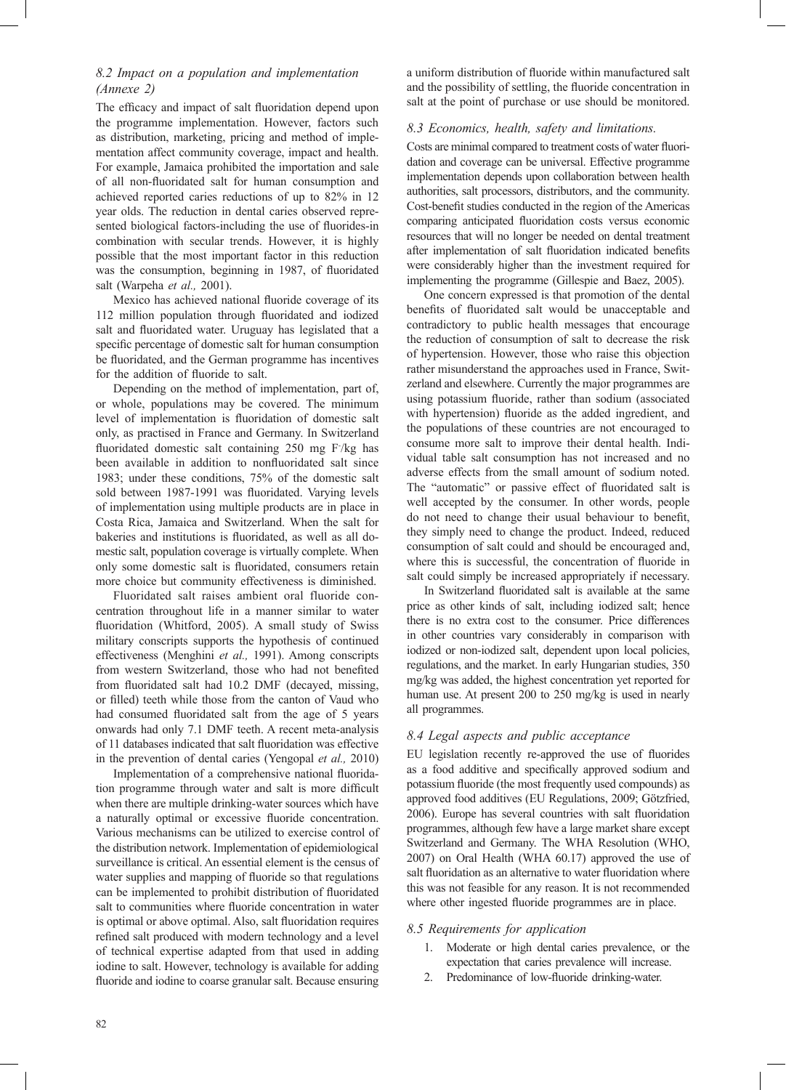## *8.2 Impact on a population and implementation (Annexe 2)*

The efficacy and impact of salt fluoridation depend upon the programme implementation. However, factors such as distribution, marketing, pricing and method of implementation affect community coverage, impact and health. For example, Jamaica prohibited the importation and sale of all non-fluoridated salt for human consumption and achieved reported caries reductions of up to 82% in 12 year olds. The reduction in dental caries observed represented biological factors-including the use of fluorides-in combination with secular trends. However, it is highly possible that the most important factor in this reduction was the consumption, beginning in 1987, of fluoridated salt (Warpeha *et al.,* 2001).

Mexico has achieved national fluoride coverage of its 112 million population through fluoridated and iodized salt and fluoridated water. Uruguay has legislated that a specific percentage of domestic salt for human consumption be fluoridated, and the German programme has incentives for the addition of fluoride to salt.

Depending on the method of implementation, part of, or whole, populations may be covered. The minimum level of implementation is fluoridation of domestic salt only, as practised in France and Germany. In Switzerland fluoridated domestic salt containing 250 mg F/kg has been available in addition to nonfluoridated salt since 1983; under these conditions, 75% of the domestic salt sold between 1987-1991 was fluoridated. Varying levels of implementation using multiple products are in place in Costa Rica, Jamaica and Switzerland. When the salt for bakeries and institutions is fluoridated, as well as all domestic salt, population coverage is virtually complete. When only some domestic salt is fluoridated, consumers retain more choice but community effectiveness is diminished.

Fluoridated salt raises ambient oral fluoride concentration throughout life in a manner similar to water fluoridation (Whitford, 2005). A small study of Swiss military conscripts supports the hypothesis of continued effectiveness (Menghini *et al.,* 1991). Among conscripts from western Switzerland, those who had not benefited from fluoridated salt had 10.2 DMF (decayed, missing, or filled) teeth while those from the canton of Vaud who had consumed fluoridated salt from the age of 5 years onwards had only 7.1 DMF teeth. A recent meta-analysis of 11 databases indicated that salt fluoridation was effective in the prevention of dental caries (Yengopal *et al.,* 2010)

Implementation of a comprehensive national fluoridation programme through water and salt is more difficult when there are multiple drinking-water sources which have a naturally optimal or excessive fluoride concentration. Various mechanisms can be utilized to exercise control of the distribution network. Implementation of epidemiological surveillance is critical. An essential element is the census of water supplies and mapping of fluoride so that regulations can be implemented to prohibit distribution of fluoridated salt to communities where fluoride concentration in water is optimal or above optimal. Also, salt fluoridation requires refined salt produced with modern technology and a level of technical expertise adapted from that used in adding iodine to salt. However, technology is available for adding fluoride and iodine to coarse granular salt. Because ensuring

a uniform distribution of fluoride within manufactured salt and the possibility of settling, the fluoride concentration in salt at the point of purchase or use should be monitored.

## *8.3 Economics, health, safety and limitations.*

Costs are minimal compared to treatment costs of water fluoridation and coverage can be universal. Effective programme implementation depends upon collaboration between health authorities, salt processors, distributors, and the community. Cost-benefit studies conducted in the region of the Americas comparing anticipated fluoridation costs versus economic resources that will no longer be needed on dental treatment after implementation of salt fluoridation indicated benefits were considerably higher than the investment required for implementing the programme (Gillespie and Baez, 2005).

One concern expressed is that promotion of the dental benefits of fluoridated salt would be unacceptable and contradictory to public health messages that encourage the reduction of consumption of salt to decrease the risk of hypertension. However, those who raise this objection rather misunderstand the approaches used in France, Switzerland and elsewhere. Currently the major programmes are using potassium fluoride, rather than sodium (associated with hypertension) fluoride as the added ingredient, and the populations of these countries are not encouraged to consume more salt to improve their dental health. Individual table salt consumption has not increased and no adverse effects from the small amount of sodium noted. The "automatic" or passive effect of fluoridated salt is well accepted by the consumer. In other words, people do not need to change their usual behaviour to benefit, they simply need to change the product. Indeed, reduced consumption of salt could and should be encouraged and, where this is successful, the concentration of fluoride in salt could simply be increased appropriately if necessary.

In Switzerland fluoridated salt is available at the same price as other kinds of salt, including iodized salt; hence there is no extra cost to the consumer. Price differences in other countries vary considerably in comparison with iodized or non-iodized salt, dependent upon local policies, regulations, and the market. In early Hungarian studies, 350 mg/kg was added, the highest concentration yet reported for human use. At present 200 to 250 mg/kg is used in nearly all programmes.

## *8.4 Legal aspects and public acceptance*

EU legislation recently re-approved the use of fluorides as a food additive and specifically approved sodium and potassium fluoride (the most frequently used compounds) as approved food additives (EU Regulations, 2009; Götzfried, 2006). Europe has several countries with salt fluoridation programmes, although few have a large market share except Switzerland and Germany. The WHA Resolution (WHO, 2007) on Oral Health (WHA 60.17) approved the use of salt fluoridation as an alternative to water fluoridation where this was not feasible for any reason. It is not recommended where other ingested fluoride programmes are in place.

## *8.5 Requirements for application*

- 1. Moderate or high dental caries prevalence, or the expectation that caries prevalence will increase.
- 2. Predominance of low-fluoride drinking-water.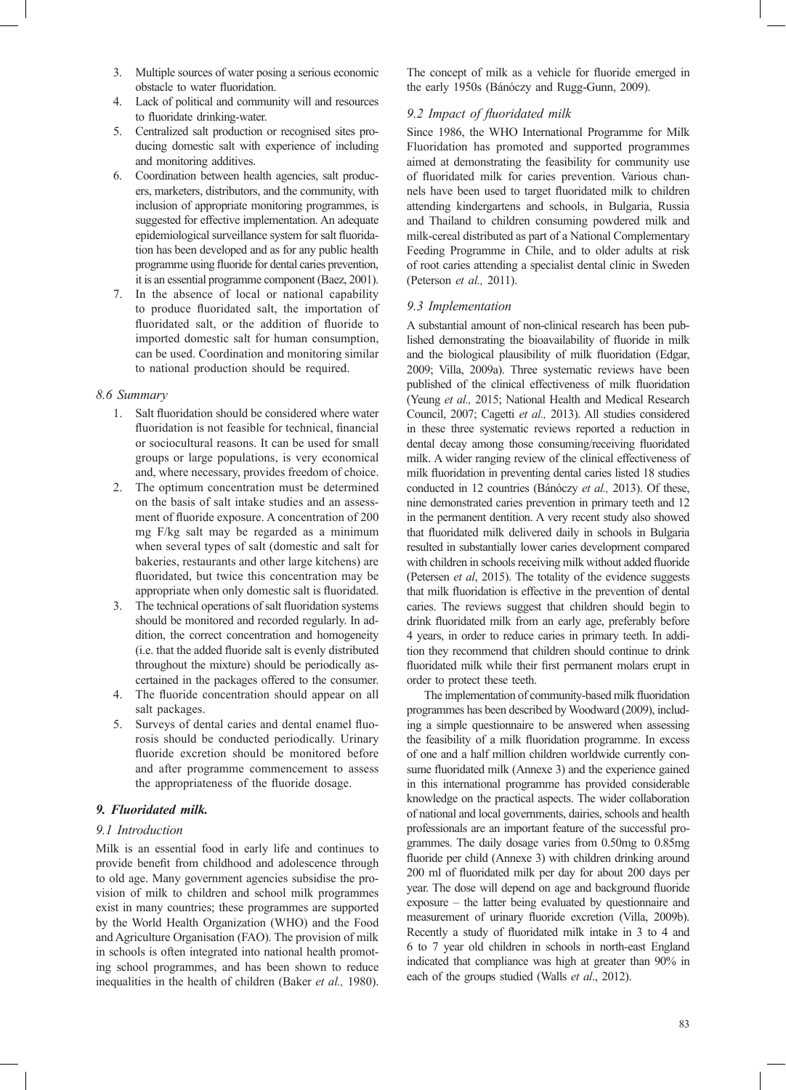- 3. Multiple sources of water posing a serious economic obstacle to water fluoridation.
- 4. Lack of political and community will and resources to fluoridate drinking-water.
- 5. Centralized salt production or recognised sites producing domestic salt with experience of including and monitoring additives.
- 6. Coordination between health agencies, salt producers, marketers, distributors, and the community, with inclusion of appropriate monitoring programmes, is suggested for effective implementation. An adequate epidemiological surveillance system for salt fluoridation has been developed and as for any public health programme using fluoride for dental caries prevention, it is an essential programme component (Baez, 2001).
- 7. In the absence of local or national capability to produce fluoridated salt, the importation of fluoridated salt, or the addition of fluoride to imported domestic salt for human consumption, can be used. Coordination and monitoring similar to national production should be required.

### *8.6 Summary*

- 1. Salt fluoridation should be considered where water fluoridation is not feasible for technical, financial or sociocultural reasons. It can be used for small groups or large populations, is very economical and, where necessary, provides freedom of choice.
- 2. The optimum concentration must be determined on the basis of salt intake studies and an assessment of fluoride exposure. A concentration of 200 mg F/kg salt may be regarded as a minimum when several types of salt (domestic and salt for bakeries, restaurants and other large kitchens) are fluoridated, but twice this concentration may be appropriate when only domestic salt is fluoridated.
- 3. The technical operations of salt fluoridation systems should be monitored and recorded regularly. In addition, the correct concentration and homogeneity (i.e. that the added fluoride salt is evenly distributed throughout the mixture) should be periodically ascertained in the packages offered to the consumer.
- 4. The fluoride concentration should appear on all salt packages.
- 5. Surveys of dental caries and dental enamel fluorosis should be conducted periodically. Urinary fluoride excretion should be monitored before and after programme commencement to assess the appropriateness of the fluoride dosage.

## *9. Fluoridated milk.*

## *9.1 Introduction*

Milk is an essential food in early life and continues to provide benefit from childhood and adolescence through to old age. Many government agencies subsidise the provision of milk to children and school milk programmes exist in many countries; these programmes are supported by the World Health Organization (WHO) and the Food and Agriculture Organisation (FAO). The provision of milk in schools is often integrated into national health promoting school programmes, and has been shown to reduce inequalities in the health of children (Baker *et al.,* 1980). The concept of milk as a vehicle for fluoride emerged in the early 1950s (Bánóczy and Rugg-Gunn, 2009).

## 9.2 Impact of fluoridated milk

Since 1986, the WHO International Programme for Milk Fluoridation has promoted and supported programmes aimed at demonstrating the feasibility for community use of fluoridated milk for caries prevention. Various channels have been used to target fluoridated milk to children attending kindergartens and schools, in Bulgaria, Russia and Thailand to children consuming powdered milk and milk-cereal distributed as part of a National Complementary Feeding Programme in Chile, and to older adults at risk of root caries attending a specialist dental clinic in Sweden (Peterson *et al.,* 2011).

## *9.3 Implementation*

A substantial amount of non-clinical research has been published demonstrating the bioavailability of fluoride in milk and the biological plausibility of milk fluoridation (Edgar, 2009; Villa, 2009a). Three systematic reviews have been published of the clinical effectiveness of milk fluoridation (Yeung *et al.,* 2015; National Health and Medical Research Council, 2007; Cagetti *et al.,* 2013). All studies considered in these three systematic reviews reported a reduction in dental decay among those consuming/receiving fluoridated milk. A wider ranging review of the clinical effectiveness of milk fluoridation in preventing dental caries listed 18 studies conducted in 12 countries (Bánóczy *et al.,* 2013). Of these, nine demonstrated caries prevention in primary teeth and 12 in the permanent dentition. A very recent study also showed that fluoridated milk delivered daily in schools in Bulgaria resulted in substantially lower caries development compared with children in schools receiving milk without added fluoride (Petersen *et al*, 2015). The totality of the evidence suggests that milk fluoridation is effective in the prevention of dental caries. The reviews suggest that children should begin to drink fluoridated milk from an early age, preferably before 4 years, in order to reduce caries in primary teeth. In addition they recommend that children should continue to drink fluoridated milk while their first permanent molars erupt in order to protect these teeth.

The implementation of community-based milk fluoridation programmes has been described by Woodward (2009), including a simple questionnaire to be answered when assessing the feasibility of a milk fluoridation programme. In excess of one and a half million children worldwide currently consume fluoridated milk (Annexe 3) and the experience gained in this international programme has provided considerable knowledge on the practical aspects. The wider collaboration of national and local governments, dairies, schools and health professionals are an important feature of the successful programmes. The daily dosage varies from 0.50mg to 0.85mg fluoride per child (Annexe 3) with children drinking around 200 ml of fluoridated milk per day for about 200 days per year. The dose will depend on age and background fluoride exposure – the latter being evaluated by questionnaire and measurement of urinary fluoride excretion (Villa, 2009b). Recently a study of fluoridated milk intake in 3 to 4 and 6 to 7 year old children in schools in north-east England indicated that compliance was high at greater than 90% in each of the groups studied (Walls *et al*., 2012).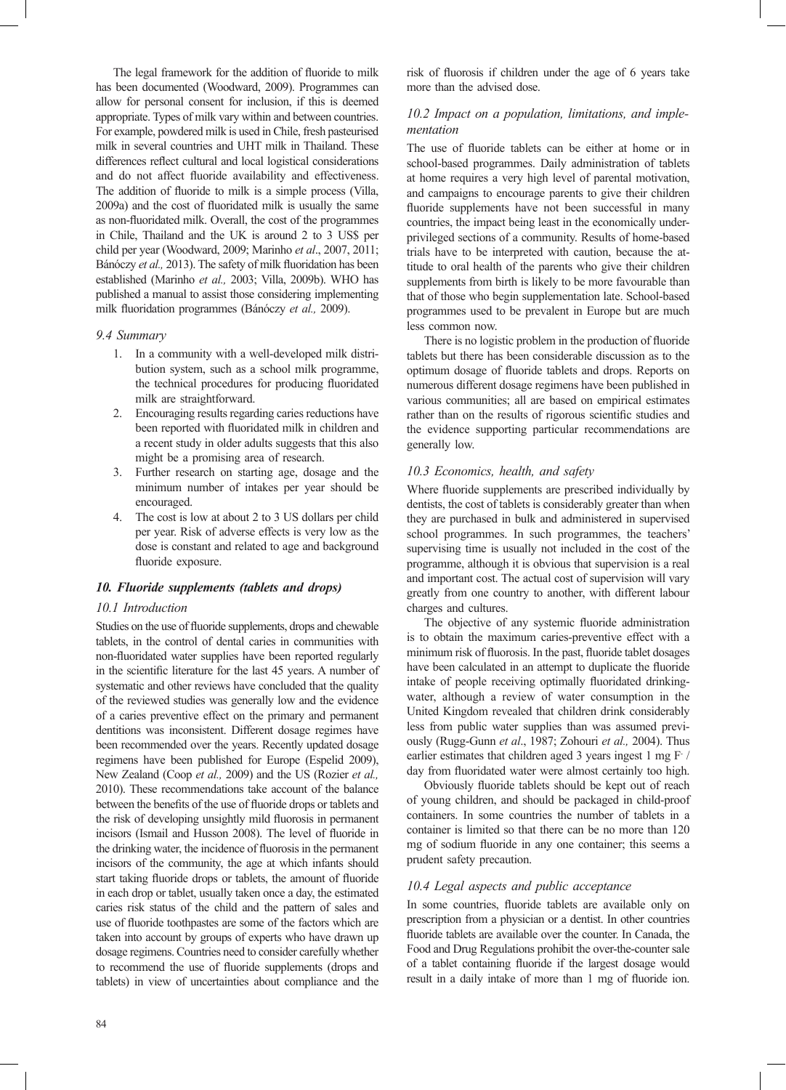The legal framework for the addition of fluoride to milk has been documented (Woodward, 2009). Programmes can allow for personal consent for inclusion, if this is deemed appropriate. Types of milk vary within and between countries. For example, powdered milk is used in Chile, fresh pasteurised milk in several countries and UHT milk in Thailand. These differences reflect cultural and local logistical considerations and do not affect fluoride availability and effectiveness. The addition of fluoride to milk is a simple process (Villa, 2009a) and the cost of fluoridated milk is usually the same as non-fluoridated milk. Overall, the cost of the programmes in Chile, Thailand and the UK is around 2 to 3 US\$ per child per year (Woodward, 2009; Marinho *et al*., 2007, 2011; Bánóczy et al., 2013). The safety of milk fluoridation has been established (Marinho *et al.,* 2003; Villa, 2009b). WHO has published a manual to assist those considering implementing milk fluoridation programmes (Bánóczy *et al.*, 2009).

#### *9.4 Summary*

- 1. In a community with a well-developed milk distribution system, such as a school milk programme, the technical procedures for producing fluoridated milk are straightforward.
- 2. Encouraging results regarding caries reductions have been reported with fluoridated milk in children and a recent study in older adults suggests that this also might be a promising area of research.
- 3. Further research on starting age, dosage and the minimum number of intakes per year should be encouraged.
- 4. The cost is low at about 2 to 3 US dollars per child per year. Risk of adverse effects is very low as the dose is constant and related to age and background fluoride exposure.

### *10. Fluoride supplements (tablets and drops)*

#### *10.1 Introduction*

Studies on the use of fluoride supplements, drops and chewable tablets, in the control of dental caries in communities with non-fluoridated water supplies have been reported regularly in the scientific literature for the last 45 years. A number of systematic and other reviews have concluded that the quality of the reviewed studies was generally low and the evidence of a caries preventive effect on the primary and permanent dentitions was inconsistent. Different dosage regimes have been recommended over the years. Recently updated dosage regimens have been published for Europe (Espelid 2009), New Zealand (Coop *et al.,* 2009) and the US (Rozier *et al.,* 2010). These recommendations take account of the balance between the benefits of the use of fluoride drops or tablets and the risk of developing unsightly mild fluorosis in permanent incisors (Ismail and Husson 2008). The level of fluoride in the drinking water, the incidence of fluorosis in the permanent incisors of the community, the age at which infants should start taking fluoride drops or tablets, the amount of fluoride in each drop or tablet, usually taken once a day, the estimated caries risk status of the child and the pattern of sales and use of fluoride toothpastes are some of the factors which are taken into account by groups of experts who have drawn up dosage regimens. Countries need to consider carefully whether to recommend the use of fluoride supplements (drops and tablets) in view of uncertainties about compliance and the risk of fluorosis if children under the age of 6 years take more than the advised dose.

## *10.2 Impact on a population, limitations, and implementation*

The use of fluoride tablets can be either at home or in school-based programmes. Daily administration of tablets at home requires a very high level of parental motivation, and campaigns to encourage parents to give their children fluoride supplements have not been successful in many countries, the impact being least in the economically underprivileged sections of a community. Results of home-based trials have to be interpreted with caution, because the attitude to oral health of the parents who give their children supplements from birth is likely to be more favourable than that of those who begin supplementation late. School-based programmes used to be prevalent in Europe but are much less common now.

There is no logistic problem in the production of fluoride tablets but there has been considerable discussion as to the optimum dosage of fluoride tablets and drops. Reports on numerous different dosage regimens have been published in various communities; all are based on empirical estimates rather than on the results of rigorous scientific studies and the evidence supporting particular recommendations are generally low.

### *10.3 Economics, health, and safety*

Where fluoride supplements are prescribed individually by dentists, the cost of tablets is considerably greater than when they are purchased in bulk and administered in supervised school programmes. In such programmes, the teachers' supervising time is usually not included in the cost of the programme, although it is obvious that supervision is a real and important cost. The actual cost of supervision will vary greatly from one country to another, with different labour charges and cultures.

The objective of any systemic fluoride administration is to obtain the maximum caries-preventive effect with a minimum risk of fluorosis. In the past, fluoride tablet dosages have been calculated in an attempt to duplicate the fluoride intake of people receiving optimally fluoridated drinkingwater, although a review of water consumption in the United Kingdom revealed that children drink considerably less from public water supplies than was assumed previously (Rugg-Gunn *et al*., 1987; Zohouri *et al.,* 2004). Thus earlier estimates that children aged 3 years ingest 1 mg F / day from fluoridated water were almost certainly too high.

Obviously fluoride tablets should be kept out of reach of young children, and should be packaged in child-proof containers. In some countries the number of tablets in a container is limited so that there can be no more than 120 mg of sodium fluoride in any one container; this seems a prudent safety precaution.

#### *10.4 Legal aspects and public acceptance*

In some countries, fluoride tablets are available only on prescription from a physician or a dentist. In other countries fluoride tablets are available over the counter. In Canada, the Food and Drug Regulations prohibit the over-the-counter sale of a tablet containing fluoride if the largest dosage would result in a daily intake of more than 1 mg of fluoride ion.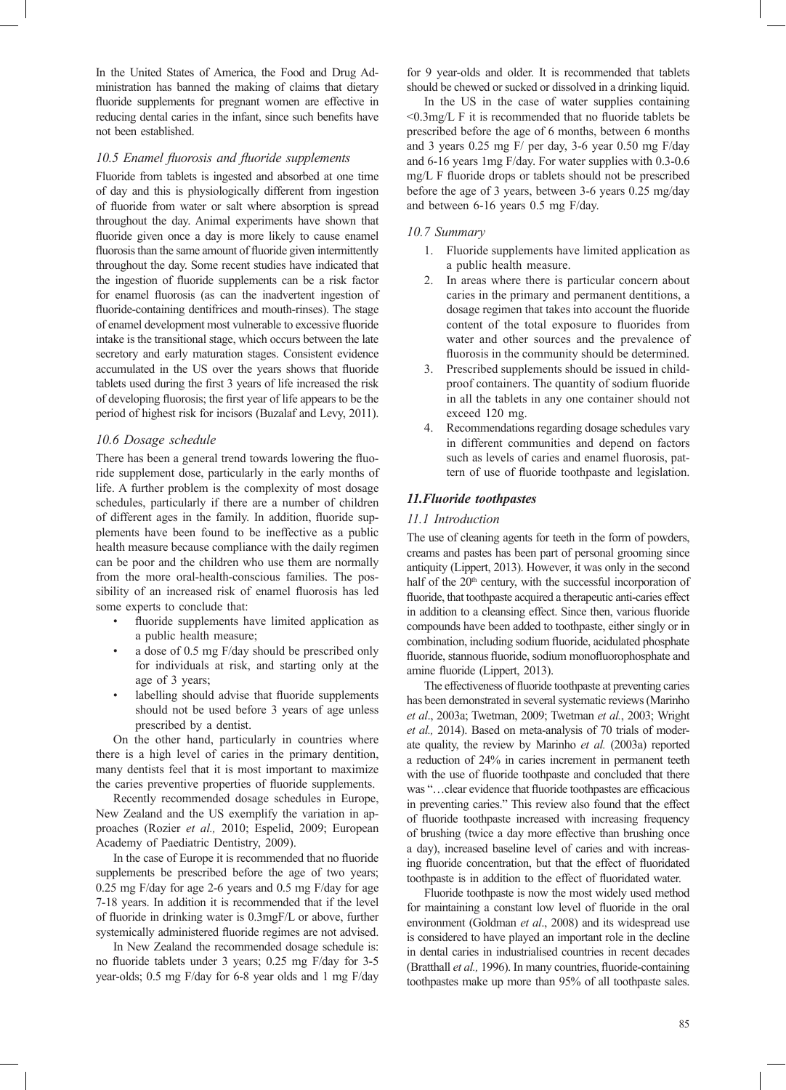In the United States of America, the Food and Drug Administration has banned the making of claims that dietary fluoride supplements for pregnant women are effective in reducing dental caries in the infant, since such benefits have not been established.

### 10.5 Enamel fluorosis and fluoride supplements

Fluoride from tablets is ingested and absorbed at one time of day and this is physiologically different from ingestion of fluoride from water or salt where absorption is spread throughout the day. Animal experiments have shown that fluoride given once a day is more likely to cause enamel fluorosis than the same amount of fluoride given intermittently throughout the day. Some recent studies have indicated that the ingestion of fluoride supplements can be a risk factor for enamel fluorosis (as can the inadvertent ingestion of fluoride-containing dentifrices and mouth-rinses). The stage of enamel development most vulnerable to excessive fluoride intake is the transitional stage, which occurs between the late secretory and early maturation stages. Consistent evidence accumulated in the US over the years shows that fluoride tablets used during the first 3 years of life increased the risk of developing fluorosis; the first year of life appears to be the period of highest risk for incisors (Buzalaf and Levy, 2011).

### *10.6 Dosage schedule*

There has been a general trend towards lowering the fluoride supplement dose, particularly in the early months of life. A further problem is the complexity of most dosage schedules, particularly if there are a number of children of different ages in the family. In addition, fluoride supplements have been found to be ineffective as a public health measure because compliance with the daily regimen can be poor and the children who use them are normally from the more oral-health-conscious families. The possibility of an increased risk of enamel fluorosis has led some experts to conclude that:

- fluoride supplements have limited application as a public health measure;
- a dose of 0.5 mg F/day should be prescribed only for individuals at risk, and starting only at the age of 3 years;
- labelling should advise that fluoride supplements should not be used before 3 years of age unless prescribed by a dentist.

On the other hand, particularly in countries where there is a high level of caries in the primary dentition, many dentists feel that it is most important to maximize the caries preventive properties of fluoride supplements.

Recently recommended dosage schedules in Europe, New Zealand and the US exemplify the variation in approaches (Rozier *et al.,* 2010; Espelid, 2009; European Academy of Paediatric Dentistry, 2009).

In the case of Europe it is recommended that no fluoride supplements be prescribed before the age of two years; 0.25 mg F/day for age 2-6 years and 0.5 mg F/day for age 7-18 years. In addition it is recommended that if the level of fluoride in drinking water is  $0.3$ mgF/L or above, further systemically administered fluoride regimes are not advised.

In New Zealand the recommended dosage schedule is: no fluoride tablets under 3 years; 0.25 mg F/day for 3-5 year-olds; 0.5 mg F/day for 6-8 year olds and 1 mg F/day for 9 year-olds and older. It is recommended that tablets should be chewed or sucked or dissolved in a drinking liquid.

In the US in the case of water supplies containing  $\leq 0.3$ mg/L F it is recommended that no fluoride tablets be prescribed before the age of 6 months, between 6 months and 3 years 0.25 mg F/ per day, 3-6 year 0.50 mg F/day and 6-16 years 1mg F/day. For water supplies with 0.3-0.6 mg/L F fluoride drops or tablets should not be prescribed before the age of 3 years, between 3-6 years 0.25 mg/day and between 6-16 years 0.5 mg F/day.

### *10.7 Summary*

- 1. Fluoride supplements have limited application as a public health measure.
- 2. In areas where there is particular concern about caries in the primary and permanent dentitions, a dosage regimen that takes into account the fluoride content of the total exposure to fluorides from water and other sources and the prevalence of fluorosis in the community should be determined.
- 3. Prescribed supplements should be issued in childproof containers. The quantity of sodium fluoride in all the tablets in any one container should not exceed 120 mg.
- 4. Recommendations regarding dosage schedules vary in different communities and depend on factors such as levels of caries and enamel fluorosis, pattern of use of fluoride toothpaste and legislation.

## *11.Fluoride toothpastes*

#### *11.1 Introduction*

The use of cleaning agents for teeth in the form of powders, creams and pastes has been part of personal grooming since antiquity (Lippert, 2013). However, it was only in the second half of the 20<sup>th</sup> century, with the successful incorporation of fluoride, that toothpaste acquired a therapeutic anti-caries effect in addition to a cleansing effect. Since then, various fluoride compounds have been added to toothpaste, either singly or in combination, including sodium fluoride, acidulated phosphate fluoride, stannous fluoride, sodium monofluorophosphate and amine fluoride (Lippert, 2013).

The effectiveness of fluoride toothpaste at preventing caries has been demonstrated in several systematic reviews (Marinho *et al*., 2003a; Twetman, 2009; Twetman *et al.*, 2003; Wright *et al.,* 2014). Based on meta-analysis of 70 trials of moderate quality, the review by Marinho *et al.* (2003a) reported a reduction of 24% in caries increment in permanent teeth with the use of fluoride toothpaste and concluded that there was "... clear evidence that fluoride toothpastes are efficacious in preventing caries." This review also found that the effect of fluoride toothpaste increased with increasing frequency of brushing (twice a day more effective than brushing once a day), increased baseline level of caries and with increasing fluoride concentration, but that the effect of fluoridated toothpaste is in addition to the effect of fluoridated water.

Fluoride toothpaste is now the most widely used method for maintaining a constant low level of fluoride in the oral environment (Goldman *et al*., 2008) and its widespread use is considered to have played an important role in the decline in dental caries in industrialised countries in recent decades (Bratthall et al., 1996). In many countries, fluoride-containing toothpastes make up more than 95% of all toothpaste sales.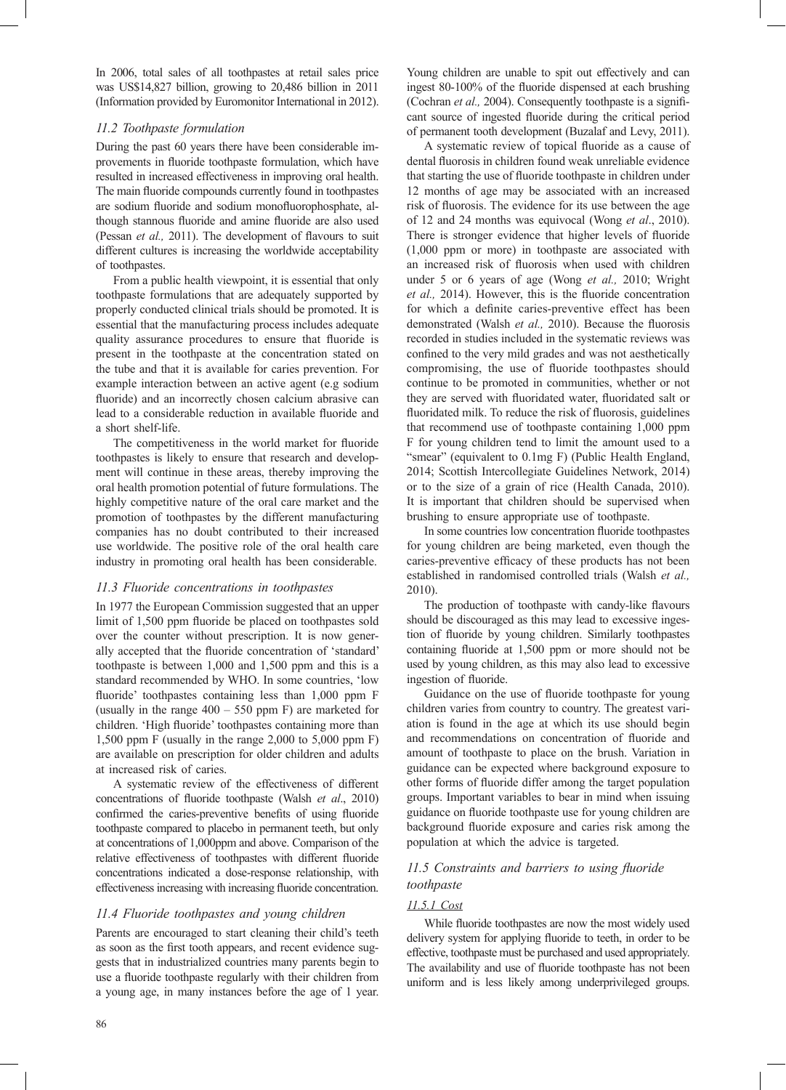In 2006, total sales of all toothpastes at retail sales price was US\$14,827 billion, growing to 20,486 billion in 2011 (Information provided by Euromonitor International in 2012).

## *11.2 Toothpaste formulation*

During the past 60 years there have been considerable improvements in fluoride toothpaste formulation, which have resulted in increased effectiveness in improving oral health. The main fluoride compounds currently found in toothpastes are sodium fluoride and sodium monofluorophosphate, although stannous fluoride and amine fluoride are also used (Pessan *et al.*, 2011). The development of flavours to suit different cultures is increasing the worldwide acceptability of toothpastes.

From a public health viewpoint, it is essential that only toothpaste formulations that are adequately supported by properly conducted clinical trials should be promoted. It is essential that the manufacturing process includes adequate quality assurance procedures to ensure that fluoride is present in the toothpaste at the concentration stated on the tube and that it is available for caries prevention. For example interaction between an active agent (e.g sodium fluoride) and an incorrectly chosen calcium abrasive can lead to a considerable reduction in available fluoride and a short shelf-life.

The competitiveness in the world market for fluoride toothpastes is likely to ensure that research and development will continue in these areas, thereby improving the oral health promotion potential of future formulations. The highly competitive nature of the oral care market and the promotion of toothpastes by the different manufacturing companies has no doubt contributed to their increased use worldwide. The positive role of the oral health care industry in promoting oral health has been considerable.

## *11.3 Fluoride concentrations in toothpastes*

In 1977 the European Commission suggested that an upper limit of 1,500 ppm fluoride be placed on toothpastes sold over the counter without prescription. It is now generally accepted that the fluoride concentration of 'standard' toothpaste is between 1,000 and 1,500 ppm and this is a standard recommended by WHO. In some countries, 'low fluoride' toothpastes containing less than 1,000 ppm F (usually in the range  $400 - 550$  ppm F) are marketed for children. 'High fluoride' toothpastes containing more than 1,500 ppm F (usually in the range 2,000 to 5,000 ppm F) are available on prescription for older children and adults at increased risk of caries.

A systematic review of the effectiveness of different concentrations of fluoride toothpaste (Walsh *et al.*, 2010) confirmed the caries-preventive benefits of using fluoride toothpaste compared to placebo in permanent teeth, but only at concentrations of 1,000ppm and above. Comparison of the relative effectiveness of toothpastes with different fluoride concentrations indicated a dose-response relationship, with effectiveness increasing with increasing fluoride concentration.

## *11.4 Fluoride toothpastes and young children*

Parents are encouraged to start cleaning their child's teeth as soon as the first tooth appears, and recent evidence suggests that in industrialized countries many parents begin to use a fluoride toothpaste regularly with their children from a young age, in many instances before the age of 1 year.

Young children are unable to spit out effectively and can ingest 80-100% of the fluoride dispensed at each brushing (Cochran et al., 2004). Consequently toothpaste is a significant source of ingested fluoride during the critical period of permanent tooth development (Buzalaf and Levy, 2011).

A systematic review of topical fluoride as a cause of dental fluorosis in children found weak unreliable evidence that starting the use of fluoride toothpaste in children under 12 months of age may be associated with an increased risk of fluorosis. The evidence for its use between the age of 12 and 24 months was equivocal (Wong *et al*., 2010). There is stronger evidence that higher levels of fluoride (1,000 ppm or more) in toothpaste are associated with an increased risk of fluorosis when used with children under 5 or 6 years of age (Wong *et al.,* 2010; Wright et al., 2014). However, this is the fluoride concentration for which a definite caries-preventive effect has been demonstrated (Walsh et al., 2010). Because the fluorosis recorded in studies included in the systematic reviews was confined to the very mild grades and was not aesthetically compromising, the use of fluoride toothpastes should continue to be promoted in communities, whether or not they are served with fluoridated water, fluoridated salt or fluoridated milk. To reduce the risk of fluorosis, guidelines that recommend use of toothpaste containing 1,000 ppm F for young children tend to limit the amount used to a "smear" (equivalent to 0.1mg F) (Public Health England, 2014; Scottish Intercollegiate Guidelines Network, 2014) or to the size of a grain of rice (Health Canada, 2010). It is important that children should be supervised when brushing to ensure appropriate use of toothpaste.

In some countries low concentration fluoride toothpastes for young children are being marketed, even though the caries-preventive efficacy of these products has not been established in randomised controlled trials (Walsh *et al.,* 2010).

The production of toothpaste with candy-like flavours should be discouraged as this may lead to excessive ingestion of fluoride by young children. Similarly toothpastes containing fluoride at 1,500 ppm or more should not be used by young children, as this may also lead to excessive ingestion of fluoride.

Guidance on the use of fluoride toothpaste for young children varies from country to country. The greatest variation is found in the age at which its use should begin and recommendations on concentration of fluoride and amount of toothpaste to place on the brush. Variation in guidance can be expected where background exposure to other forms of fluoride differ among the target population groups. Important variables to bear in mind when issuing guidance on fluoride toothpaste use for young children are background fluoride exposure and caries risk among the population at which the advice is targeted.

## 11.5 Constraints and barriers to using fluoride *toothpaste*

## *11.5.1 Cost*

While fluoride toothpastes are now the most widely used delivery system for applying fluoride to teeth, in order to be effective, toothpaste must be purchased and used appropriately. The availability and use of fluoride toothpaste has not been uniform and is less likely among underprivileged groups.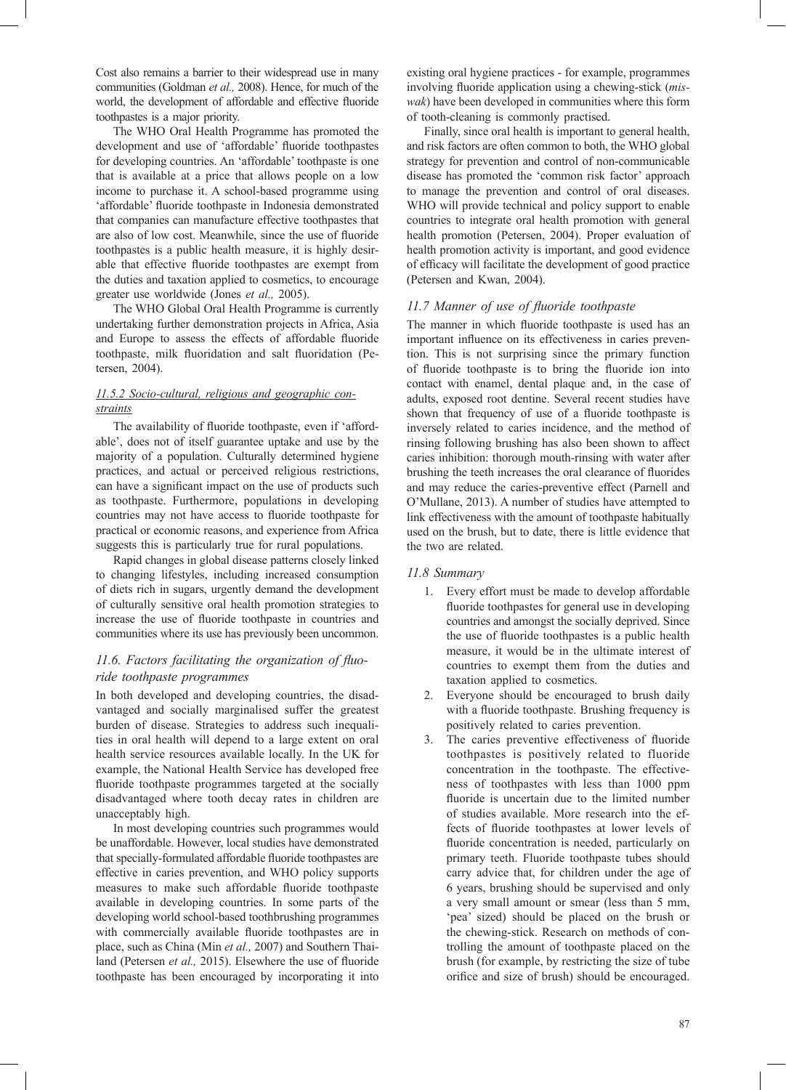Cost also remains a barrier to their widespread use in many communities (Goldman *et al.,* 2008). Hence, for much of the world, the development of affordable and effective fluoride toothpastes is a major priority.

The WHO Oral Health Programme has promoted the development and use of 'affordable' fluoride toothpastes for developing countries. An 'affordable' toothpaste is one that is available at a price that allows people on a low income to purchase it. A school-based programme using 'affordable' fluoride toothpaste in Indonesia demonstrated that companies can manufacture effective toothpastes that are also of low cost. Meanwhile, since the use of fluoride toothpastes is a public health measure, it is highly desirable that effective fluoride toothpastes are exempt from the duties and taxation applied to cosmetics, to encourage greater use worldwide (Jones *et al.,* 2005).

The WHO Global Oral Health Programme is currently undertaking further demonstration projects in Africa, Asia and Europe to assess the effects of affordable fluoride toothpaste, milk fluoridation and salt fluoridation (Petersen, 2004).

## *11.5.2 Socio-cultural, religious and geographic constraints*

The availability of fluoride toothpaste, even if 'affordable', does not of itself guarantee uptake and use by the majority of a population. Culturally determined hygiene practices, and actual or perceived religious restrictions, can have a significant impact on the use of products such as toothpaste. Furthermore, populations in developing countries may not have access to fluoride toothpaste for practical or economic reasons, and experience from Africa suggests this is particularly true for rural populations.

Rapid changes in global disease patterns closely linked to changing lifestyles, including increased consumption of diets rich in sugars, urgently demand the development of culturally sensitive oral health promotion strategies to increase the use of fluoride toothpaste in countries and communities where its use has previously been uncommon.

## 11.6. Factors facilitating the organization of fluo*ride toothpaste programmes*

In both developed and developing countries, the disadvantaged and socially marginalised suffer the greatest burden of disease. Strategies to address such inequalities in oral health will depend to a large extent on oral health service resources available locally. In the UK for example, the National Health Service has developed free fluoride toothpaste programmes targeted at the socially disadvantaged where tooth decay rates in children are unacceptably high.

In most developing countries such programmes would be unaffordable. However, local studies have demonstrated that specially-formulated affordable fluoride toothpastes are effective in caries prevention, and WHO policy supports measures to make such affordable fluoride toothpaste available in developing countries. In some parts of the developing world school-based toothbrushing programmes with commercially available fluoride toothpastes are in place, such as China (Min *et al.,* 2007) and Southern Thailand (Petersen et al., 2015). Elsewhere the use of fluoride toothpaste has been encouraged by incorporating it into

existing oral hygiene practices - for example, programmes involving fluoride application using a chewing-stick (*miswak*) have been developed in communities where this form of tooth-cleaning is commonly practised.

Finally, since oral health is important to general health, and risk factors are often common to both, the WHO global strategy for prevention and control of non-communicable disease has promoted the 'common risk factor' approach to manage the prevention and control of oral diseases. WHO will provide technical and policy support to enable countries to integrate oral health promotion with general health promotion (Petersen, 2004). Proper evaluation of health promotion activity is important, and good evidence of efficacy will facilitate the development of good practice (Petersen and Kwan, 2004).

## 11.7 Manner of use of fluoride toothpaste

The manner in which fluoride toothpaste is used has an important influence on its effectiveness in caries prevention. This is not surprising since the primary function of fluoride toothpaste is to bring the fluoride ion into contact with enamel, dental plaque and, in the case of adults, exposed root dentine. Several recent studies have shown that frequency of use of a fluoride toothpaste is inversely related to caries incidence, and the method of rinsing following brushing has also been shown to affect caries inhibition: thorough mouth-rinsing with water after brushing the teeth increases the oral clearance of fluorides and may reduce the caries-preventive effect (Parnell and O'Mullane, 2013). A number of studies have attempted to link effectiveness with the amount of toothpaste habitually used on the brush, but to date, there is little evidence that the two are related.

## *11.8 Summary*

- 1. Every effort must be made to develop affordable fluoride toothpastes for general use in developing countries and amongst the socially deprived. Since the use of fluoride toothpastes is a public health measure, it would be in the ultimate interest of countries to exempt them from the duties and taxation applied to cosmetics.
- 2. Everyone should be encouraged to brush daily with a fluoride toothpaste. Brushing frequency is positively related to caries prevention.
- 3. The caries preventive effectiveness of fluoride toothpastes is positively related to fluoride concentration in the toothpaste. The effectiveness of toothpastes with less than 1000 ppm fluoride is uncertain due to the limited number of studies available. More research into the effects of fluoride toothpastes at lower levels of fluoride concentration is needed, particularly on primary teeth. Fluoride toothpaste tubes should carry advice that, for children under the age of 6 years, brushing should be supervised and only a very small amount or smear (less than 5 mm, 'pea' sized) should be placed on the brush or the chewing-stick. Research on methods of controlling the amount of toothpaste placed on the brush (for example, by restricting the size of tube orifice and size of brush) should be encouraged.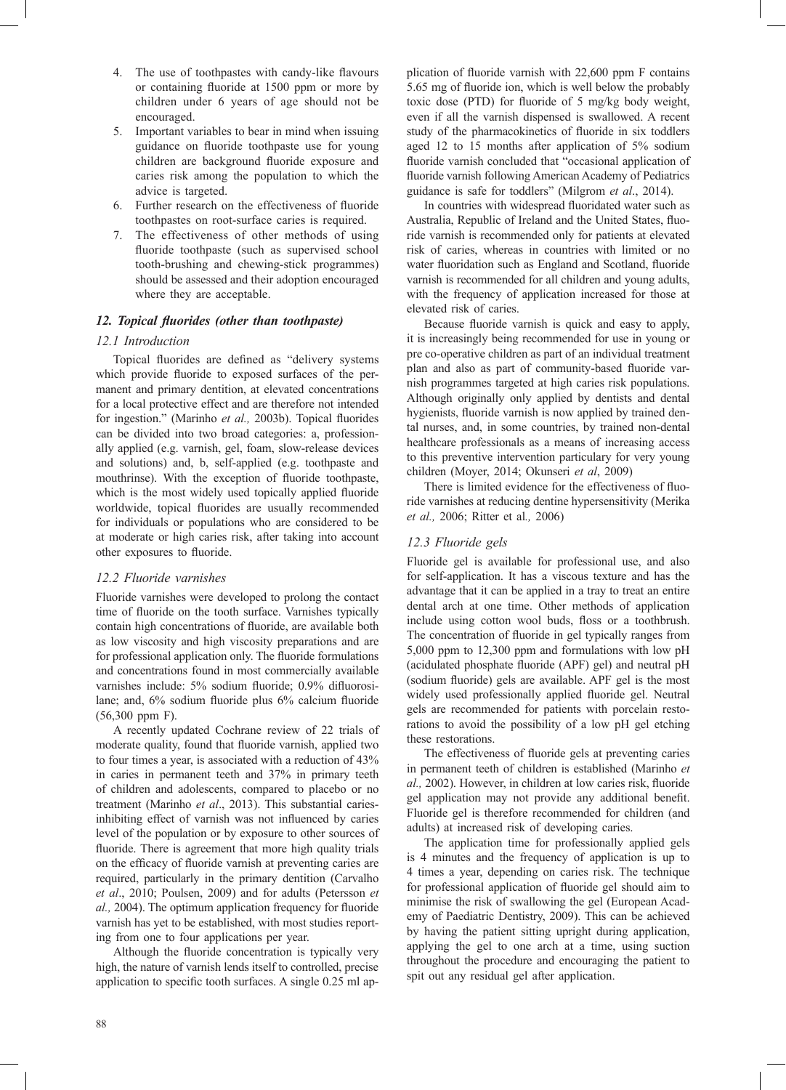- 4. The use of toothpastes with candy-like flavours or containing fluoride at 1500 ppm or more by children under 6 years of age should not be encouraged.
- 5. Important variables to bear in mind when issuing guidance on fluoride toothpaste use for young children are background fluoride exposure and caries risk among the population to which the advice is targeted.
- 6. Further research on the effectiveness of fluoride toothpastes on root-surface caries is required.
- 7. The effectiveness of other methods of using fluoride toothpaste (such as supervised school tooth-brushing and chewing-stick programmes) should be assessed and their adoption encouraged where they are acceptable.

## 12. Topical fluorides (other than toothpaste)

## *12.1 Introduction*

Topical fluorides are defined as "delivery systems which provide fluoride to exposed surfaces of the permanent and primary dentition, at elevated concentrations for a local protective effect and are therefore not intended for ingestion." (Marinho et al., 2003b). Topical fluorides can be divided into two broad categories: a, professionally applied (e.g. varnish, gel, foam, slow-release devices and solutions) and, b, self-applied (e.g. toothpaste and mouthrinse). With the exception of fluoride toothpaste, which is the most widely used topically applied fluoride worldwide, topical fluorides are usually recommended for individuals or populations who are considered to be at moderate or high caries risk, after taking into account other exposures to fluoride.

## *12.2 Fluoride varnishes*

Fluoride varnishes were developed to prolong the contact time of fluoride on the tooth surface. Varnishes typically contain high concentrations of fluoride, are available both as low viscosity and high viscosity preparations and are for professional application only. The fluoride formulations and concentrations found in most commercially available varnishes include: 5% sodium fluoride; 0.9% difluorosilane; and, 6% sodium fluoride plus 6% calcium fluoride (56,300 ppm F).

A recently updated Cochrane review of 22 trials of moderate quality, found that fluoride varnish, applied two to four times a year, is associated with a reduction of 43% in caries in permanent teeth and 37% in primary teeth of children and adolescents, compared to placebo or no treatment (Marinho *et al*., 2013). This substantial cariesinhibiting effect of varnish was not influenced by caries level of the population or by exposure to other sources of fluoride. There is agreement that more high quality trials on the efficacy of fluoride varnish at preventing caries are required, particularly in the primary dentition (Carvalho *et al*., 2010; Poulsen, 2009) and for adults (Petersson *et al.,* 2004). The optimum application frequency for fluoride varnish has yet to be established, with most studies reporting from one to four applications per year.

Although the fluoride concentration is typically very high, the nature of varnish lends itself to controlled, precise application to specific tooth surfaces. A single 0.25 ml ap-

plication of fluoride varnish with  $22,600$  ppm F contains 5.65 mg of fluoride ion, which is well below the probably toxic dose (PTD) for fluoride of 5 mg/kg body weight, even if all the varnish dispensed is swallowed. A recent study of the pharmacokinetics of fluoride in six toddlers aged 12 to 15 months after application of 5% sodium fluoride varnish concluded that "occasional application of fluoride varnish following American Academy of Pediatrics guidance is safe for toddlers" (Milgrom *et al*., 2014).

In countries with widespread fluoridated water such as Australia, Republic of Ireland and the United States, fluoride varnish is recommended only for patients at elevated risk of caries, whereas in countries with limited or no water fluoridation such as England and Scotland, fluoride varnish is recommended for all children and young adults, with the frequency of application increased for those at elevated risk of caries.

Because fluoride varnish is quick and easy to apply, it is increasingly being recommended for use in young or pre co-operative children as part of an individual treatment plan and also as part of community-based fluoride varnish programmes targeted at high caries risk populations. Although originally only applied by dentists and dental hygienists, fluoride varnish is now applied by trained dental nurses, and, in some countries, by trained non-dental healthcare professionals as a means of increasing access to this preventive intervention particulary for very young children (Moyer, 2014; Okunseri *et al*, 2009)

There is limited evidence for the effectiveness of fluoride varnishes at reducing dentine hypersensitivity (Merika *et al.,* 2006; Ritter et al*.,* 2006)

## *12.3 Fluoride gels*

Fluoride gel is available for professional use, and also for self-application. It has a viscous texture and has the advantage that it can be applied in a tray to treat an entire dental arch at one time. Other methods of application include using cotton wool buds, floss or a toothbrush. The concentration of fluoride in gel typically ranges from 5,000 ppm to 12,300 ppm and formulations with low pH (acidulated phosphate fluoride (APF) gel) and neutral pH (sodium fluoride) gels are available. APF gel is the most widely used professionally applied fluoride gel. Neutral gels are recommended for patients with porcelain restorations to avoid the possibility of a low pH gel etching these restorations.

The effectiveness of fluoride gels at preventing caries in permanent teeth of children is established (Marinho *et*  al., 2002). However, in children at low caries risk, fluoride gel application may not provide any additional benefit. Fluoride gel is therefore recommended for children (and adults) at increased risk of developing caries.

The application time for professionally applied gels is 4 minutes and the frequency of application is up to 4 times a year, depending on caries risk. The technique for professional application of fluoride gel should aim to minimise the risk of swallowing the gel (European Academy of Paediatric Dentistry, 2009). This can be achieved by having the patient sitting upright during application, applying the gel to one arch at a time, using suction throughout the procedure and encouraging the patient to spit out any residual gel after application.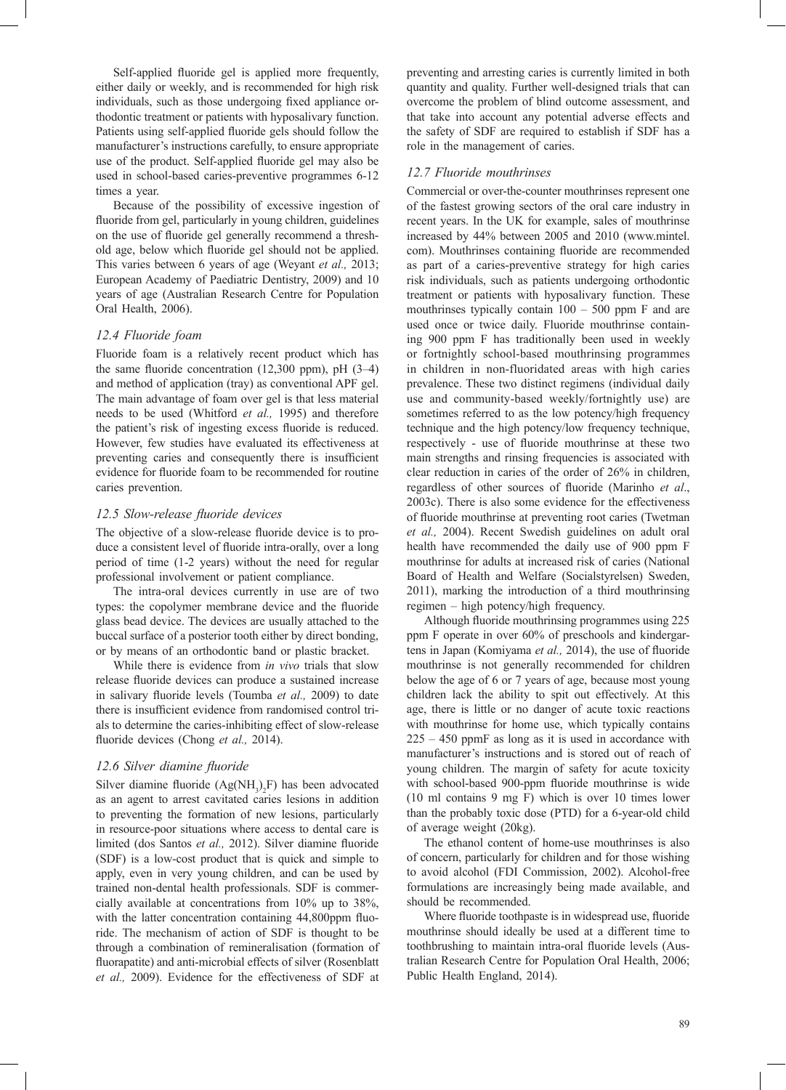Self-applied fluoride gel is applied more frequently, either daily or weekly, and is recommended for high risk individuals, such as those undergoing fixed appliance orthodontic treatment or patients with hyposalivary function. Patients using self-applied fluoride gels should follow the manufacturer's instructions carefully, to ensure appropriate use of the product. Self-applied fluoride gel may also be used in school-based caries-preventive programmes 6-12 times a year.

Because of the possibility of excessive ingestion of fluoride from gel, particularly in young children, guidelines on the use of fluoride gel generally recommend a threshold age, below which fluoride gel should not be applied. This varies between 6 years of age (Weyant *et al.,* 2013; European Academy of Paediatric Dentistry, 2009) and 10 years of age (Australian Research Centre for Population Oral Health, 2006).

### *12.4 Fluoride foam*

Fluoride foam is a relatively recent product which has the same fluoride concentration  $(12,300 \text{ ppm})$ , pH  $(3-4)$ and method of application (tray) as conventional APF gel. The main advantage of foam over gel is that less material needs to be used (Whitford *et al.,* 1995) and therefore the patient's risk of ingesting excess fluoride is reduced. However, few studies have evaluated its effectiveness at preventing caries and consequently there is insufficient evidence for fluoride foam to be recommended for routine caries prevention.

#### *12.5 Slow-release fl uoride devices*

The objective of a slow-release fluoride device is to produce a consistent level of fluoride intra-orally, over a long period of time (1-2 years) without the need for regular professional involvement or patient compliance.

The intra-oral devices currently in use are of two types: the copolymer membrane device and the fluoride glass bead device. The devices are usually attached to the buccal surface of a posterior tooth either by direct bonding, or by means of an orthodontic band or plastic bracket.

While there is evidence from *in vivo* trials that slow release fluoride devices can produce a sustained increase in salivary fluoride levels (Toumba et al., 2009) to date there is insufficient evidence from randomised control trials to determine the caries-inhibiting effect of slow-release fluoride devices (Chong et al., 2014).

### *12.6 Silver diamine fl uoride*

Silver diamine fluoride  $(Ag(NH_3)_2F)$  has been advocated as an agent to arrest cavitated caries lesions in addition to preventing the formation of new lesions, particularly in resource-poor situations where access to dental care is limited (dos Santos et al., 2012). Silver diamine fluoride (SDF) is a low-cost product that is quick and simple to apply, even in very young children, and can be used by trained non-dental health professionals. SDF is commercially available at concentrations from 10% up to 38%, with the latter concentration containing 44,800ppm fluoride. The mechanism of action of SDF is thought to be through a combination of remineralisation (formation of fluorapatite) and anti-microbial effects of silver (Rosenblatt *et al.,* 2009). Evidence for the effectiveness of SDF at

preventing and arresting caries is currently limited in both quantity and quality. Further well-designed trials that can overcome the problem of blind outcome assessment, and that take into account any potential adverse effects and the safety of SDF are required to establish if SDF has a role in the management of caries.

#### *12.7 Fluoride mouthrinses*

Commercial or over-the-counter mouthrinses represent one of the fastest growing sectors of the oral care industry in recent years. In the UK for example, sales of mouthrinse increased by 44% between 2005 and 2010 (www.mintel. com). Mouthrinses containing fluoride are recommended as part of a caries-preventive strategy for high caries risk individuals, such as patients undergoing orthodontic treatment or patients with hyposalivary function. These mouthrinses typically contain  $100 - 500$  ppm F and are used once or twice daily. Fluoride mouthrinse containing 900 ppm F has traditionally been used in weekly or fortnightly school-based mouthrinsing programmes in children in non-fluoridated areas with high caries prevalence. These two distinct regimens (individual daily use and community-based weekly/fortnightly use) are sometimes referred to as the low potency/high frequency technique and the high potency/low frequency technique, respectively - use of fluoride mouthrinse at these two main strengths and rinsing frequencies is associated with clear reduction in caries of the order of 26% in children, regardless of other sources of fluoride (Marinho *et al.*, 2003c). There is also some evidence for the effectiveness of fluoride mouthrinse at preventing root caries (Twetman *et al.,* 2004). Recent Swedish guidelines on adult oral health have recommended the daily use of 900 ppm F mouthrinse for adults at increased risk of caries (National Board of Health and Welfare (Socialstyrelsen) Sweden, 2011), marking the introduction of a third mouthrinsing regimen – high potency/high frequency.

Although fluoride mouthrinsing programmes using 225 ppm F operate in over 60% of preschools and kindergartens in Japan (Komiyama et al., 2014), the use of fluoride mouthrinse is not generally recommended for children below the age of 6 or 7 years of age, because most young children lack the ability to spit out effectively. At this age, there is little or no danger of acute toxic reactions with mouthrinse for home use, which typically contains 225 – 450 ppmF as long as it is used in accordance with manufacturer's instructions and is stored out of reach of young children. The margin of safety for acute toxicity with school-based 900-ppm fluoride mouthrinse is wide (10 ml contains 9 mg F) which is over 10 times lower than the probably toxic dose (PTD) for a 6-year-old child of average weight (20kg).

The ethanol content of home-use mouthrinses is also of concern, particularly for children and for those wishing to avoid alcohol (FDI Commission, 2002). Alcohol-free formulations are increasingly being made available, and should be recommended.

Where fluoride toothpaste is in widespread use, fluoride mouthrinse should ideally be used at a different time to toothbrushing to maintain intra-oral fluoride levels (Australian Research Centre for Population Oral Health, 2006; Public Health England, 2014).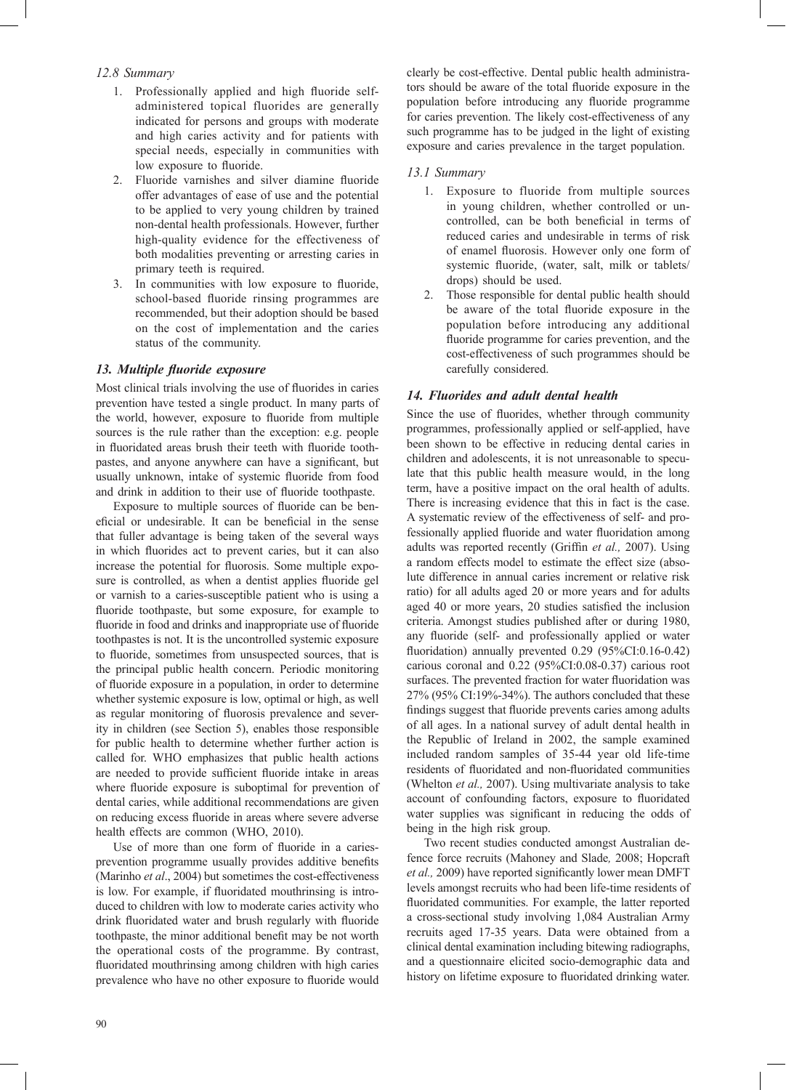## *12.8 Summary*

- 1. Professionally applied and high fluoride selfadministered topical fluorides are generally indicated for persons and groups with moderate and high caries activity and for patients with special needs, especially in communities with low exposure to fluoride.
- 2. Fluoride varnishes and silver diamine fluoride offer advantages of ease of use and the potential to be applied to very young children by trained non-dental health professionals. However, further high-quality evidence for the effectiveness of both modalities preventing or arresting caries in primary teeth is required.
- 3. In communities with low exposure to fluoride, school-based fluoride rinsing programmes are recommended, but their adoption should be based on the cost of implementation and the caries status of the community.

## 13. Multiple fluoride exposure

Most clinical trials involving the use of fluorides in caries prevention have tested a single product. In many parts of the world, however, exposure to fluoride from multiple sources is the rule rather than the exception: e.g. people in fluoridated areas brush their teeth with fluoride toothpastes, and anyone anywhere can have a significant, but usually unknown, intake of systemic fluoride from food and drink in addition to their use of fluoride toothpaste.

Exposure to multiple sources of fluoride can be beneficial or undesirable. It can be beneficial in the sense that fuller advantage is being taken of the several ways in which fluorides act to prevent caries, but it can also increase the potential for fluorosis. Some multiple exposure is controlled, as when a dentist applies fluoride gel or varnish to a caries-susceptible patient who is using a fluoride toothpaste, but some exposure, for example to fluoride in food and drinks and inappropriate use of fluoride toothpastes is not. It is the uncontrolled systemic exposure to fluoride, sometimes from unsuspected sources, that is the principal public health concern. Periodic monitoring of fluoride exposure in a population, in order to determine whether systemic exposure is low, optimal or high, as well as regular monitoring of fluorosis prevalence and severity in children (see Section 5), enables those responsible for public health to determine whether further action is called for. WHO emphasizes that public health actions are needed to provide sufficient fluoride intake in areas where fluoride exposure is suboptimal for prevention of dental caries, while additional recommendations are given on reducing excess fluoride in areas where severe adverse health effects are common (WHO, 2010).

Use of more than one form of fluoride in a cariesprevention programme usually provides additive benefits (Marinho *et al*., 2004) but sometimes the cost-effectiveness is low. For example, if fluoridated mouthrinsing is introduced to children with low to moderate caries activity who drink fluoridated water and brush regularly with fluoride toothpaste, the minor additional benefit may be not worth the operational costs of the programme. By contrast, fluoridated mouthrinsing among children with high caries prevalence who have no other exposure to fluoride would

clearly be cost-effective. Dental public health administrators should be aware of the total fluoride exposure in the population before introducing any fluoride programme for caries prevention. The likely cost-effectiveness of any such programme has to be judged in the light of existing exposure and caries prevalence in the target population.

## *13.1 Summary*

- 1. Exposure to fluoride from multiple sources in young children, whether controlled or uncontrolled, can be both beneficial in terms of reduced caries and undesirable in terms of risk of enamel fluorosis. However only one form of systemic fluoride, (water, salt, milk or tablets/ drops) should be used.
- 2. Those responsible for dental public health should be aware of the total fluoride exposure in the population before introducing any additional fluoride programme for caries prevention, and the cost-effectiveness of such programmes should be carefully considered.

## *14. Fluorides and adult dental health*

Since the use of fluorides, whether through community programmes, professionally applied or self-applied, have been shown to be effective in reducing dental caries in children and adolescents, it is not unreasonable to speculate that this public health measure would, in the long term, have a positive impact on the oral health of adults. There is increasing evidence that this in fact is the case. A systematic review of the effectiveness of self- and professionally applied fluoride and water fluoridation among adults was reported recently (Griffin et al., 2007). Using a random effects model to estimate the effect size (absolute difference in annual caries increment or relative risk ratio) for all adults aged 20 or more years and for adults aged 40 or more years, 20 studies satisfied the inclusion criteria. Amongst studies published after or during 1980, any fluoride (self- and professionally applied or water fluoridation) annually prevented 0.29 (95%CI:0.16-0.42) carious coronal and 0.22 (95%CI:0.08-0.37) carious root surfaces. The prevented fraction for water fluoridation was 27% (95% CI:19%-34%). The authors concluded that these findings suggest that fluoride prevents caries among adults of all ages. In a national survey of adult dental health in the Republic of Ireland in 2002, the sample examined included random samples of 35-44 year old life-time residents of fluoridated and non-fluoridated communities (Whelton *et al.,* 2007). Using multivariate analysis to take account of confounding factors, exposure to fluoridated water supplies was significant in reducing the odds of being in the high risk group.

Two recent studies conducted amongst Australian defence force recruits (Mahoney and Slade*,* 2008; Hopcraft *et al.,* 2009) have reported significantly lower mean DMFT levels amongst recruits who had been life-time residents of fluoridated communities. For example, the latter reported a cross-sectional study involving 1,084 Australian Army recruits aged 17-35 years. Data were obtained from a clinical dental examination including bitewing radiographs, and a questionnaire elicited socio-demographic data and history on lifetime exposure to fluoridated drinking water.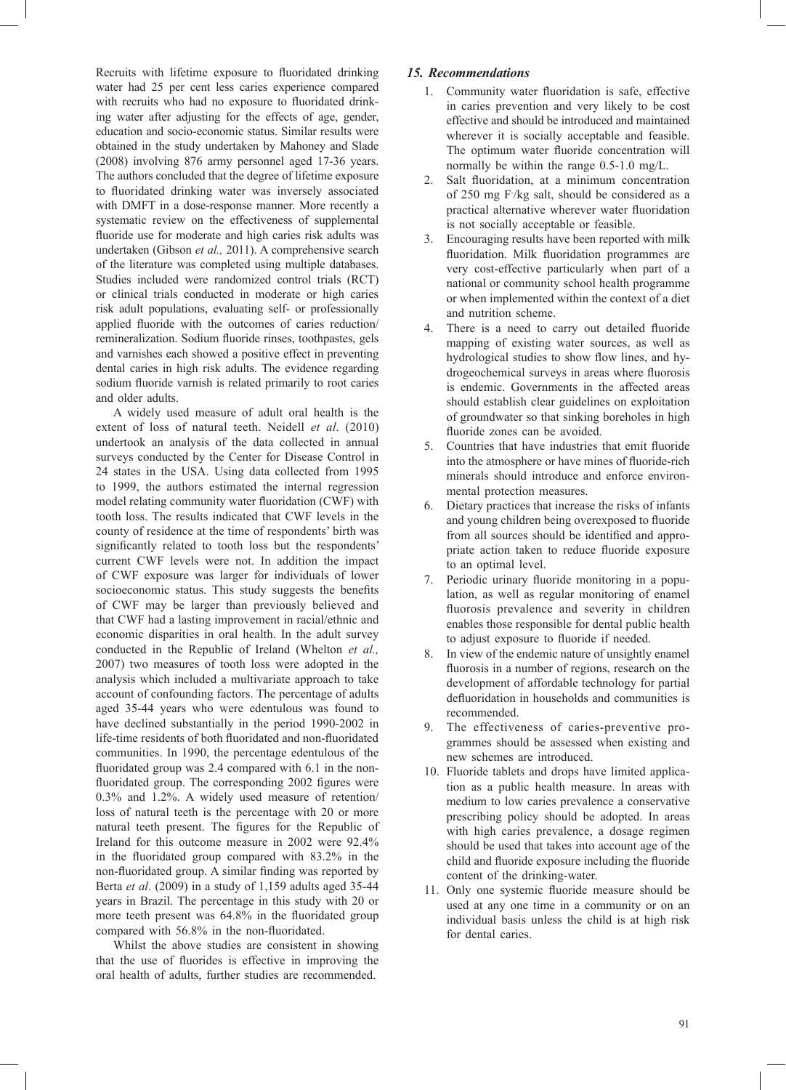Recruits with lifetime exposure to fluoridated drinking water had 25 per cent less caries experience compared with recruits who had no exposure to fluoridated drinking water after adjusting for the effects of age, gender, education and socio-economic status. Similar results were obtained in the study undertaken by Mahoney and Slade (2008) involving 876 army personnel aged 17-36 years. The authors concluded that the degree of lifetime exposure to fluoridated drinking water was inversely associated with DMFT in a dose-response manner. More recently a systematic review on the effectiveness of supplemental fluoride use for moderate and high caries risk adults was undertaken (Gibson *et al.,* 2011). A comprehensive search of the literature was completed using multiple databases. Studies included were randomized control trials (RCT) or clinical trials conducted in moderate or high caries risk adult populations, evaluating self- or professionally applied fluoride with the outcomes of caries reduction/ remineralization. Sodium fluoride rinses, toothpastes, gels and varnishes each showed a positive effect in preventing dental caries in high risk adults. The evidence regarding sodium fluoride varnish is related primarily to root caries and older adults.

A widely used measure of adult oral health is the extent of loss of natural teeth. Neidell *et al*. (2010) undertook an analysis of the data collected in annual surveys conducted by the Center for Disease Control in 24 states in the USA. Using data collected from 1995 to 1999, the authors estimated the internal regression model relating community water fluoridation (CWF) with tooth loss. The results indicated that CWF levels in the county of residence at the time of respondents' birth was significantly related to tooth loss but the respondents' current CWF levels were not. In addition the impact of CWF exposure was larger for individuals of lower socioeconomic status. This study suggests the benefits of CWF may be larger than previously believed and that CWF had a lasting improvement in racial/ethnic and economic disparities in oral health. In the adult survey conducted in the Republic of Ireland (Whelton *et al.,* 2007) two measures of tooth loss were adopted in the analysis which included a multivariate approach to take account of confounding factors. The percentage of adults aged 35-44 years who were edentulous was found to have declined substantially in the period 1990-2002 in life-time residents of both fluoridated and non-fluoridated communities. In 1990, the percentage edentulous of the fluoridated group was 2.4 compared with 6.1 in the nonfluoridated group. The corresponding 2002 figures were 0.3% and 1.2%. A widely used measure of retention/ loss of natural teeth is the percentage with 20 or more natural teeth present. The figures for the Republic of Ireland for this outcome measure in 2002 were 92.4% in the fluoridated group compared with 83.2% in the non-fluoridated group. A similar finding was reported by Berta *et al*. (2009) in a study of 1,159 adults aged 35-44 years in Brazil. The percentage in this study with 20 or more teeth present was 64.8% in the fluoridated group compared with 56.8% in the non-fluoridated.

Whilst the above studies are consistent in showing that the use of fluorides is effective in improving the oral health of adults, further studies are recommended.

## *15. Recommendations*

- 1. Community water fluoridation is safe, effective in caries prevention and very likely to be cost effective and should be introduced and maintained wherever it is socially acceptable and feasible. The optimum water fluoride concentration will normally be within the range 0.5-1.0 mg/L.
- 2. Salt fluoridation, at a minimum concentration of 250 mg F- /kg salt, should be considered as a practical alternative wherever water fluoridation is not socially acceptable or feasible.
- 3. Encouraging results have been reported with milk fluoridation. Milk fluoridation programmes are very cost-effective particularly when part of a national or community school health programme or when implemented within the context of a diet and nutrition scheme.
- 4. There is a need to carry out detailed fluoride mapping of existing water sources, as well as hydrological studies to show flow lines, and hydrogeochemical surveys in areas where fluorosis is endemic. Governments in the affected areas should establish clear guidelines on exploitation of groundwater so that sinking boreholes in high fluoride zones can be avoided.
- 5. Countries that have industries that emit fluoride into the atmosphere or have mines of fluoride-rich minerals should introduce and enforce environmental protection measures.
- 6. Dietary practices that increase the risks of infants and young children being overexposed to fluoride from all sources should be identified and appropriate action taken to reduce fluoride exposure to an optimal level.
- 7. Periodic urinary fluoride monitoring in a population, as well as regular monitoring of enamel fluorosis prevalence and severity in children enables those responsible for dental public health to adjust exposure to fluoride if needed.
- 8. In view of the endemic nature of unsightly enamel fluorosis in a number of regions, research on the development of affordable technology for partial defluoridation in households and communities is recommended.
- 9. The effectiveness of caries-preventive programmes should be assessed when existing and new schemes are introduced.
- 10. Fluoride tablets and drops have limited application as a public health measure. In areas with medium to low caries prevalence a conservative prescribing policy should be adopted. In areas with high caries prevalence, a dosage regimen should be used that takes into account age of the child and fluoride exposure including the fluoride content of the drinking-water.
- 11. Only one systemic fluoride measure should be used at any one time in a community or on an individual basis unless the child is at high risk for dental caries.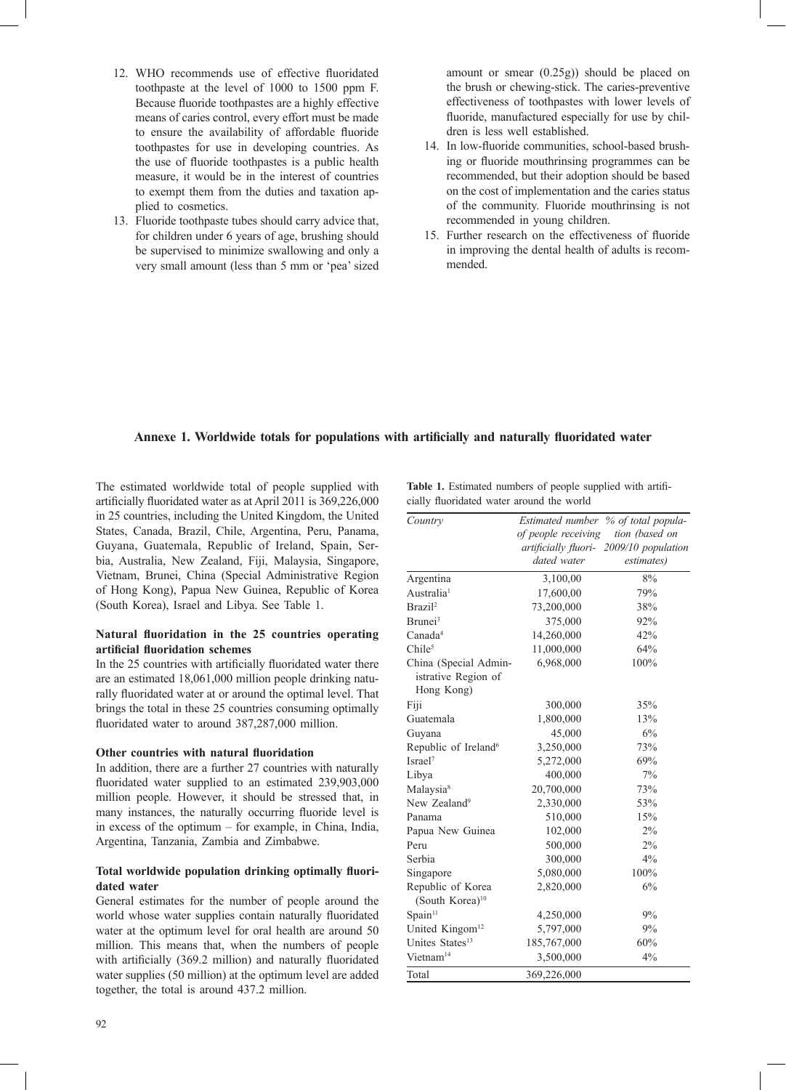- 12. WHO recommends use of effective fluoridated toothpaste at the level of 1000 to 1500 ppm F. Because fluoride toothpastes are a highly effective means of caries control, every effort must be made to ensure the availability of affordable fluoride toothpastes for use in developing countries. As the use of fluoride toothpastes is a public health measure, it would be in the interest of countries to exempt them from the duties and taxation applied to cosmetics.
- 13. Fluoride toothpaste tubes should carry advice that, for children under 6 years of age, brushing should be supervised to minimize swallowing and only a very small amount (less than 5 mm or 'pea' sized

amount or smear (0.25g)) should be placed on the brush or chewing-stick. The caries-preventive effectiveness of toothpastes with lower levels of fluoride, manufactured especially for use by children is less well established.

- 14. In low-fluoride communities, school-based brushing or fluoride mouthrinsing programmes can be recommended, but their adoption should be based on the cost of implementation and the caries status of the community. Fluoride mouthrinsing is not recommended in young children.
- 15. Further research on the effectiveness of fluoride in improving the dental health of adults is recommended.

## Annexe 1. Worldwide totals for populations with artificially and naturally fluoridated water

The estimated worldwide total of people supplied with artificially fluoridated water as at April 2011 is 369,226,000 in 25 countries, including the United Kingdom, the United States, Canada, Brazil, Chile, Argentina, Peru, Panama, Guyana, Guatemala, Republic of Ireland, Spain, Serbia, Australia, New Zealand, Fiji, Malaysia, Singapore, Vietnam, Brunei, China (Special Administrative Region of Hong Kong), Papua New Guinea, Republic of Korea (South Korea), Israel and Libya. See Table 1.

### Natural fluoridation in the 25 countries operating **artificial fluoridation schemes**

In the 25 countries with artificially fluoridated water there are an estimated 18,061,000 million people drinking naturally fluoridated water at or around the optimal level. That brings the total in these 25 countries consuming optimally fluoridated water to around 387,287,000 million.

## **Other countries with natural fluoridation**

In addition, there are a further 27 countries with naturally fluoridated water supplied to an estimated 239,903,000 million people. However, it should be stressed that, in many instances, the naturally occurring fluoride level is in excess of the optimum – for example, in China, India, Argentina, Tanzania, Zambia and Zimbabwe.

### Total worldwide population drinking optimally fluori**dated water**

General estimates for the number of people around the world whose water supplies contain naturally fluoridated water at the optimum level for oral health are around 50 million. This means that, when the numbers of people with artificially (369.2 million) and naturally fluoridated water supplies (50 million) at the optimum level are added together, the total is around 437.2 million.

Table 1. Estimated numbers of people supplied with artificially fluoridated water around the world

| Country                          |                     | Estimated number % of total popula-     |
|----------------------------------|---------------------|-----------------------------------------|
|                                  | of people receiving | tion (based on                          |
|                                  |                     | artificially fluori- 2009/10 population |
|                                  | dated water         | estimates)                              |
| Argentina                        | 3,100,00            | 8%                                      |
| Australia <sup>1</sup>           | 17,600,00           | 79%                                     |
| Brazil <sup>2</sup>              | 73,200,000          | 38%                                     |
| Brunei <sup>3</sup>              | 375,000             | 92%                                     |
| Canada <sup>4</sup>              | 14,260,000          | 42%                                     |
| Chile <sup>5</sup>               | 11,000,000          | 64%                                     |
| China (Special Admin-            | 6,968,000           | 100%                                    |
| istrative Region of              |                     |                                         |
| Hong Kong)                       |                     |                                         |
| Fiji                             | 300,000             | 35%                                     |
| Guatemala                        | 1,800,000           | 13%                                     |
| Guyana                           | 45,000              | 6%                                      |
| Republic of Ireland <sup>6</sup> | 3,250,000           | 73%                                     |
| Israel <sup>7</sup>              | 5,272,000           | 69%                                     |
| Libya                            | 400,000             | 7%                                      |
| Malaysia <sup>8</sup>            | 20,700,000          | 73%                                     |
| New Zealand <sup>9</sup>         | 2,330,000           | 53%                                     |
| Panama                           | 510,000             | 15%                                     |
| Papua New Guinea                 | 102,000             | $2\%$                                   |
| Peru                             | 500,000             | 2%                                      |
| Serbia                           | 300,000             | 4%                                      |
| Singapore                        | 5,080,000           | 100%                                    |
| Republic of Korea                | 2,820,000           | 6%                                      |
| (South Korea) <sup>10</sup>      |                     |                                         |
| Span <sup>11</sup>               | 4,250,000           | 9%                                      |
| United Kingom <sup>12</sup>      | 5,797,000           | 9%                                      |
| Unites States <sup>13</sup>      | 185,767,000         | 60%                                     |
| Vietnam <sup>14</sup>            | 3,500,000           | 4%                                      |
| Total                            | 369,226,000         |                                         |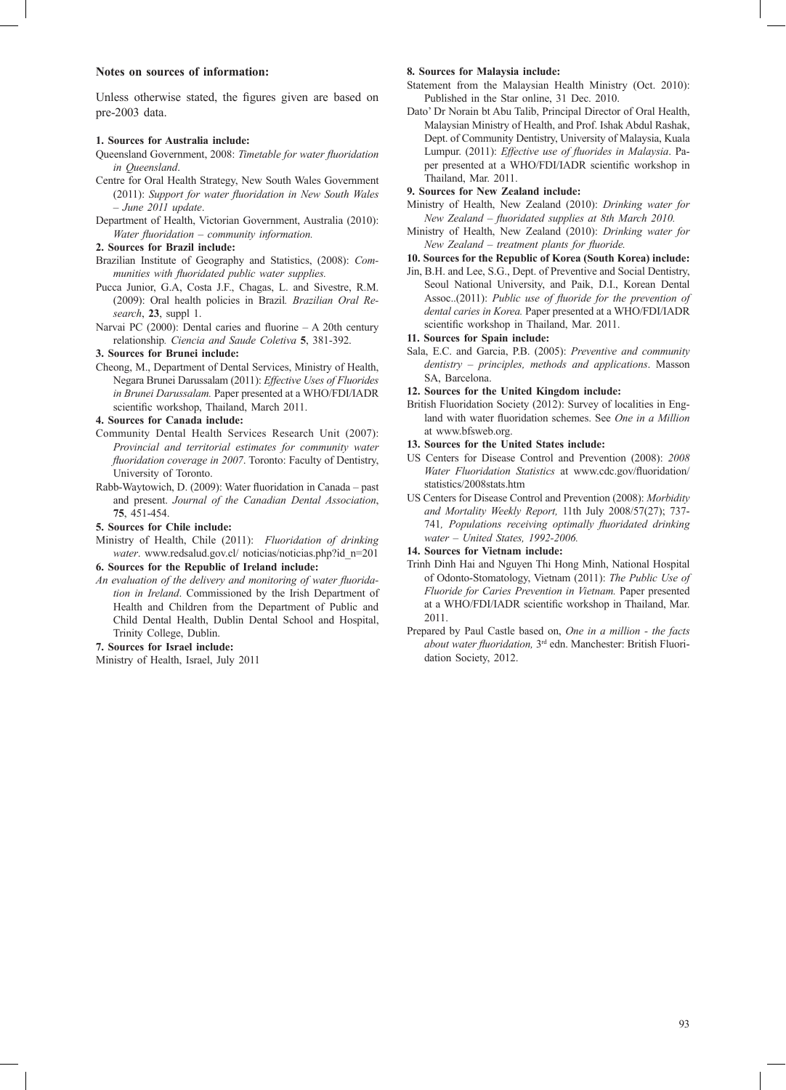#### **Notes on sources of information:**

Unless otherwise stated, the figures given are based on pre-2003 data.

#### **1. Sources for Australia include:**

- Queensland Government, 2008: *Timetable for water fluoridation in Queensland*.
- Centre for Oral Health Strategy, New South Wales Government (2011): Support for water fluoridation in New South Wales *– June 2011 update*.
- Department of Health, Victorian Government, Australia (2010): *Water fluoridation – community information.*

#### **2. Sources for Brazil include:**

- Brazilian Institute of Geography and Statistics, (2008): *Communities with fluoridated public water supplies.*
- Pucca Junior, G.A, Costa J.F., Chagas, L. and Sivestre, R.M. (2009): Oral health policies in Brazil*. Brazilian Oral Research*, **23**, suppl 1.
- Narvai PC (2000): Dental caries and fluorine  $A 20$ th century relationship*. Ciencia and Saude Coletiva* **5**, 381-392.

#### **3. Sources for Brunei include:**

Cheong, M., Department of Dental Services, Ministry of Health, Negara Brunei Darussalam (2011): *Effective Uses of Fluorides in Brunei Darussalam.* Paper presented at a WHO/FDI/IADR scientific workshop, Thailand, March 2011.

#### **4. Sources for Canada include:**

- Community Dental Health Services Research Unit (2007): *Provincial and territorial estimates for community water fluoridation coverage in 2007*. Toronto: Faculty of Dentistry, University of Toronto.
- Rabb-Waytowich, D. (2009): Water fluoridation in Canada past and present. *Journal of the Canadian Dental Association*, **75**, 451-454.

#### **5. Sources for Chile include:**

Ministry of Health, Chile (2011): *Fluoridation of drinking water*. www.redsalud.gov.cl/ noticias/noticias.php?id\_n=201

### **6. Sources for the Republic of Ireland include:**

An evaluation of the delivery and monitoring of water fluorida*tion in Ireland*. Commissioned by the Irish Department of Health and Children from the Department of Public and Child Dental Health, Dublin Dental School and Hospital, Trinity College, Dublin.

#### **7. Sources for Israel include:**

Ministry of Health, Israel, July 2011

#### **8. Sources for Malaysia include:**

- Statement from the Malaysian Health Ministry (Oct. 2010): Published in the Star online, 31 Dec. 2010.
- Dato' Dr Norain bt Abu Talib, Principal Director of Oral Health, Malaysian Ministry of Health, and Prof. Ishak Abdul Rashak, Dept. of Community Dentistry, University of Malaysia, Kuala Lumpur. (2011): *Effective use of fluorides in Malaysia*. Paper presented at a WHO/FDI/IADR scientific workshop in Thailand, Mar. 2011.

#### **9. Sources for New Zealand include:**

- Ministry of Health, New Zealand (2010): *Drinking water for*  New Zealand - fluoridated supplies at 8th March 2010.
- Ministry of Health, New Zealand (2010): *Drinking water for New Zealand – treatment plants for fluoride.*
- **10. Sources for the Republic of Korea (South Korea) include:**
- Jin, B.H. and Lee, S.G., Dept. of Preventive and Social Dentistry, Seoul National University, and Paik, D.I., Korean Dental Assoc..(2011): *Public use of fluoride for the prevention of dental caries in Korea.* Paper presented at a WHO/FDI/IADR scientific workshop in Thailand, Mar. 2011.

#### **11. Sources for Spain include:**

- Sala, E.C. and Garcia, P.B. (2005): *Preventive and community dentistry – principles, methods and applications*. Masson SA, Barcelona.
- **12. Sources for the United Kingdom include:**
- British Fluoridation Society (2012): Survey of localities in England with water fluoridation schemes. See *One in a Million* at www.bfsweb.org.

#### **13. Sources for the United States include:**

- US Centers for Disease Control and Prevention (2008): *2008 Water Fluoridation Statistics* at www.cdc.gov/fluoridation/ statistics/2008stats.htm
- US Centers for Disease Control and Prevention (2008): *Morbidity and Mortality Weekly Report,* 11th July 2008/57(27); 737- 741, Populations receiving optimally fluoridated drinking *water – United States, 1992-2006.*

#### **14. Sources for Vietnam include:**

- Trinh Dinh Hai and Nguyen Thi Hong Minh, National Hospital of Odonto-Stomatology, Vietnam (2011): *The Public Use of Fluoride for Caries Prevention in Vietnam.* Paper presented at a WHO/FDI/IADR scientific workshop in Thailand, Mar. 2011.
- Prepared by Paul Castle based on, *One in a million the facts about water fluoridation,* 3<sup>rd</sup> edn. Manchester: British Fluoridation Society, 2012.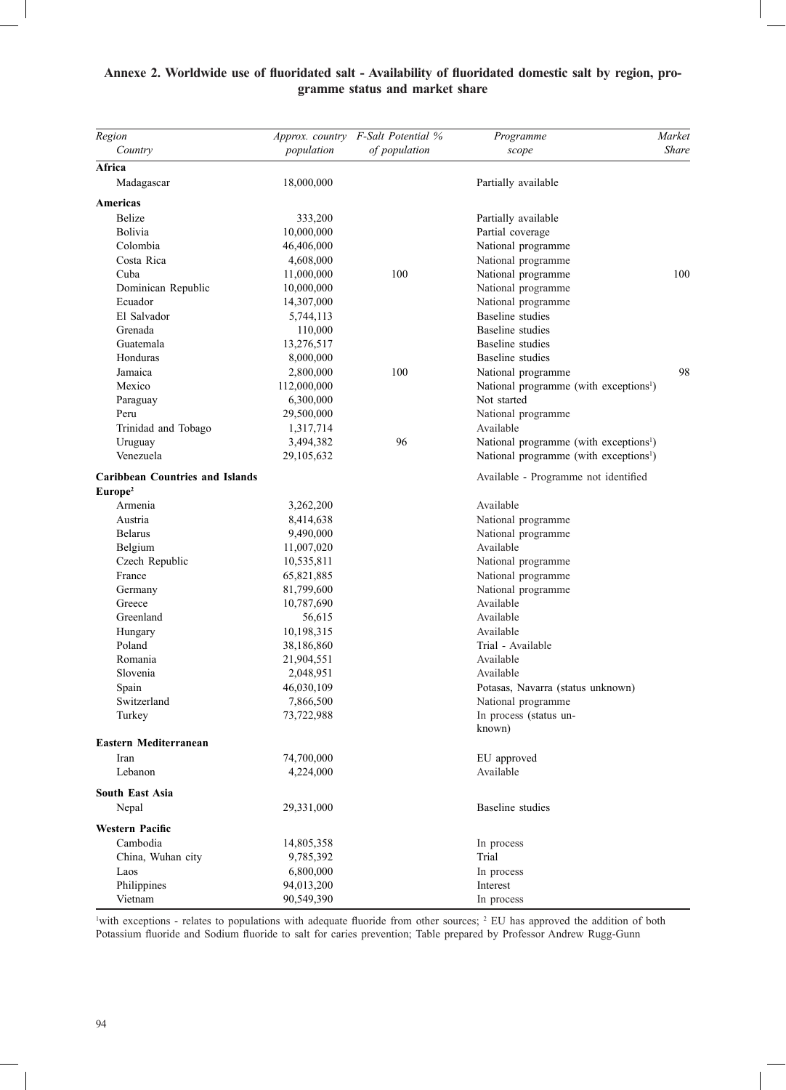## Annexe 2. Worldwide use of fluoridated salt - Availability of fluoridated domestic salt by region, pro**gramme status and market share**

| Region                                 |             | Approx. country F-Salt Potential % | Programme                                          | Market       |
|----------------------------------------|-------------|------------------------------------|----------------------------------------------------|--------------|
| Country                                | population  | of population                      | scope                                              | <b>Share</b> |
| Africa                                 |             |                                    |                                                    |              |
| Madagascar                             | 18,000,000  |                                    | Partially available                                |              |
| Americas                               |             |                                    |                                                    |              |
| <b>Belize</b>                          | 333,200     |                                    | Partially available                                |              |
| Bolivia                                | 10,000,000  |                                    | Partial coverage                                   |              |
| Colombia                               | 46,406,000  |                                    | National programme                                 |              |
| Costa Rica                             | 4,608,000   |                                    | National programme                                 |              |
| Cuba                                   | 11,000,000  | 100                                | National programme                                 | 100          |
| Dominican Republic                     | 10,000,000  |                                    | National programme                                 |              |
| Ecuador                                | 14,307,000  |                                    | National programme                                 |              |
| El Salvador                            | 5,744,113   |                                    | Baseline studies                                   |              |
| Grenada                                | 110,000     |                                    | Baseline studies                                   |              |
| Guatemala                              | 13,276,517  |                                    | Baseline studies                                   |              |
| Honduras                               | 8,000,000   |                                    | Baseline studies                                   |              |
| Jamaica                                | 2,800,000   | 100                                | National programme                                 | 98           |
| Mexico                                 | 112,000,000 |                                    | National programme (with exceptions <sup>1</sup> ) |              |
| Paraguay                               | 6,300,000   |                                    | Not started                                        |              |
| Peru                                   | 29,500,000  |                                    | National programme                                 |              |
| Trinidad and Tobago                    | 1,317,714   |                                    | Available                                          |              |
| Uruguay                                | 3,494,382   | 96                                 | National programme (with exceptions <sup>1</sup> ) |              |
| Venezuela                              | 29,105,632  |                                    | National programme (with exceptions <sup>1</sup> ) |              |
| <b>Caribbean Countries and Islands</b> |             |                                    | Available - Programme not identified               |              |
| Europe <sup>2</sup>                    |             |                                    |                                                    |              |
| Armenia                                | 3,262,200   |                                    | Available                                          |              |
| Austria                                | 8,414,638   |                                    | National programme                                 |              |
| <b>Belarus</b>                         | 9,490,000   |                                    | National programme                                 |              |
| Belgium                                | 11,007,020  |                                    | Available                                          |              |
| Czech Republic                         | 10,535,811  |                                    | National programme                                 |              |
| France                                 | 65,821,885  |                                    | National programme                                 |              |
| Germany                                | 81,799,600  |                                    | National programme                                 |              |
| Greece                                 | 10,787,690  |                                    | Available                                          |              |
| Greenland                              | 56,615      |                                    | Available                                          |              |
| Hungary                                | 10,198,315  |                                    | Available                                          |              |
| Poland                                 | 38,186,860  |                                    | Trial - Available                                  |              |
| Romania                                | 21,904,551  |                                    | Available                                          |              |
| Slovenia                               | 2,048,951   |                                    | Available                                          |              |
| Spain                                  | 46,030,109  |                                    | Potasas, Navarra (status unknown)                  |              |
| Switzerland                            | 7,866,500   |                                    | National programme                                 |              |
| Turkey                                 | 73,722,988  |                                    | In process (status un-                             |              |
| Eastern Mediterranean                  |             |                                    | known)                                             |              |
| Iran                                   | 74,700,000  |                                    | EU approved                                        |              |
| Lebanon                                | 4,224,000   |                                    | Available                                          |              |
| <b>South East Asia</b>                 |             |                                    |                                                    |              |
| Nepal                                  | 29,331,000  |                                    | Baseline studies                                   |              |
| <b>Western Pacific</b>                 |             |                                    |                                                    |              |
| Cambodia                               | 14,805,358  |                                    | In process                                         |              |
| China, Wuhan city                      | 9,785,392   |                                    | Trial                                              |              |
| Laos                                   | 6,800,000   |                                    | In process                                         |              |
| Philippines                            | 94,013,200  |                                    | Interest                                           |              |
| Vietnam                                | 90,549,390  |                                    | In process                                         |              |

<sup>1</sup> with exceptions - relates to populations with adequate fluoride from other sources; <sup>2</sup> EU has approved the addition of both Potassium fluoride and Sodium fluoride to salt for caries prevention; Table prepared by Professor Andrew Rugg-Gunn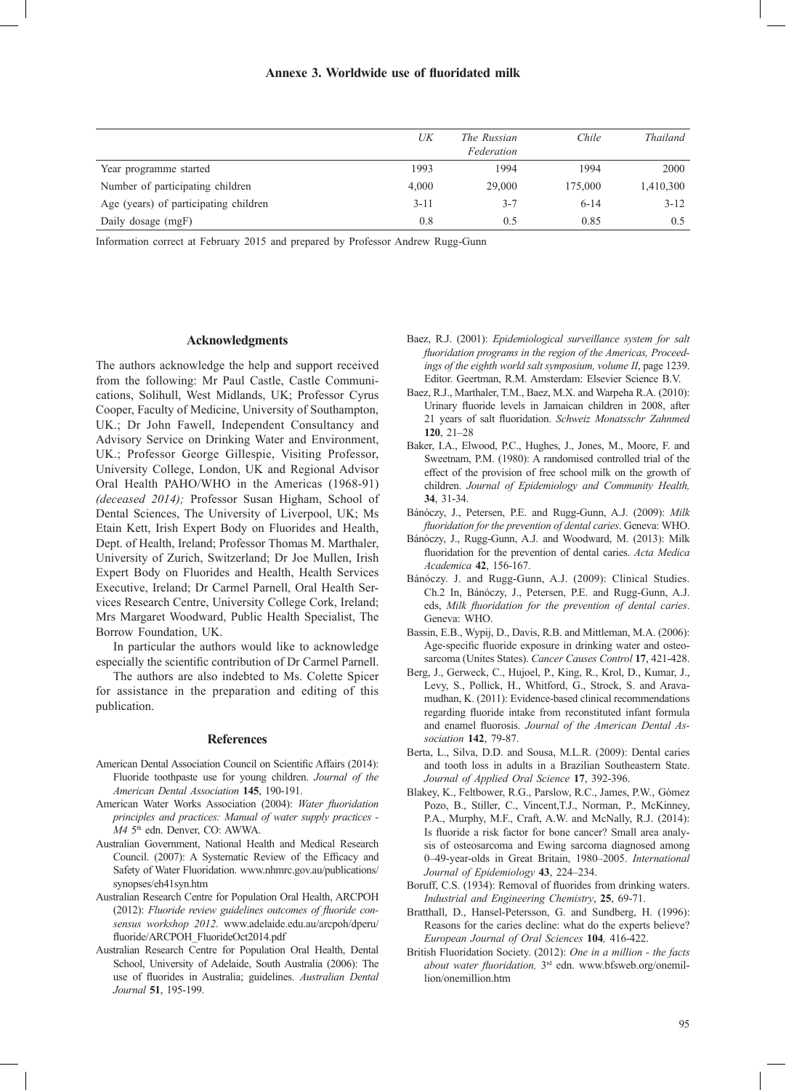|                                       | UK       | The Russian<br>Federation | Chile    | <b>Thailand</b> |
|---------------------------------------|----------|---------------------------|----------|-----------------|
| Year programme started                | 1993     | 1994                      | 1994     | 2000            |
| Number of participating children      | 4,000    | 29,000                    | 175,000  | 1,410,300       |
| Age (years) of participating children | $3 - 11$ | $3 - 7$                   | $6 - 14$ | $3 - 12$        |
| Daily dosage (mgF)                    | 0.8      | 0.5                       | 0.85     | 0.5             |

Information correct at February 2015 and prepared by Professor Andrew Rugg-Gunn

#### **Acknowledgments**

The authors acknowledge the help and support received from the following: Mr Paul Castle, Castle Communications, Solihull, West Midlands, UK; Professor Cyrus Cooper, Faculty of Medicine, University of Southampton, UK.; Dr John Fawell, Independent Consultancy and Advisory Service on Drinking Water and Environment, UK.; Professor George Gillespie, Visiting Professor, University College, London, UK and Regional Advisor Oral Health PAHO/WHO in the Americas (1968-91) *(deceased 2014);* Professor Susan Higham, School of Dental Sciences, The University of Liverpool, UK; Ms Etain Kett, Irish Expert Body on Fluorides and Health, Dept. of Health, Ireland; Professor Thomas M. Marthaler, University of Zurich, Switzerland; Dr Joe Mullen, Irish Expert Body on Fluorides and Health, Health Services Executive, Ireland; Dr Carmel Parnell, Oral Health Services Research Centre, University College Cork, Ireland; Mrs Margaret Woodward, Public Health Specialist, The Borrow Foundation, UK.

In particular the authors would like to acknowledge especially the scientific contribution of Dr Carmel Parnell.

The authors are also indebted to Ms. Colette Spicer for assistance in the preparation and editing of this publication.

#### **References**

- American Dental Association Council on Scientific Affairs (2014): Fluoride toothpaste use for young children. *Journal of the American Dental Association* **145**, 190-191.
- American Water Works Association (2004): Water fluoridation *principles and practices: Manual of water supply practices - M4* 5th edn. Denver, CO: AWWA.
- Australian Government, National Health and Medical Research Council. (2007): A Systematic Review of the Efficacy and Safety of Water Fluoridation. www.nhmrc.gov.au/publications/ synopses/eh41syn.htm
- Australian Research Centre for Population Oral Health, ARCPOH (2012): Fluoride review guidelines outcomes of fluoride con*sensus workshop 2012*. www.adelaide.edu.au/arcpoh/dperu/ fluoride/ARCPOH\_FluorideOct2014.pdf
- Australian Research Centre for Population Oral Health, Dental School, University of Adelaide, South Australia (2006): The use of fluorides in Australia; guidelines. Australian Dental *Journal* **51**, 195-199.
- Baez, R.J. (2001): *Epidemiological surveillance system for salt*  fluoridation programs in the region of the Americas, Proceed*ings of the eighth world salt symposium, volume II*, page 1239. Editor. Geertman, R.M. Amsterdam: Elsevier Science B.V.
- Baez, R.J., Marthaler, T.M., Baez, M.X. and Warpeha R.A. (2010): Urinary fluoride levels in Jamaican children in 2008, after 21 years of salt fluoridation. *Schweiz Monatsschr Zahnmed* **120**, 21–28
- Baker, I.A., Elwood, P.C., Hughes, J., Jones, M., Moore, F. and Sweetnam, P.M. (1980): A randomised controlled trial of the effect of the provision of free school milk on the growth of children. *Journal of Epidemiology and Community Health,* **34**, 31-34.
- Bánóczy, J., Petersen, P.E. and Rugg-Gunn, A.J. (2009): *Milk fl uoridation for the prevention of dental caries*. Geneva: WHO.
- Bánóczy, J., Rugg-Gunn, A.J. and Woodward, M. (2013): Milk fluoridation for the prevention of dental caries. Acta Medica *Academica* **42**, 156-167.
- Bánóczy. J. and Rugg-Gunn, A.J. (2009): Clinical Studies. Ch.2 In, Bánóczy, J., Petersen, P.E. and Rugg-Gunn, A.J. eds, Milk fluoridation for the prevention of dental caries. Geneva: WHO.
- Bassin, E.B., Wypij, D., Davis, R.B. and Mittleman, M.A. (2006): Age-specific fluoride exposure in drinking water and osteosarcoma (Unites States). *Cancer Causes Control* **17**, 421-428.
- Berg, J., Gerweck, C., Hujoel, P., King, R., Krol, D., Kumar, J., Levy, S., Pollick, H., Whitford, G., Strock, S. and Aravamudhan, K. (2011): Evidence-based clinical recommendations regarding fluoride intake from reconstituted infant formula and enamel fluorosis. Journal of the American Dental As*sociation* **142**, 79-87.
- Berta, L., Silva, D.D. and Sousa, M.L.R. (2009): Dental caries and tooth loss in adults in a Brazilian Southeastern State. *Journal of Applied Oral Science* **17**, 392-396.
- Blakey, K., Feltbower, R.G., Parslow, R.C., James, P.W., Gómez Pozo, B., Stiller, C., Vincent,T.J., Norman, P., McKinney, P.A., Murphy, M.F., Craft, A.W. and McNally, R.J. (2014): Is fluoride a risk factor for bone cancer? Small area analysis of osteosarcoma and Ewing sarcoma diagnosed among 0–49-year-olds in Great Britain, 1980–2005. *International Journal of Epidemiology* **43**, 224–234.
- Boruff, C.S. (1934): Removal of fluorides from drinking waters. *Industrial and Engineering Chemistry*, **25**, 69-71.
- Bratthall, D., Hansel-Petersson, G. and Sundberg, H. (1996): Reasons for the caries decline: what do the experts believe? *European Journal of Oral Sciences* **104***,* 416-422.
- British Fluoridation Society. (2012): *One in a million the facts about water fluoridation,* 3<sup>rd</sup> edn. www.bfsweb.org/onemillion/onemillion.htm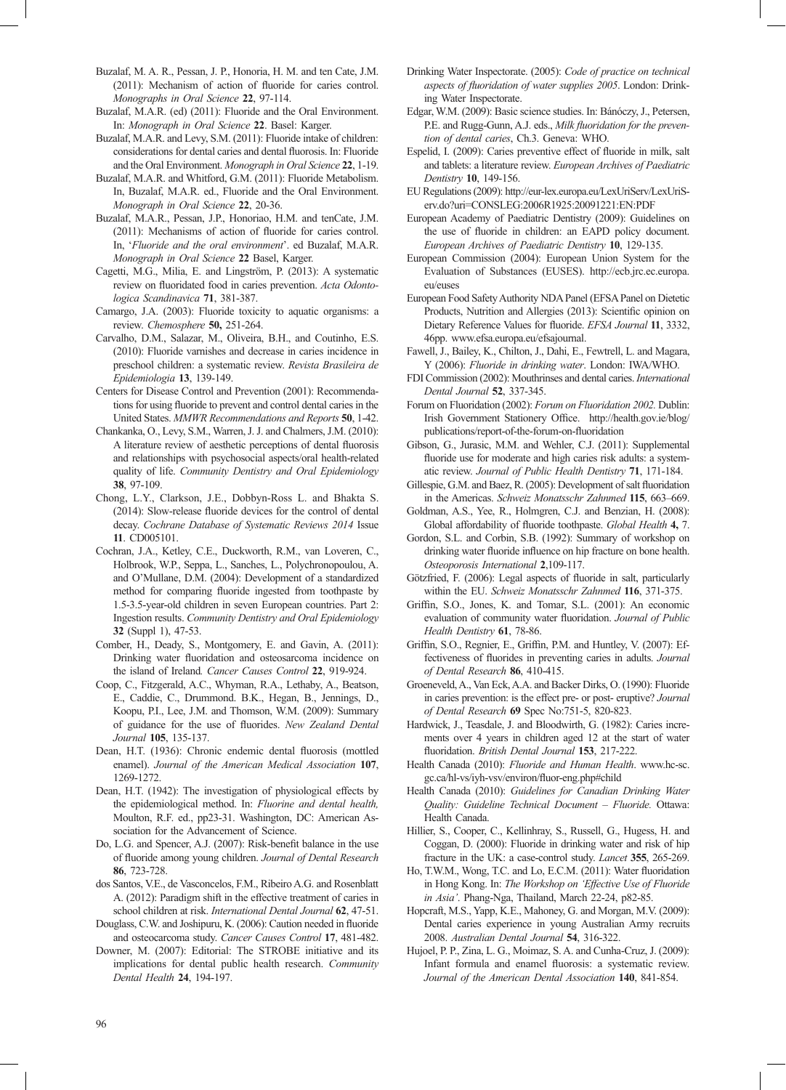- Buzalaf, M. A. R., Pessan, J. P., Honoria, H. M. and ten Cate, J.M.  $(2011)$ : Mechanism of action of fluoride for caries control. *Monographs in Oral Science* **22**, 97-114.
- Buzalaf, M.A.R. (ed) (2011): Fluoride and the Oral Environment. In: *Monograph in Oral Science* **22**. Basel: Karger.
- Buzalaf, M.A.R. and Levy, S.M. (2011): Fluoride intake of children: considerations for dental caries and dental fluorosis. In: Fluoride and the Oral Environment. *Monograph in Oral Science* **22**, 1-19.
- Buzalaf, M.A.R. and Whitford, G.M. (2011): Fluoride Metabolism. In, Buzalaf, M.A.R. ed., Fluoride and the Oral Environment. *Monograph in Oral Science* **22**, 20-36.
- Buzalaf, M.A.R., Pessan, J.P., Honoriao, H.M. and tenCate, J.M.  $(2011)$ : Mechanisms of action of fluoride for caries control. In, '*Fluoride and the oral environment*'. ed Buzalaf, M.A.R. *Monograph in Oral Science* **22** Basel, Karger.
- Cagetti, M.G., Milia, E. and Lingström, P. (2013): A systematic review on fluoridated food in caries prevention. Acta Odonto*logica Scandinavica* **71**, 381-387.
- Camargo, J.A. (2003): Fluoride toxicity to aquatic organisms: a review. *Chemosphere* **50,** 251-264.
- Carvalho, D.M., Salazar, M., Oliveira, B.H., and Coutinho, E.S. (2010): Fluoride varnishes and decrease in caries incidence in preschool children: a systematic review. *Revista Brasileira de Epidemiologia* **13**, 139-149.
- Centers for Disease Control and Prevention (2001): Recommendations for using fluoride to prevent and control dental caries in the United States. *MMWR Recommendations and Reports* **50**, 1-42.
- Chankanka, O., Levy, S.M., Warren, J. J. and Chalmers, J.M. (2010): A literature review of aesthetic perceptions of dental fluorosis and relationships with psychosocial aspects/oral health-related quality of life. *Community Dentistry and Oral Epidemiology* **38**, 97-109.
- Chong, L.Y., Clarkson, J.E., Dobbyn-Ross L. and Bhakta S.  $(2014)$ : Slow-release fluoride devices for the control of dental decay. *Cochrane Database of Systematic Reviews 2014* Issue **11**. CD005101.
- Cochran, J.A., Ketley, C.E., Duckworth, R.M., van Loveren, C., Holbrook, W.P., Seppa, L., Sanches, L., Polychronopoulou, A. and O'Mullane, D.M. (2004): Development of a standardized method for comparing fluoride ingested from toothpaste by 1.5-3.5-year-old children in seven European countries. Part 2: Ingestion results. *Community Dentistry and Oral Epidemiology*  **32** (Suppl 1), 47-53.
- Comber, H., Deady, S., Montgomery, E. and Gavin, A. (2011): Drinking water fluoridation and osteosarcoma incidence on the island of Ireland*. Cancer Causes Control* **22**, 919-924.
- Coop, C., Fitzgerald, A.C., Whyman, R.A., Lethaby, A., Beatson, E., Caddie, C., Drummond. B.K., Hegan, B., Jennings, D., Koopu, P.I., Lee, J.M. and Thomson, W.M. (2009): Summary of guidance for the use of fluorides. New Zealand Dental *Journal* **105**, 135-137.
- Dean, H.T. (1936): Chronic endemic dental fluorosis (mottled enamel). *Journal of the American Medical Association* **107**, 1269-1272.
- Dean, H.T. (1942): The investigation of physiological effects by the epidemiological method. In: *Fluorine and dental health,* Moulton, R.F. ed., pp23-31. Washington, DC: American Association for the Advancement of Science.
- Do, L.G. and Spencer, A.J. (2007): Risk-benefit balance in the use of fluoride among young children. Journal of Dental Research **86**, 723-728.
- dos Santos, V.E., de Vasconcelos, F.M., Ribeiro A.G. and Rosenblatt A. (2012): Paradigm shift in the effective treatment of caries in school children at risk. *International Dental Journal* **62**, 47-51.
- Douglass, C.W. and Joshipuru, K. (2006): Caution needed in fluoride and osteocarcoma study. *Cancer Causes Control* **17**, 481-482.
- Downer, M. (2007): Editorial: The STROBE initiative and its implications for dental public health research. *Community Dental Health* **24**, 194-197.
- Drinking Water Inspectorate. (2005): *Code of practice on technical*  aspects of fluoridation of water supplies 2005. London: Drinking Water Inspectorate.
- Edgar, W.M. (2009): Basic science studies. In: Bánóczy, J., Petersen, P.E. and Rugg-Gunn, A.J. eds., *Milk fluoridation for the prevention of dental caries*, Ch.3. Geneva: WHO.
- Espelid, I. (2009): Caries preventive effect of fluoride in milk, salt and tablets: a literature review. *European Archives of Paediatric Dentistry* **10**, 149-156.
- EU Regulations (2009): http://eur-lex.europa.eu/LexUriServ/LexUriServ.do?uri=CONSLEG:2006R1925:20091221:EN:PDF
- European Academy of Paediatric Dentistry (2009): Guidelines on the use of fluoride in children: an EAPD policy document. *European Archives of Paediatric Dentistry* **10**, 129-135.
- European Commission (2004): European Union System for the Evaluation of Substances (EUSES). http://ecb.jrc.ec.europa. eu/euses
- European Food Safety Authority NDA Panel (EFSA Panel on Dietetic Products, Nutrition and Allergies (2013): Scientific opinion on Dietary Reference Values for fluoride. *EFSA Journal* 11, 3332, 46pp. www.efsa.europa.eu/efsajournal.
- Fawell, J., Bailey, K., Chilton, J., Dahi, E., Fewtrell, L. and Magara, Y (2006): *Fluoride in drinking water*. London: IWA/WHO.
- FDI Commission (2002): Mouthrinses and dental caries. *International Dental Journal* **52**, 337-345.
- Forum on Fluoridation (2002): *Forum on Fluoridation 2002.* Dublin: Irish Government Stationery Office. http://health.gov.ie/blog/ publications/report-of-the-forum-on-fluoridation
- Gibson, G., Jurasic, M.M. and Wehler, C.J. (2011): Supplemental fluoride use for moderate and high caries risk adults: a systematic review. *Journal of Public Health Dentistry* **71**, 171-184.
- Gillespie, G.M. and Baez, R. (2005): Development of salt fluoridation in the Americas. *Schweiz Monatsschr Zahnmed* **115**, 663–669.
- Goldman, A.S., Yee, R., Holmgren, C.J. and Benzian, H. (2008): Global affordability of fluoride toothpaste. *Global Health* **4,** 7.
- Gordon, S.L. and Corbin, S.B. (1992): Summary of workshop on drinking water fluoride influence on hip fracture on bone health. *Osteoporosis International* **2**,109-117.
- Götzfried, F. (2006): Legal aspects of fluoride in salt, particularly within the EU. *Schweiz Monatsschr Zahnmed* **116**, 371-375.
- Griffin, S.O., Jones, K. and Tomar, S.L. (2001): An economic evaluation of community water fluoridation. Journal of Public *Health Dentistry* **61**, 78-86.
- Griffin, S.O., Regnier, E., Griffin, P.M. and Huntley, V. (2007): Effectiveness of fluorides in preventing caries in adults. *Journal of Dental Research* **86**, 410-415.
- Groeneveld, A., Van Eck, A.A. and Backer Dirks, O. (1990): Fluoride in caries prevention: is the effect pre- or post- eruptive? *Journal of Dental Research* **69** Spec No:751-5, 820-823.
- Hardwick, J., Teasdale, J. and Bloodwirth, G. (1982): Caries increments over 4 years in children aged 12 at the start of water fluoridation. *British Dental Journal* 153, 217-222.
- Health Canada (2010): *Fluoride and Human Health*. www.hc-sc. gc.ca/hl-vs/iyh-vsv/environ/fluor-eng.php#child
- Health Canada (2010): *Guidelines for Canadian Drinking Water Quality: Guideline Technical Document – Fluoride.* Ottawa: Health Canada.
- Hillier, S., Cooper, C., Kellinhray, S., Russell, G., Hugess, H. and Coggan, D. (2000): Fluoride in drinking water and risk of hip fracture in the UK: a case-control study. *Lancet* **355**, 265-269.
- Ho, T.W.M., Wong, T.C. and Lo, E.C.M. (2011): Water fluoridation in Hong Kong. In: *The Workshop on 'Effective Use of Fluoride in Asia'*. Phang-Nga, Thailand, March 22-24, p82-85.
- Hopcraft, M.S., Yapp, K.E., Mahoney, G. and Morgan, M.V. (2009): Dental caries experience in young Australian Army recruits 2008. *Australian Dental Journal* **54**, 316-322.
- Hujoel, P. P., Zina, L. G., Moimaz, S. A. and Cunha-Cruz, J. (2009): Infant formula and enamel fluorosis: a systematic review. *Journal of the American Dental Association* **140**, 841-854.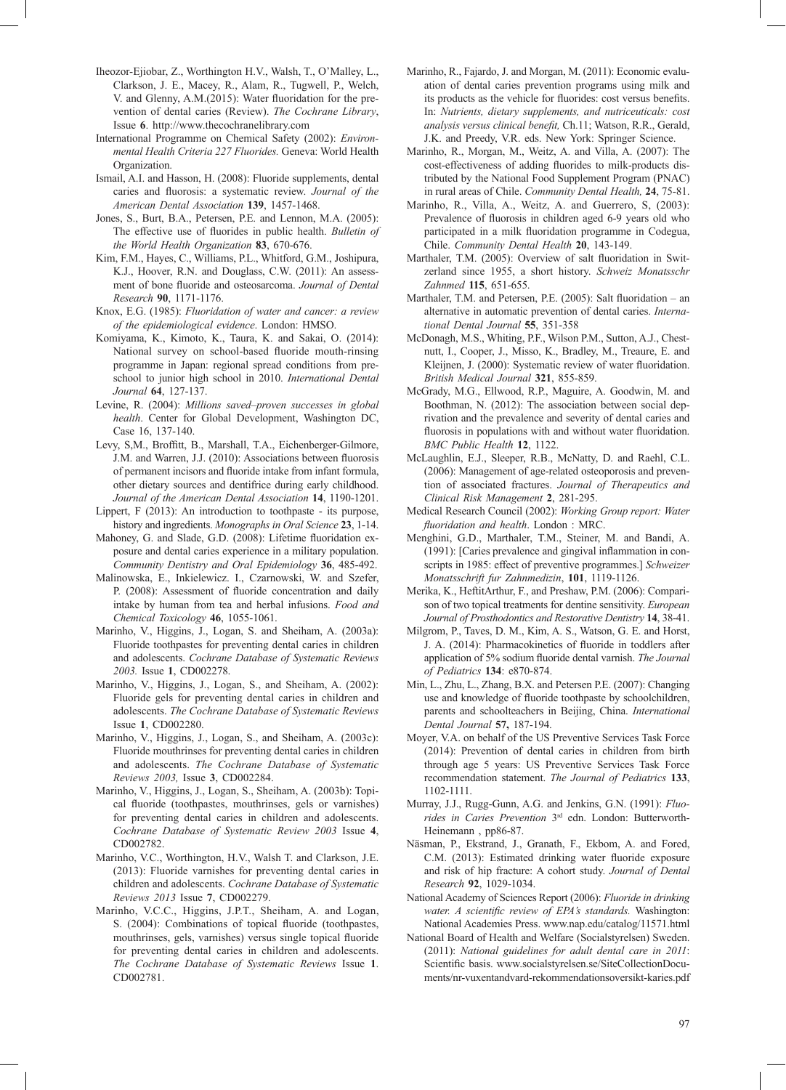- Iheozor-Ejiobar, Z., Worthington H.V., Walsh, T., O'Malley, L., Clarkson, J. E., Macey, R., Alam, R., Tugwell, P., Welch, V. and Glenny, A.M.(2015): Water fluoridation for the prevention of dental caries (Review). *The Cochrane Library*, Issue **6**. http://www.thecochranelibrary.com
- International Programme on Chemical Safety (2002): *Environmental Health Criteria 227 Fluorides.* Geneva: World Health Organization.
- Ismail, A.I. and Hasson, H. (2008): Fluoride supplements, dental caries and fluorosis: a systematic review. *Journal of the American Dental Association* **139**, 1457-1468.
- Jones, S., Burt, B.A., Petersen, P.E. and Lennon, M.A. (2005): The effective use of fluorides in public health. *Bulletin of the World Health Organization* **83**, 670-676.
- Kim, F.M., Hayes, C., Williams, P.L., Whitford, G.M., Joshipura, K.J., Hoover, R.N. and Douglass, C.W. (2011): An assessment of bone fluoride and osteosarcoma. *Journal of Dental Research* **90**, 1171-1176.
- Knox, E.G. (1985): *Fluoridation of water and cancer: a review of the epidemiological evidence*. London: HMSO.
- Komiyama, K., Kimoto, K., Taura, K. and Sakai, O. (2014): National survey on school-based fluoride mouth-rinsing programme in Japan: regional spread conditions from preschool to junior high school in 2010. *International Dental Journal* **64**, 127-137.
- Levine, R. (2004): *Millions saved–proven successes in global health*. Center for Global Development, Washington DC, Case 16, 137-140.
- Levy, S,M., Broffitt, B., Marshall, T.A., Eichenberger-Gilmore, J.M. and Warren, J.J. (2010): Associations between fluorosis of permanent incisors and fluoride intake from infant formula, other dietary sources and dentifrice during early childhood. *Journal of the American Dental Association* **14**, 1190-1201.
- Lippert, F (2013): An introduction to toothpaste its purpose, history and ingredients. *Monographs in Oral Science* **23**, 1-14.
- Mahoney, G. and Slade, G.D. (2008): Lifetime fluoridation exposure and dental caries experience in a military population. *Community Dentistry and Oral Epidemiology* **36**, 485-492.
- Malinowska, E., Inkielewicz. I., Czarnowski, W. and Szefer, P. (2008): Assessment of fluoride concentration and daily intake by human from tea and herbal infusions. *Food and Chemical Toxicology* **46**, 1055-1061.
- Marinho, V., Higgins, J., Logan, S. and Sheiham, A. (2003a): Fluoride toothpastes for preventing dental caries in children and adolescents. *Cochrane Database of Systematic Reviews 2003.* Issue **1**, CD002278.
- Marinho, V., Higgins, J., Logan, S., and Sheiham, A. (2002): Fluoride gels for preventing dental caries in children and adolescents. *The Cochrane Database of Systematic Reviews*  Issue **1**, CD002280.
- Marinho, V., Higgins, J., Logan, S., and Sheiham, A. (2003c): Fluoride mouthrinses for preventing dental caries in children and adolescents. *The Cochrane Database of Systematic Reviews 2003,* Issue **3**, CD002284.
- Marinho, V., Higgins, J., Logan, S., Sheiham, A. (2003b): Topical fluoride (toothpastes, mouthrinses, gels or varnishes) for preventing dental caries in children and adolescents. *Cochrane Database of Systematic Review 2003* Issue **4**, CD002782.
- Marinho, V.C., Worthington, H.V., Walsh T. and Clarkson, J.E. (2013): Fluoride varnishes for preventing dental caries in children and adolescents. *Cochrane Database of Systematic Reviews 2013* Issue **7**, CD002279.
- Marinho, V.C.C., Higgins, J.P.T., Sheiham, A. and Logan, S. (2004): Combinations of topical fluoride (toothpastes, mouthrinses, gels, varnishes) versus single topical fluoride for preventing dental caries in children and adolescents. *The Cochrane Database of Systematic Reviews* Issue **1**. CD002781.
- Marinho, R., Fajardo, J. and Morgan, M. (2011): Economic evaluation of dental caries prevention programs using milk and its products as the vehicle for fluorides: cost versus benefits. In: *Nutrients, dietary supplements, and nutriceuticals: cost analysis versus clinical benefit, Ch.11; Watson, R.R., Gerald,* J.K. and Preedy, V.R. eds. New York: Springer Science.
- Marinho, R., Morgan, M., Weitz, A. and Villa, A. (2007): The cost-effectiveness of adding fluorides to milk-products distributed by the National Food Supplement Program (PNAC) in rural areas of Chile. *Community Dental Health,* **24**, 75-81.
- Marinho, R., Villa, A., Weitz, A. and Guerrero, S, (2003): Prevalence of fluorosis in children aged 6-9 years old who participated in a milk fluoridation programme in Codegua, Chile. *Community Dental Health* **20**, 143-149.
- Marthaler, T.M. (2005): Overview of salt fluoridation in Switzerland since 1955, a short history. *Schweiz Monatsschr Zahnmed* **115**, 651-655.
- Marthaler, T.M. and Petersen, P.E.  $(2005)$ : Salt fluoridation an alternative in automatic prevention of dental caries. *International Dental Journal* **55**, 351-358
- McDonagh, M.S., Whiting, P.F., Wilson P.M., Sutton, A.J., Chestnutt, I., Cooper, J., Misso, K., Bradley, M., Treaure, E. and Kleijnen, J. (2000): Systematic review of water fluoridation. *British Medical Journal* **321**, 855-859.
- McGrady, M.G., Ellwood, R.P., Maguire, A. Goodwin, M. and Boothman, N. (2012): The association between social deprivation and the prevalence and severity of dental caries and fluorosis in populations with and without water fluoridation. *BMC Public Health* **12**, 1122.
- McLaughlin, E.J., Sleeper, R.B., McNatty, D. and Raehl, C.L. (2006): Management of age-related osteoporosis and prevention of associated fractures. *Journal of Therapeutics and Clinical Risk Management* **2**, 281-295.
- Medical Research Council (2002): *Working Group report: Water fl uoridation and health*. London : MRC.
- Menghini, G.D., Marthaler, T.M., Steiner, M. and Bandi, A.  $(1991)$ : [Caries prevalence and gingival inflammation in conscripts in 1985: effect of preventive programmes.] *Schweizer Monatsschrift fur Zahnmedizin*, **101**, 1119-1126.
- Merika, K., HeftitArthur, F., and Preshaw, P.M. (2006): Comparison of two topical treatments for dentine sensitivity. *European Journal of Prosthodontics and Restorative Dentistry* **14**, 38-41.
- Milgrom, P., Taves, D. M., Kim, A. S., Watson, G. E. and Horst, J. A. (2014): Pharmacokinetics of fluoride in toddlers after application of 5% sodium fluoride dental varnish. *The Journal of Pediatrics* **134**: e870-874.
- Min, L., Zhu, L., Zhang, B.X. and Petersen P.E. (2007): Changing use and knowledge of fluoride toothpaste by schoolchildren, parents and schoolteachers in Beijing, China. *International Dental Journal* **57,** 187-194.
- Moyer, V.A. on behalf of the US Preventive Services Task Force (2014): Prevention of dental caries in children from birth through age 5 years: US Preventive Services Task Force recommendation statement. *The Journal of Pediatrics* **133**, 1102-1111.
- Murray, J.J., Rugg-Gunn, A.G. and Jenkins, G.N. (1991): *Fluorides in Caries Prevention* 3rd edn. London: Butterworth-Heinemann , pp86-87.
- Näsman, P., Ekstrand, J., Granath, F., Ekbom, A. and Fored, C.M. (2013): Estimated drinking water fluoride exposure and risk of hip fracture: A cohort study. *Journal of Dental Research* **92**, 1029-1034.
- National Academy of Sciences Report (2006): *Fluoride in drinking water. A scientific review of EPA's standards.* Washington: National Academies Press. www.nap.edu/catalog/11571.html
- National Board of Health and Welfare (Socialstyrelsen) Sweden. (2011): *National guidelines for adult dental care in 2011*: Scientific basis. www.socialstyrelsen.se/SiteCollectionDocuments/nr-vuxentandvard-rekommendationsoversikt-karies.pdf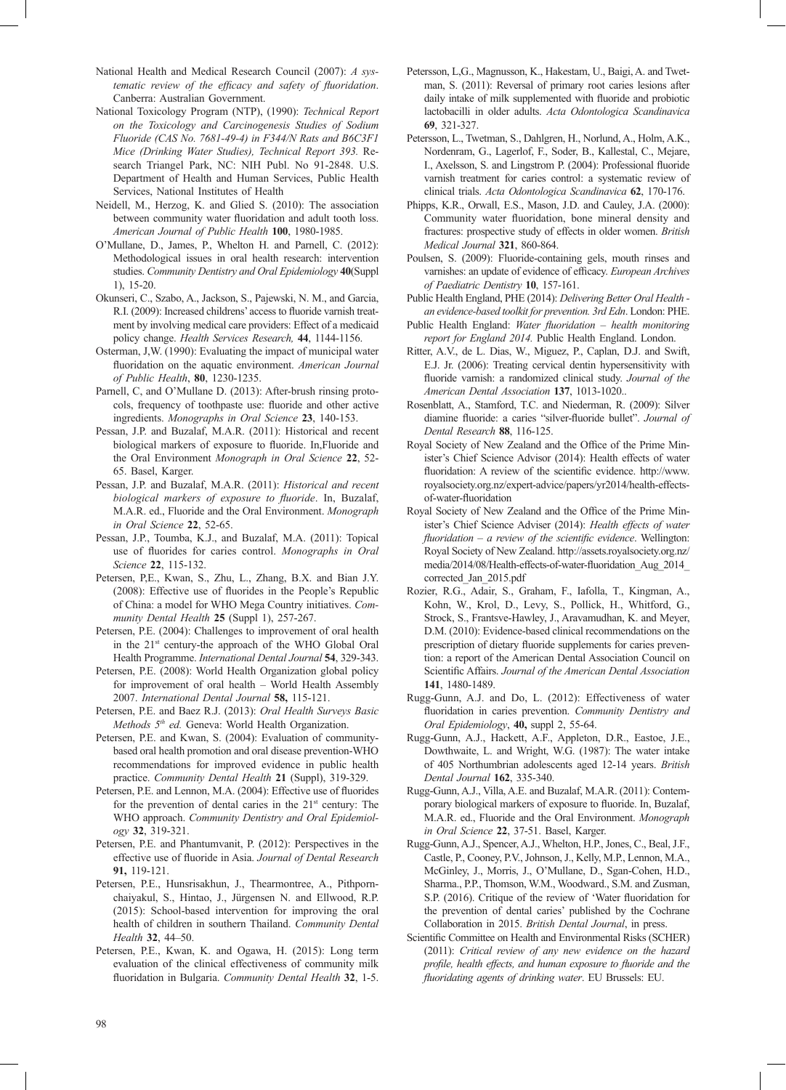- National Health and Medical Research Council (2007): *A systematic review of the efficacy and safety of fluoridation.* Canberra: Australian Government.
- National Toxicology Program (NTP), (1990): *Technical Report on the Toxicology and Carcinogenesis Studies of Sodium Fluoride (CAS No. 7681-49-4) in F344/N Rats and B6C3F1 Mice (Drinking Water Studies), Technical Report 393.* Research Triangel Park, NC: NIH Publ. No 91-2848. U.S. Department of Health and Human Services, Public Health Services, National Institutes of Health
- Neidell, M., Herzog, K. and Glied S. (2010): The association between community water fluoridation and adult tooth loss. *American Journal of Public Health* **100**, 1980-1985.
- O'Mullane, D., James, P., Whelton H. and Parnell, C. (2012): Methodological issues in oral health research: intervention studies. *Community Dentistry and Oral Epidemiology* **40**(Suppl 1), 15-20.
- Okunseri, C., Szabo, A., Jackson, S., Pajewski, N. M., and Garcia, R.I. (2009): Increased childrens' access to fluoride varnish treatment by involving medical care providers: Effect of a medicaid policy change. *Health Services Research,* **44**, 1144-1156.
- Osterman, J,W. (1990): Evaluating the impact of municipal water fluoridation on the aquatic environment. American Journal *of Public Health*, **80**, 1230-1235.
- Parnell, C, and O'Mullane D. (2013): After-brush rinsing protocols, frequency of toothpaste use: fluoride and other active ingredients. *Monographs in Oral Science* **23**, 140-153.
- Pessan, J.P. and Buzalaf, M.A.R. (2011): Historical and recent biological markers of exposure to fluoride. In,Fluoride and the Oral Environment *Monograph in Oral Science* **22**, 52- 65. Basel, Karger.
- Pessan, J.P. and Buzalaf, M.A.R. (2011): *Historical and recent biological markers of exposure to fluoride*. In, Buzalaf, M.A.R. ed., Fluoride and the Oral Environment. *Monograph in Oral Science* **22**, 52-65.
- Pessan, J.P., Toumba, K.J., and Buzalaf, M.A. (2011): Topical use of fluorides for caries control. Monographs in Oral *Science* **22**, 115-132.
- Petersen, P,E., Kwan, S., Zhu, L., Zhang, B.X. and Bian J.Y.  $(2008)$ : Effective use of fluorides in the People's Republic of China: a model for WHO Mega Country initiatives. *Community Dental Health* **25** (Suppl 1), 257-267.
- Petersen, P.E. (2004): Challenges to improvement of oral health in the 21st century-the approach of the WHO Global Oral Health Programme. *International Dental Journal* **54**, 329-343.
- Petersen, P.E. (2008): World Health Organization global policy for improvement of oral health – World Health Assembly 2007. *International Dental Journal* **58,** 115-121.
- Petersen, P.E. and Baez R.J. (2013): *Oral Health Surveys Basic Methods 5th ed.* Geneva: World Health Organization.
- Petersen, P.E. and Kwan, S. (2004): Evaluation of communitybased oral health promotion and oral disease prevention-WHO recommendations for improved evidence in public health practice. *Community Dental Health* **21** (Suppl), 319-329.
- Petersen, P.E. and Lennon, M.A. (2004): Effective use of fluorides for the prevention of dental caries in the  $21<sup>st</sup>$  century: The WHO approach. *Community Dentistry and Oral Epidemiology* **32**, 319-321.
- Petersen, P.E. and Phantumvanit, P. (2012): Perspectives in the effective use of fluoride in Asia. Journal of Dental Research **91,** 119-121.
- Petersen, P.E., Hunsrisakhun, J., Thearmontree, A., Pithpornchaiyakul, S., Hintao, J., Jürgensen N. and Ellwood, R.P. (2015): School-based intervention for improving the oral health of children in southern Thailand. *Community Dental Health* **32**, 44–50.
- Petersen, P.E., Kwan, K. and Ogawa, H. (2015): Long term evaluation of the clinical effectiveness of community milk fl uoridation in Bulgaria. *Community Dental Health* **32**, 1-5.
- Petersson, L,G., Magnusson, K., Hakestam, U., Baigi, A. and Twetman, S. (2011): Reversal of primary root caries lesions after daily intake of milk supplemented with fluoride and probiotic lactobacilli in older adults. *Acta Odontologica Scandinavica* **69**, 321-327.
- Petersson, L., Twetman, S., Dahlgren, H., Norlund, A., Holm, A.K., Nordenram, G., Lagerlof, F., Soder, B., Kallestal, C., Mejare, I., Axelsson, S. and Lingstrom P. (2004): Professional fluoride varnish treatment for caries control: a systematic review of clinical trials. *Acta Odontologica Scandinavica* **62**, 170-176.
- Phipps, K.R., Orwall, E.S., Mason, J.D. and Cauley, J.A. (2000): Community water fluoridation, bone mineral density and fractures: prospective study of effects in older women. *British Medical Journal* **321**, 860-864.
- Poulsen, S. (2009): Fluoride-containing gels, mouth rinses and varnishes: an update of evidence of efficacy. *European Archives of Paediatric Dentistry* **10**, 157-161.
- Public Health England, PHE (2014): *Delivering Better Oral Health an evidence-based toolkit for prevention. 3rd Edn*. London: PHE.
- Public Health England: Water fluoridation health monitoring *report for England 2014.* Public Health England. London.
- Ritter, A.V., de L. Dias, W., Miguez, P., Caplan, D.J. and Swift, E.J. Jr. (2006): Treating cervical dentin hypersensitivity with fluoride varnish: a randomized clinical study. *Journal of the American Dental Association* **137**, 1013-1020..
- Rosenblatt, A., Stamford, T.C. and Niederman, R. (2009): Silver diamine fluoride: a caries "silver-fluoride bullet". Journal of *Dental Research* **88**, 116-125.
- Royal Society of New Zealand and the Office of the Prime Minister's Chief Science Advisor (2014): Health effects of water fluoridation: A review of the scientific evidence. http://www. royalsociety.org.nz/expert-advice/papers/yr2014/health-effectsof-water-fluoridation
- Royal Society of New Zealand and the Office of the Prime Minister's Chief Science Adviser (2014): *Health effects of water fluoridation – a review of the scientific evidence*. Wellington: Royal Society of New Zealand. http://assets.royalsociety.org.nz/ media/2014/08/Health-effects-of-water-fluoridation Aug 2014 corrected\_Jan\_2015.pdf
- Rozier, R.G., Adair, S., Graham, F., Iafolla, T., Kingman, A., Kohn, W., Krol, D., Levy, S., Pollick, H., Whitford, G., Strock, S., Frantsve-Hawley, J., Aravamudhan, K. and Meyer, D.M. (2010): Evidence-based clinical recommendations on the prescription of dietary fluoride supplements for caries prevention: a report of the American Dental Association Council on Scientific Affairs. Journal of the American Dental Association **141**, 1480-1489.
- Rugg-Gunn, A.J. and Do, L. (2012): Effectiveness of water fluoridation in caries prevention. Community Dentistry and *Oral Epidemiology*, **40,** suppl 2, 55-64.
- Rugg-Gunn, A.J., Hackett, A.F., Appleton, D.R., Eastoe, J.E., Dowthwaite, L. and Wright, W.G. (1987): The water intake of 405 Northumbrian adolescents aged 12-14 years. *British Dental Journal* **162**, 335-340.
- Rugg-Gunn, A.J., Villa, A.E. and Buzalaf, M.A.R. (2011): Contemporary biological markers of exposure to fluoride. In, Buzalaf, M.A.R. ed., Fluoride and the Oral Environment. *Monograph in Oral Science* **22**, 37-51. Basel, Karger.
- Rugg-Gunn, A.J., Spencer, A.J., Whelton, H.P., Jones, C., Beal, J.F., Castle, P., Cooney, P.V., Johnson, J., Kelly, M.P., Lennon, M.A., McGinley, J., Morris, J., O'Mullane, D., Sgan-Cohen, H.D., Sharma., P.P., Thomson, W.M., Woodward., S.M. and Zusman, S.P. (2016). Critique of the review of 'Water fluoridation for the prevention of dental caries' published by the Cochrane Collaboration in 2015. *British Dental Journal*, in press.
- Scientific Committee on Health and Environmental Risks (SCHER) (2011): *Critical review of any new evidence on the hazard profile, health effects, and human exposure to fluoride and the fluoridating agents of drinking water*. EU Brussels: EU.